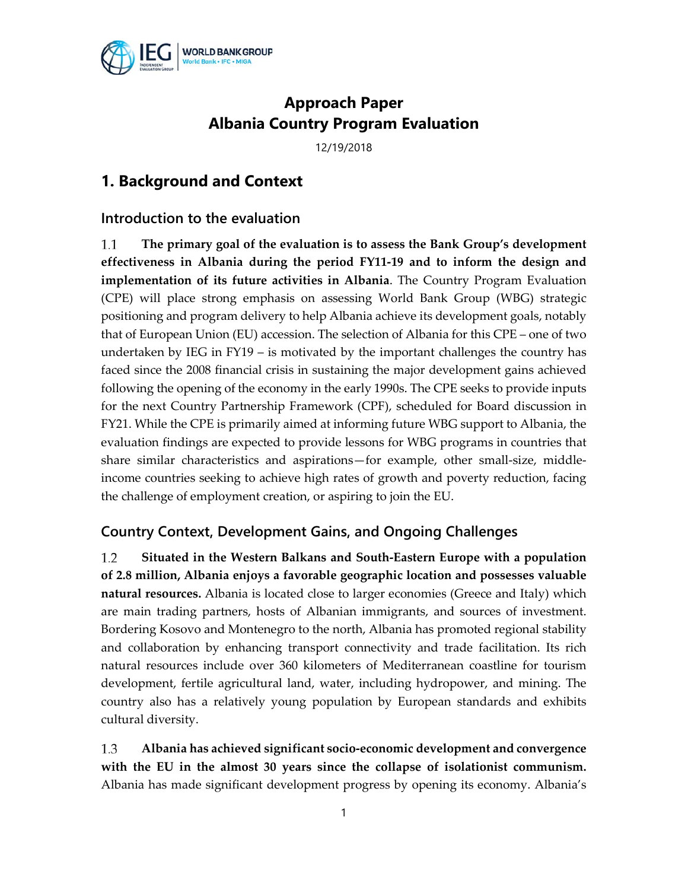

## **Approach Paper Albania Country Program Evaluation**

12/19/2018

## **1. Background and Context**

#### **Introduction to the evaluation**

1.1 **The primary goal of the evaluation is to assess the Bank Group's development effectiveness in Albania during the period FY11-19 and to inform the design and implementation of its future activities in Albania**. The Country Program Evaluation (CPE) will place strong emphasis on assessing World Bank Group (WBG) strategic positioning and program delivery to help Albania achieve its development goals, notably that of European Union (EU) accession. The selection of Albania for this CPE – one of two undertaken by IEG in FY19 – is motivated by the important challenges the country has faced since the 2008 financial crisis in sustaining the major development gains achieved following the opening of the economy in the early 1990s. The CPE seeks to provide inputs for the next Country Partnership Framework (CPF), scheduled for Board discussion in FY21. While the CPE is primarily aimed at informing future WBG support to Albania, the evaluation findings are expected to provide lessons for WBG programs in countries that share similar characteristics and aspirations—for example, other small-size, middleincome countries seeking to achieve high rates of growth and poverty reduction, facing the challenge of employment creation, or aspiring to join the EU.

#### **Country Context, Development Gains, and Ongoing Challenges**

1.2 **Situated in the Western Balkans and South-Eastern Europe with a population of 2.8 million, Albania enjoys a favorable geographic location and possesses valuable natural resources.** Albania is located close to larger economies (Greece and Italy) which are main trading partners, hosts of Albanian immigrants, and sources of investment. Bordering Kosovo and Montenegro to the north, Albania has promoted regional stability and collaboration by enhancing transport connectivity and trade facilitation. Its rich natural resources include over 360 kilometers of Mediterranean coastline for tourism development, fertile agricultural land, water, including hydropower, and mining. The country also has a relatively young population by European standards and exhibits cultural diversity.

1.3 **Albania has achieved significant socio-economic development and convergence with the EU in the almost 30 years since the collapse of isolationist communism.** Albania has made significant development progress by opening its economy. Albania's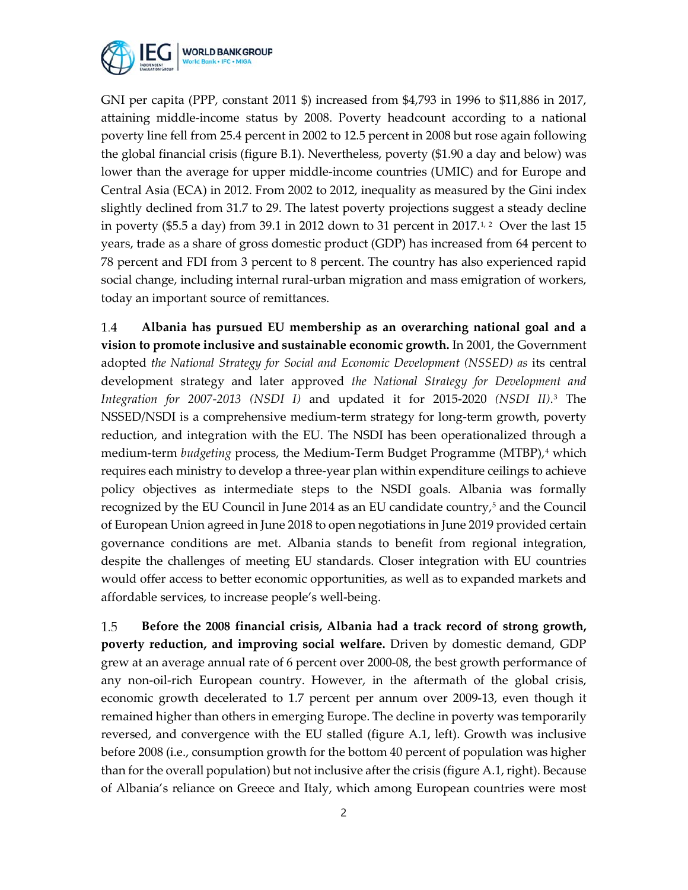

GNI per capita (PPP, constant 2011 \$) increased from \$4,793 in 1996 to \$11,886 in 2017, attaining middle-income status by 2008. Poverty headcount according to a national poverty line fell from 25.4 percent in 2002 to 12.5 percent in 2008 but rose again following the global financial crisis (figure B.1). Nevertheless, poverty (\$1.90 a day and below) was lower than the average for upper middle-income countries (UMIC) and for Europe and Central Asia (ECA) in 2012. From 2002 to 2012, inequality as measured by the Gini index slightly declined from 31.7 to 29. The latest poverty projections suggest a steady decline in poverty (\$5.5 a day) from 39.1 in 2012 down to 31 percent in 2017.<sup>[1,](#page-16-0)[2](#page-16-1)</sup> Over the last 15 years, trade as a share of gross domestic product (GDP) has increased from 64 percent to 78 percent and FDI from 3 percent to 8 percent. The country has also experienced rapid social change, including internal rural-urban migration and mass emigration of workers, today an important source of remittances.

1.4 **Albania has pursued EU membership as an overarching national goal and a vision to promote inclusive and sustainable economic growth.** In 2001, the Government adopted *the National Strategy for Social and Economic Development (NSSED) as its central* development strategy and later approved *the National Strategy for Development and Integration for 2007-2013 (NSDI I)* and updated it for 2015-2020 *(NSDI II)*.[3](#page-17-0) The NSSED/NSDI is a comprehensive medium-term strategy for long-term growth, poverty reduction, and integration with the EU. The NSDI has been operationalized through a medium-term *budgeting* process, the Medium-Term Budget Programme (MTBP)[,4](#page-17-1) which requires each ministry to develop a three-year plan within expenditure ceilings to achieve policy objectives as intermediate steps to the NSDI goals. Albania was formally recognized by the EU Council in June 2014 as an EU candidate country,<sup>5</sup> and the Council of European Union agreed in June 2018 to open negotiations in June 2019 provided certain governance conditions are met. Albania stands to benefit from regional integration, despite the challenges of meeting EU standards. Closer integration with EU countries would offer access to better economic opportunities, as well as to expanded markets and affordable services, to increase people's well-being.

1.5 **Before the 2008 financial crisis, Albania had a track record of strong growth, poverty reduction, and improving social welfare.** Driven by domestic demand, GDP grew at an average annual rate of 6 percent over 2000-08, the best growth performance of any non-oil-rich European country. However, in the aftermath of the global crisis, economic growth decelerated to 1.7 percent per annum over 2009-13, even though it remained higher than others in emerging Europe. The decline in poverty was temporarily reversed, and convergence with the EU stalled (figure A.1, left). Growth was inclusive before 2008 (i.e., consumption growth for the bottom 40 percent of population was higher than for the overall population) but not inclusive after the crisis (figure A.1, right). Because of Albania's reliance on Greece and Italy, which among European countries were most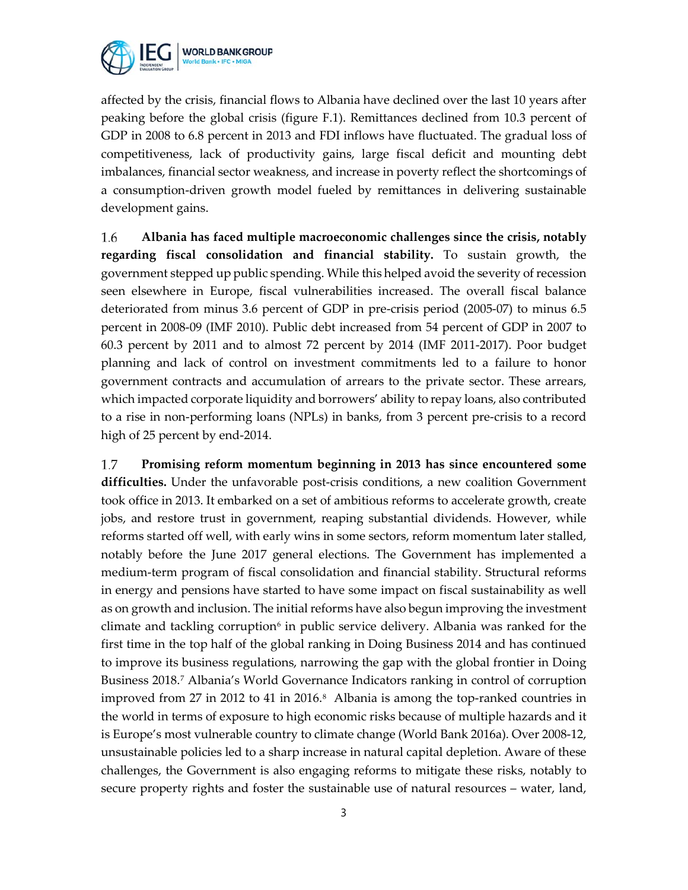

affected by the crisis, financial flows to Albania have declined over the last 10 years after peaking before the global crisis (figure F.1). Remittances declined from 10.3 percent of GDP in 2008 to 6.8 percent in 2013 and FDI inflows have fluctuated. The gradual loss of competitiveness, lack of productivity gains, large fiscal deficit and mounting debt imbalances, financial sector weakness, and increase in poverty reflect the shortcomings of a consumption-driven growth model fueled by remittances in delivering sustainable development gains.

1.6 **Albania has faced multiple macroeconomic challenges since the crisis, notably regarding fiscal consolidation and financial stability.** To sustain growth, the government stepped up public spending. While this helped avoid the severity of recession seen elsewhere in Europe, fiscal vulnerabilities increased. The overall fiscal balance deteriorated from minus 3.6 percent of GDP in pre-crisis period (2005-07) to minus 6.5 percent in 2008-09 (IMF 2010). Public debt increased from 54 percent of GDP in 2007 to 60.3 percent by 2011 and to almost 72 percent by 2014 (IMF 2011-2017). Poor budget planning and lack of control on investment commitments led to a failure to honor government contracts and accumulation of arrears to the private sector. These arrears, which impacted corporate liquidity and borrowers' ability to repay loans, also contributed to a rise in non-performing loans (NPLs) in banks, from 3 percent pre-crisis to a record high of 25 percent by end-2014.

1.7 **Promising reform momentum beginning in 2013 has since encountered some difficulties.** Under the unfavorable post-crisis conditions, a new coalition Government took office in 2013. It embarked on a set of ambitious reforms to accelerate growth, create jobs, and restore trust in government, reaping substantial dividends. However, while reforms started off well, with early wins in some sectors, reform momentum later stalled, notably before the June 2017 general elections. The Government has implemented a medium-term program of fiscal consolidation and financial stability. Structural reforms in energy and pensions have started to have some impact on fiscal sustainability as well as on growth and inclusion. The initial reforms have also begun improving the investment climate and tackling corruption<sup> $6$ </sup> in public service delivery. Albania was ranked for the first time in the top half of the global ranking in Doing Business 2014 and has continued to improve its business regulations, narrowing the gap with the global frontier in Doing Business 2018.[7](#page-17-4) Albania's World Governance Indicators ranking in control of corruption improved from 27 in 2012 to 41 in 2016.<sup>8</sup> Albania is among the top-ranked countries in the world in terms of exposure to high economic risks because of multiple hazards and it is Europe's most vulnerable country to climate change (World Bank 2016a). Over 2008-12, unsustainable policies led to a sharp increase in natural capital depletion. Aware of these challenges, the Government is also engaging reforms to mitigate these risks, notably to secure property rights and foster the sustainable use of natural resources – water, land,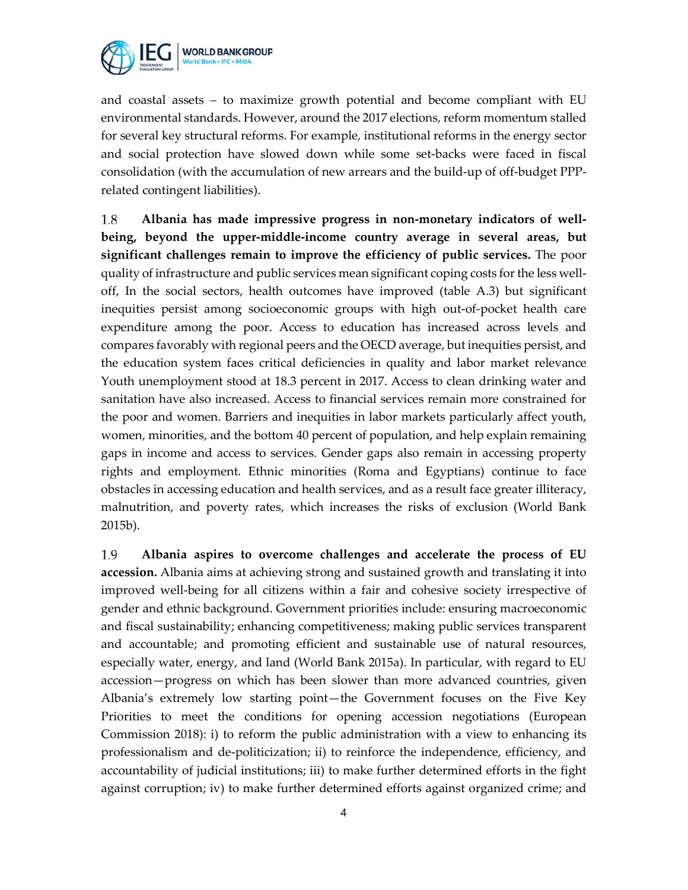

and coastal assets – to maximize growth potential and become compliant with EU environmental standards. However, around the 2017 elections, reform momentum stalled for several key structural reforms. For example, institutional reforms in the energy sector and social protection have slowed down while some set-backs were faced in fiscal consolidation (with the accumulation of new arrears and the build-up of off-budget PPPrelated contingent liabilities).

1.8 **Albania has made impressive progress in non-monetary indicators of wellbeing, beyond the upper-middle-income country average in several areas, but significant challenges remain to improve the efficiency of public services.** The poor quality of infrastructure and public services mean significant coping costs for the less welloff, In the social sectors, health outcomes have improved (table A.3) but significant inequities persist among socioeconomic groups with high out-of-pocket health care expenditure among the poor. Access to education has increased across levels and compares favorably with regional peers and the OECD average, but inequities persist, and the education system faces critical deficiencies in quality and labor market relevance Youth unemployment stood at 18.3 percent in 2017. Access to clean drinking water and sanitation have also increased. Access to financial services remain more constrained for the poor and women. Barriers and inequities in labor markets particularly affect youth, women, minorities, and the bottom 40 percent of population, and help explain remaining gaps in income and access to services. Gender gaps also remain in accessing property rights and employment. Ethnic minorities (Roma and Egyptians) continue to face obstacles in accessing education and health services, and as a result face greater illiteracy, malnutrition, and poverty rates, which increases the risks of exclusion (World Bank 2015b).

1.9 **Albania aspires to overcome challenges and accelerate the process of EU accession.** Albania aims at achieving strong and sustained growth and translating it into improved well-being for all citizens within a fair and cohesive society irrespective of gender and ethnic background. Government priorities include: ensuring macroeconomic and fiscal sustainability; enhancing competitiveness; making public services transparent and accountable; and promoting efficient and sustainable use of natural resources, especially water, energy, and land (World Bank 2015a). In particular, with regard to EU accession—progress on which has been slower than more advanced countries, given Albania's extremely low starting point—the Government focuses on the Five Key Priorities to meet the conditions for opening accession negotiations (European Commission 2018): i) to reform the public administration with a view to enhancing its professionalism and de-politicization; ii) to reinforce the independence, efficiency, and accountability of judicial institutions; iii) to make further determined efforts in the fight against corruption; iv) to make further determined efforts against organized crime; and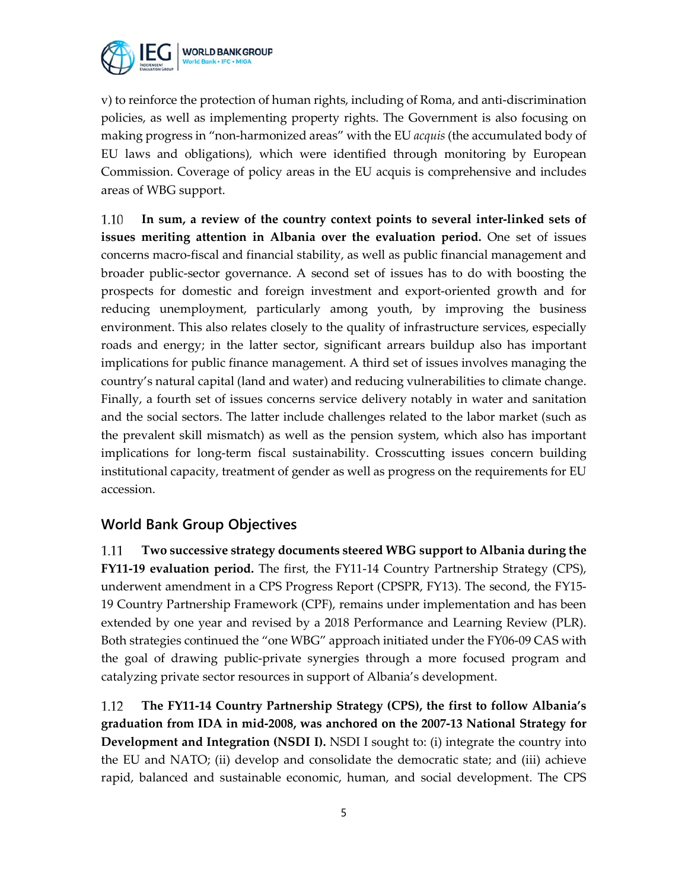

v) to reinforce the protection of human rights, including of Roma, and anti-discrimination policies, as well as implementing property rights. The Government is also focusing on making progress in "non-harmonized areas" with the EU *acquis* (the accumulated body of EU laws and obligations)*,* which were identified through monitoring by European Commission. Coverage of policy areas in the EU acquis is comprehensive and includes areas of WBG support.

1.10 **In sum, a review of the country context points to several inter-linked sets of issues meriting attention in Albania over the evaluation period.** One set of issues concerns macro-fiscal and financial stability, as well as public financial management and broader public-sector governance. A second set of issues has to do with boosting the prospects for domestic and foreign investment and export-oriented growth and for reducing unemployment, particularly among youth, by improving the business environment. This also relates closely to the quality of infrastructure services, especially roads and energy; in the latter sector, significant arrears buildup also has important implications for public finance management. A third set of issues involves managing the country's natural capital (land and water) and reducing vulnerabilities to climate change. Finally, a fourth set of issues concerns service delivery notably in water and sanitation and the social sectors. The latter include challenges related to the labor market (such as the prevalent skill mismatch) as well as the pension system, which also has important implications for long-term fiscal sustainability. Crosscutting issues concern building institutional capacity, treatment of gender as well as progress on the requirements for EU accession.

### **World Bank Group Objectives**

1.11 **Two successive strategy documents steered WBG support to Albania during the FY11-19 evaluation period.** The first, the FY11-14 Country Partnership Strategy (CPS), underwent amendment in a CPS Progress Report (CPSPR, FY13). The second, the FY15- 19 Country Partnership Framework (CPF), remains under implementation and has been extended by one year and revised by a 2018 Performance and Learning Review (PLR). Both strategies continued the "one WBG" approach initiated under the FY06-09 CAS with the goal of drawing public-private synergies through a more focused program and catalyzing private sector resources in support of Albania's development.

1.12 **The FY11-14 Country Partnership Strategy (CPS), the first to follow Albania's graduation from IDA in mid-2008, was anchored on the 2007-13 National Strategy for Development and Integration (NSDI I).** NSDI I sought to: (i) integrate the country into the EU and NATO; (ii) develop and consolidate the democratic state; and (iii) achieve rapid, balanced and sustainable economic, human, and social development. The CPS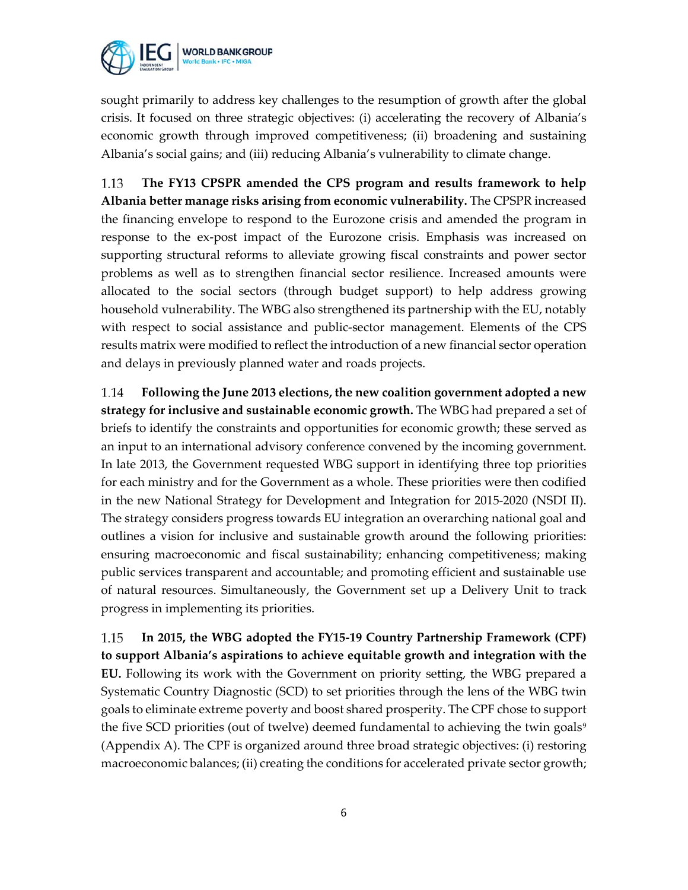

sought primarily to address key challenges to the resumption of growth after the global crisis. It focused on three strategic objectives: (i) accelerating the recovery of Albania's economic growth through improved competitiveness; (ii) broadening and sustaining Albania's social gains; and (iii) reducing Albania's vulnerability to climate change.

1.13 **The FY13 CPSPR amended the CPS program and results framework to help Albania better manage risks arising from economic vulnerability.** The CPSPR increased the financing envelope to respond to the Eurozone crisis and amended the program in response to the ex-post impact of the Eurozone crisis. Emphasis was increased on supporting structural reforms to alleviate growing fiscal constraints and power sector problems as well as to strengthen financial sector resilience. Increased amounts were allocated to the social sectors (through budget support) to help address growing household vulnerability. The WBG also strengthened its partnership with the EU, notably with respect to social assistance and public-sector management. Elements of the CPS results matrix were modified to reflect the introduction of a new financial sector operation and delays in previously planned water and roads projects.

1.14 **Following the June 2013 elections, the new coalition government adopted a new strategy for inclusive and sustainable economic growth.** The WBG had prepared a set of briefs to identify the constraints and opportunities for economic growth; these served as an input to an international advisory conference convened by the incoming government. In late 2013, the Government requested WBG support in identifying three top priorities for each ministry and for the Government as a whole. These priorities were then codified in the new National Strategy for Development and Integration for 2015-2020 (NSDI II). The strategy considers progress towards EU integration an overarching national goal and outlines a vision for inclusive and sustainable growth around the following priorities: ensuring macroeconomic and fiscal sustainability; enhancing competitiveness; making public services transparent and accountable; and promoting efficient and sustainable use of natural resources. Simultaneously, the Government set up a Delivery Unit to track progress in implementing its priorities.

1.15 **In 2015, the WBG adopted the FY15-19 Country Partnership Framework (CPF) to support Albania's aspirations to achieve equitable growth and integration with the EU.** Following its work with the Government on priority setting, the WBG prepared a Systematic Country Diagnostic (SCD) to set priorities through the lens of the WBG twin goals to eliminate extreme poverty and boost shared prosperity. The CPF chose to support the five SCD priorities (out of twelve) deemed fundamental to achieving the twin goals<sup>[9](#page-17-6)</sup> (Appendix A). The CPF is organized around three broad strategic objectives: (i) restoring macroeconomic balances; (ii) creating the conditions for accelerated private sector growth;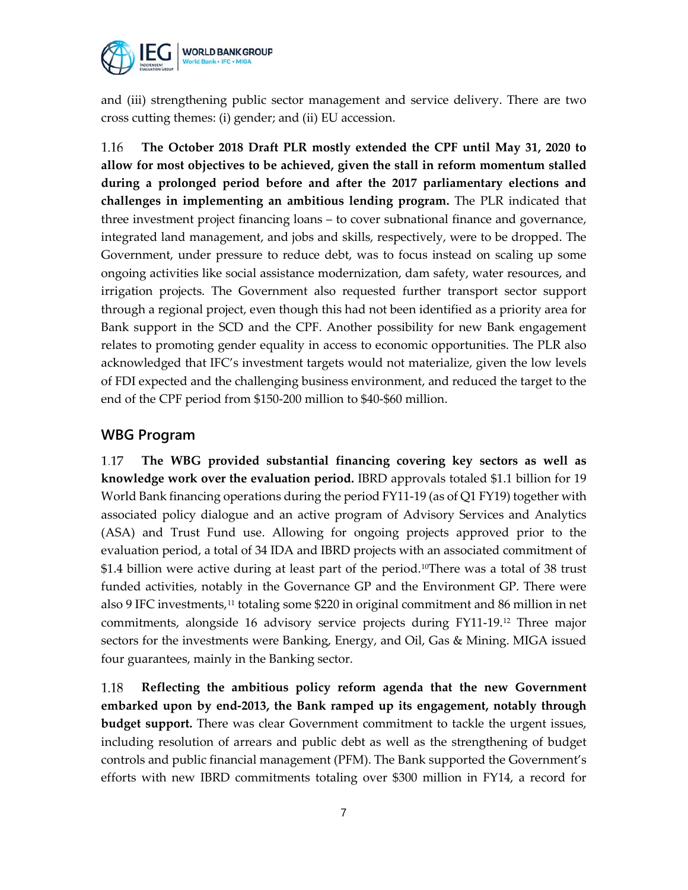

and (iii) strengthening public sector management and service delivery. There are two cross cutting themes: (i) gender; and (ii) EU accession.

1.16 **The October 2018 Draft PLR mostly extended the CPF until May 31, 2020 to allow for most objectives to be achieved, given the stall in reform momentum stalled during a prolonged period before and after the 2017 parliamentary elections and challenges in implementing an ambitious lending program.** The PLR indicated that three investment project financing loans – to cover subnational finance and governance, integrated land management, and jobs and skills, respectively, were to be dropped. The Government, under pressure to reduce debt, was to focus instead on scaling up some ongoing activities like social assistance modernization, dam safety, water resources, and irrigation projects. The Government also requested further transport sector support through a regional project, even though this had not been identified as a priority area for Bank support in the SCD and the CPF. Another possibility for new Bank engagement relates to promoting gender equality in access to economic opportunities. The PLR also acknowledged that IFC's investment targets would not materialize, given the low levels of FDI expected and the challenging business environment, and reduced the target to the end of the CPF period from \$150-200 million to \$40-\$60 million.

#### **WBG Program**

1.17 **The WBG provided substantial financing covering key sectors as well as knowledge work over the evaluation period.** IBRD approvals totaled \$1.1 billion for 19 World Bank financing operations during the period FY11-19 (as of Q1 FY19) together with associated policy dialogue and an active program of Advisory Services and Analytics (ASA) and Trust Fund use. Allowing for ongoing projects approved prior to the evaluation period, a total of 34 IDA and IBRD projects with an associated commitment of \$1.4 billion were active during at least part of the period.<sup>10</sup>There was a total of 38 trust funded activities, notably in the Governance GP and the Environment GP. There were also 9 IFC investments,<sup>[11](#page-17-8)</sup> totaling some \$220 in original commitment and 86 million in net commitments, alongside 16 advisory service projects during FY11-19.[12](#page-17-9) Three major sectors for the investments were Banking, Energy, and Oil, Gas & Mining. MIGA issued four guarantees, mainly in the Banking sector.

1.18 **Reflecting the ambitious policy reform agenda that the new Government embarked upon by end-2013, the Bank ramped up its engagement, notably through budget support.** There was clear Government commitment to tackle the urgent issues, including resolution of arrears and public debt as well as the strengthening of budget controls and public financial management (PFM). The Bank supported the Government's efforts with new IBRD commitments totaling over \$300 million in FY14, a record for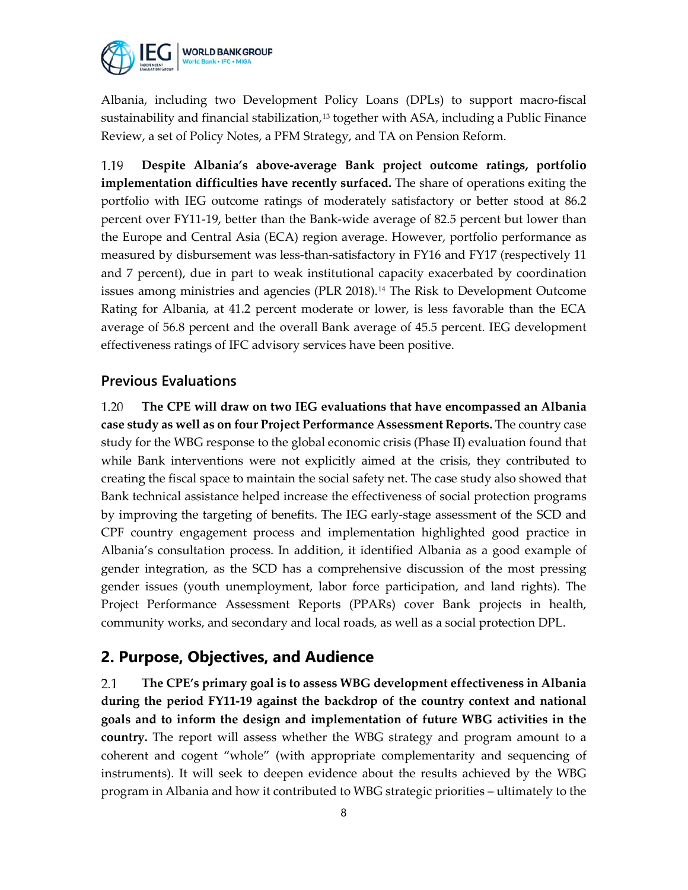

Albania, including two Development Policy Loans (DPLs) to support macro-fiscal sustainability and financial stabilization, $13$  together with ASA, including a Public Finance Review, a set of Policy Notes, a PFM Strategy, and TA on Pension Reform.

**Despite Albania's above-average Bank project outcome ratings, portfolio**  1.19 **implementation difficulties have recently surfaced.** The share of operations exiting the portfolio with IEG outcome ratings of moderately satisfactory or better stood at 86.2 percent over FY11-19, better than the Bank-wide average of 82.5 percent but lower than the Europe and Central Asia (ECA) region average. However, portfolio performance as measured by disbursement was less-than-satisfactory in FY16 and FY17 (respectively 11 and 7 percent), due in part to weak institutional capacity exacerbated by coordination issues among ministries and agencies (PLR 2018).[14](#page-17-11) The Risk to Development Outcome Rating for Albania, at 41.2 percent moderate or lower, is less favorable than the ECA average of 56.8 percent and the overall Bank average of 45.5 percent. IEG development effectiveness ratings of IFC advisory services have been positive.

#### **Previous Evaluations**

1.20 **The CPE will draw on two IEG evaluations that have encompassed an Albania case study as well as on four Project Performance Assessment Reports.** The country case study for the WBG response to the global economic crisis (Phase II) evaluation found that while Bank interventions were not explicitly aimed at the crisis, they contributed to creating the fiscal space to maintain the social safety net. The case study also showed that Bank technical assistance helped increase the effectiveness of social protection programs by improving the targeting of benefits. The IEG early-stage assessment of the SCD and CPF country engagement process and implementation highlighted good practice in Albania's consultation process. In addition, it identified Albania as a good example of gender integration, as the SCD has a comprehensive discussion of the most pressing gender issues (youth unemployment, labor force participation, and land rights). The Project Performance Assessment Reports (PPARs) cover Bank projects in health, community works, and secondary and local roads, as well as a social protection DPL.

## **2. Purpose, Objectives, and Audience**

**The CPE's primary goal is to assess WBG development effectiveness in Albania**  2.1 **during the period FY11-19 against the backdrop of the country context and national goals and to inform the design and implementation of future WBG activities in the country.** The report will assess whether the WBG strategy and program amount to a coherent and cogent "whole" (with appropriate complementarity and sequencing of instruments). It will seek to deepen evidence about the results achieved by the WBG program in Albania and how it contributed to WBG strategic priorities – ultimately to the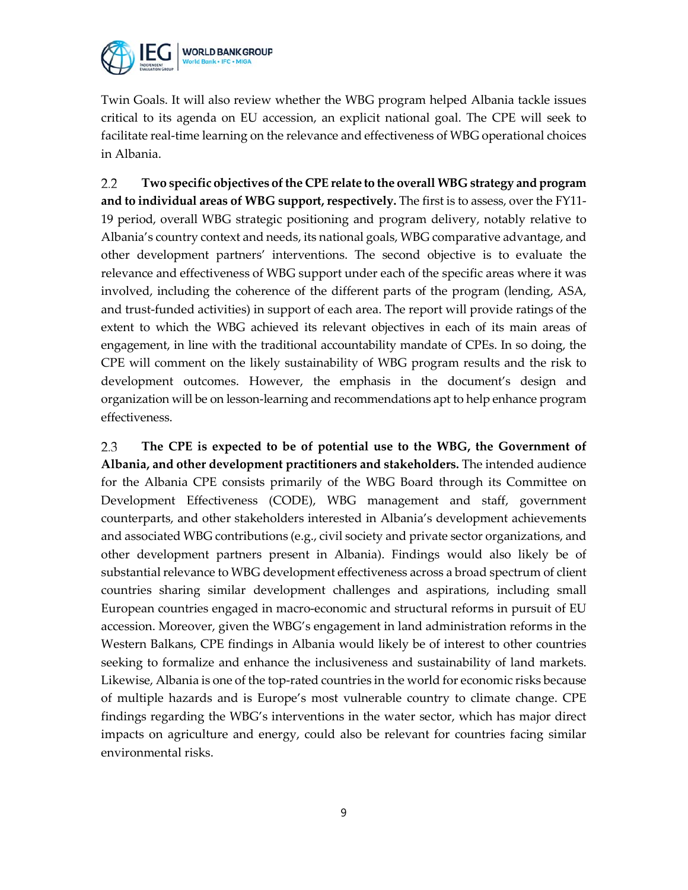

Twin Goals. It will also review whether the WBG program helped Albania tackle issues critical to its agenda on EU accession, an explicit national goal. The CPE will seek to facilitate real-time learning on the relevance and effectiveness of WBG operational choices in Albania.

 $2.2$ **Two specific objectives of the CPE relate to the overall WBG strategy and program and to individual areas of WBG support, respectively.** The first is to assess, over the FY11- 19 period, overall WBG strategic positioning and program delivery, notably relative to Albania's country context and needs, its national goals, WBG comparative advantage, and other development partners' interventions. The second objective is to evaluate the relevance and effectiveness of WBG support under each of the specific areas where it was involved, including the coherence of the different parts of the program (lending, ASA, and trust-funded activities) in support of each area. The report will provide ratings of the extent to which the WBG achieved its relevant objectives in each of its main areas of engagement, in line with the traditional accountability mandate of CPEs. In so doing, the CPE will comment on the likely sustainability of WBG program results and the risk to development outcomes. However, the emphasis in the document's design and organization will be on lesson-learning and recommendations apt to help enhance program effectiveness.

2.3 **The CPE is expected to be of potential use to the WBG, the Government of Albania, and other development practitioners and stakeholders.** The intended audience for the Albania CPE consists primarily of the WBG Board through its Committee on Development Effectiveness (CODE), WBG management and staff, government counterparts, and other stakeholders interested in Albania's development achievements and associated WBG contributions (e.g., civil society and private sector organizations, and other development partners present in Albania). Findings would also likely be of substantial relevance to WBG development effectiveness across a broad spectrum of client countries sharing similar development challenges and aspirations, including small European countries engaged in macro-economic and structural reforms in pursuit of EU accession. Moreover, given the WBG's engagement in land administration reforms in the Western Balkans, CPE findings in Albania would likely be of interest to other countries seeking to formalize and enhance the inclusiveness and sustainability of land markets. Likewise, Albania is one of the top-rated countries in the world for economic risks because of multiple hazards and is Europe's most vulnerable country to climate change. CPE findings regarding the WBG's interventions in the water sector, which has major direct impacts on agriculture and energy, could also be relevant for countries facing similar environmental risks.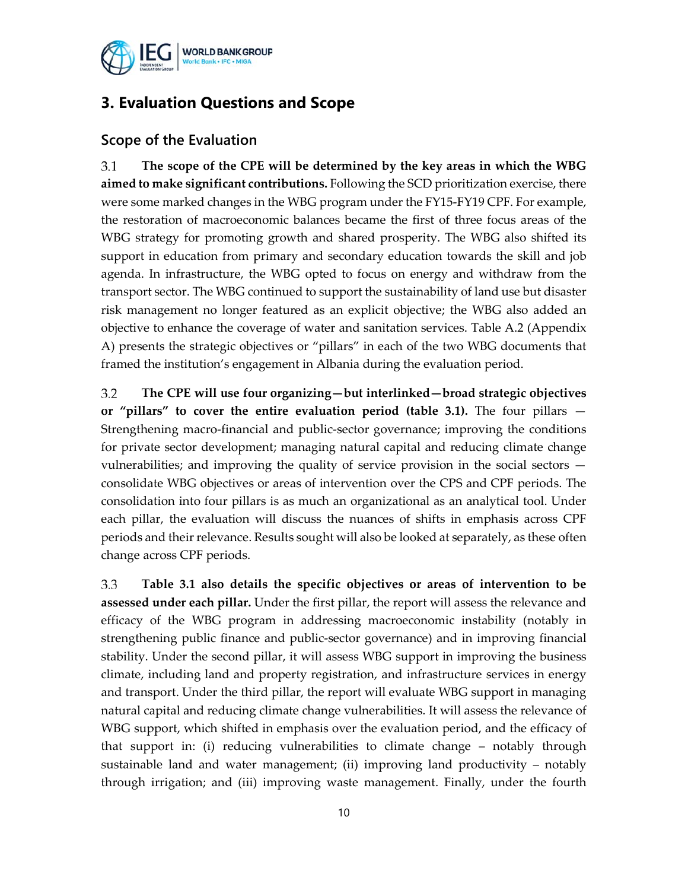

## **3. Evaluation Questions and Scope**

#### **Scope of the Evaluation**

3.1 **The scope of the CPE will be determined by the key areas in which the WBG aimed to make significant contributions.** Following the SCD prioritization exercise, there were some marked changes in the WBG program under the FY15-FY19 CPF. For example, the restoration of macroeconomic balances became the first of three focus areas of the WBG strategy for promoting growth and shared prosperity. The WBG also shifted its support in education from primary and secondary education towards the skill and job agenda. In infrastructure, the WBG opted to focus on energy and withdraw from the transport sector. The WBG continued to support the sustainability of land use but disaster risk management no longer featured as an explicit objective; the WBG also added an objective to enhance the coverage of water and sanitation services. Table A.2 (Appendix A) presents the strategic objectives or "pillars" in each of the two WBG documents that framed the institution's engagement in Albania during the evaluation period.

 $3.2$ **The CPE will use four organizing—but interlinked—broad strategic objectives or "pillars" to cover the entire evaluation period (table 3.1).** The four pillars — Strengthening macro-financial and public-sector governance; improving the conditions for private sector development; managing natural capital and reducing climate change vulnerabilities; and improving the quality of service provision in the social sectors consolidate WBG objectives or areas of intervention over the CPS and CPF periods. The consolidation into four pillars is as much an organizational as an analytical tool. Under each pillar, the evaluation will discuss the nuances of shifts in emphasis across CPF periods and their relevance. Results sought will also be looked at separately, as these often change across CPF periods.

3.3 **Table 3.1 also details the specific objectives or areas of intervention to be assessed under each pillar.** Under the first pillar, the report will assess the relevance and efficacy of the WBG program in addressing macroeconomic instability (notably in strengthening public finance and public-sector governance) and in improving financial stability. Under the second pillar, it will assess WBG support in improving the business climate, including land and property registration, and infrastructure services in energy and transport. Under the third pillar, the report will evaluate WBG support in managing natural capital and reducing climate change vulnerabilities. It will assess the relevance of WBG support, which shifted in emphasis over the evaluation period, and the efficacy of that support in: (i) reducing vulnerabilities to climate change – notably through sustainable land and water management; (ii) improving land productivity – notably through irrigation; and (iii) improving waste management. Finally, under the fourth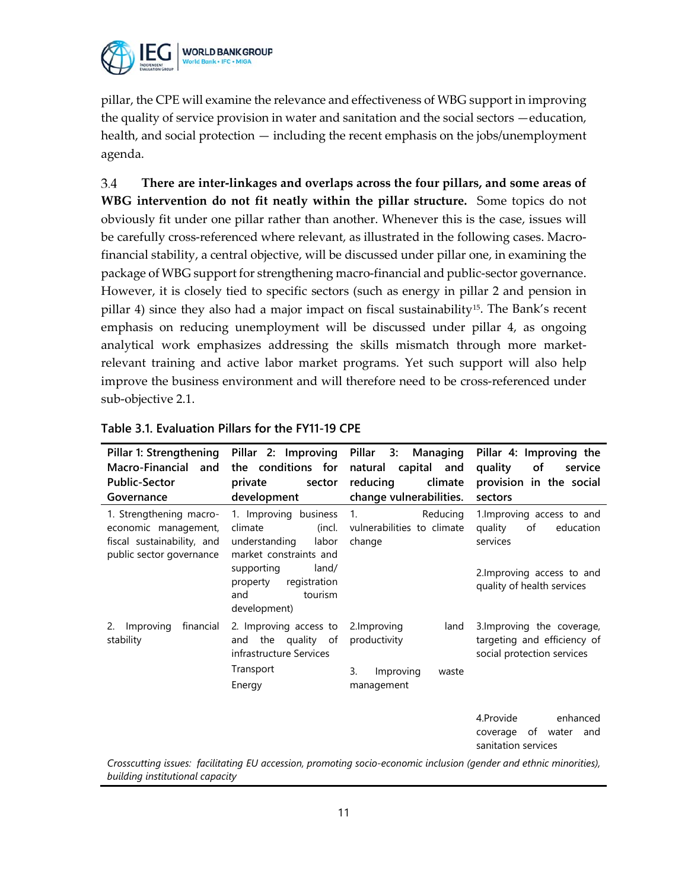

pillar, the CPE will examine the relevance and effectiveness of WBG support in improving the quality of service provision in water and sanitation and the social sectors —education, health, and social protection — including the recent emphasis on the jobs/unemployment agenda.

3.4 **There are inter-linkages and overlaps across the four pillars, and some areas of WBG intervention do not fit neatly within the pillar structure.** Some topics do not obviously fit under one pillar rather than another. Whenever this is the case, issues will be carefully cross-referenced where relevant, as illustrated in the following cases. Macrofinancial stability, a central objective, will be discussed under pillar one, in examining the package of WBG support for strengthening macro-financial and public-sector governance. However, it is closely tied to specific sectors (such as energy in pillar 2 and pension in pillar 4) since they also had a major impact on fiscal sustainability<sup>[15](#page-17-12)</sup>. The Bank's recent emphasis on reducing unemployment will be discussed under pillar 4, as ongoing analytical work emphasizes addressing the skills mismatch through more marketrelevant training and active labor market programs. Yet such support will also help improve the business environment and will therefore need to be cross-referenced under sub-objective 2.1.

| Pillar 1: Strengthening<br>Macro-Financial and<br><b>Public-Sector</b><br>Governance                              | the conditions for<br>private<br>sector<br>development                                         | Pillar 2: Improving Pillar 3: Managing<br>natural capital and<br>reducing<br>climate<br>change vulnerabilities. | Pillar 4: Improving the<br>quality<br>οf<br>service<br>provision in the social<br>sectors |  |  |
|-------------------------------------------------------------------------------------------------------------------|------------------------------------------------------------------------------------------------|-----------------------------------------------------------------------------------------------------------------|-------------------------------------------------------------------------------------------|--|--|
| 1. Strengthening macro-<br>economic management,<br>fiscal sustainability, and<br>public sector governance         | 1. Improving business<br>climate<br>(incl.<br>understanding<br>labor<br>market constraints and | Reducing<br>1.<br>vulnerabilities to climate<br>change                                                          | 1. Improving access to and<br>quality<br>of<br>education<br>services                      |  |  |
|                                                                                                                   | supporting<br>land/<br>property<br>registration<br>and<br>tourism<br>development)              |                                                                                                                 | 2. Improving access to and<br>quality of health services                                  |  |  |
| Improving<br>financial<br>2.<br>stability                                                                         | 2. Improving access to<br>and the quality of<br>infrastructure Services                        | 2.Improving<br>land<br>productivity                                                                             | 3. Improving the coverage,<br>targeting and efficiency of<br>social protection services   |  |  |
|                                                                                                                   | Transport<br>Energy                                                                            | 3.<br>Improving<br>waste<br>management                                                                          |                                                                                           |  |  |
|                                                                                                                   |                                                                                                |                                                                                                                 | 4.Provide<br>enhanced<br>of water<br>coverage<br>and<br>sanitation services               |  |  |
| Crosseutting issues: facilitating EU assoccion promoting socio essenamic inclusion (gondar and othnic minorities) |                                                                                                |                                                                                                                 |                                                                                           |  |  |

*Crosscutting issues: facilitating EU accession, promoting socio-economic inclusion (gender and ethnic minorities), building institutional capacity*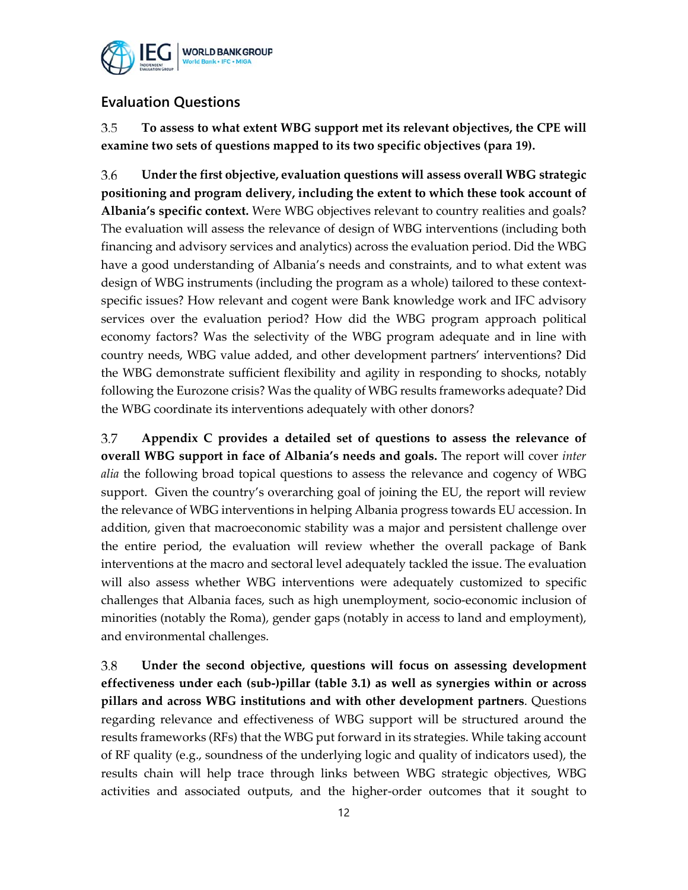

## **Evaluation Questions**

3.5 **To assess to what extent WBG support met its relevant objectives, the CPE will examine two sets of questions mapped to its two specific objectives (para 19).**

3.6 **Under the first objective, evaluation questions will assess overall WBG strategic positioning and program delivery, including the extent to which these took account of Albania's specific context.** Were WBG objectives relevant to country realities and goals? The evaluation will assess the relevance of design of WBG interventions (including both financing and advisory services and analytics) across the evaluation period. Did the WBG have a good understanding of Albania's needs and constraints, and to what extent was design of WBG instruments (including the program as a whole) tailored to these contextspecific issues? How relevant and cogent were Bank knowledge work and IFC advisory services over the evaluation period? How did the WBG program approach political economy factors? Was the selectivity of the WBG program adequate and in line with country needs, WBG value added, and other development partners' interventions? Did the WBG demonstrate sufficient flexibility and agility in responding to shocks, notably following the Eurozone crisis? Was the quality of WBG results frameworks adequate? Did the WBG coordinate its interventions adequately with other donors?

3.7 **Appendix C provides a detailed set of questions to assess the relevance of overall WBG support in face of Albania's needs and goals.** The report will cover *inter alia* the following broad topical questions to assess the relevance and cogency of WBG support. Given the country's overarching goal of joining the EU, the report will review the relevance of WBG interventions in helping Albania progress towards EU accession. In addition, given that macroeconomic stability was a major and persistent challenge over the entire period, the evaluation will review whether the overall package of Bank interventions at the macro and sectoral level adequately tackled the issue. The evaluation will also assess whether WBG interventions were adequately customized to specific challenges that Albania faces, such as high unemployment, socio-economic inclusion of minorities (notably the Roma), gender gaps (notably in access to land and employment), and environmental challenges.

3.8 **Under the second objective, questions will focus on assessing development effectiveness under each (sub-)pillar (table 3.1) as well as synergies within or across pillars and across WBG institutions and with other development partners**. Questions regarding relevance and effectiveness of WBG support will be structured around the results frameworks (RFs) that the WBG put forward in its strategies. While taking account of RF quality (e.g., soundness of the underlying logic and quality of indicators used), the results chain will help trace through links between WBG strategic objectives, WBG activities and associated outputs, and the higher-order outcomes that it sought to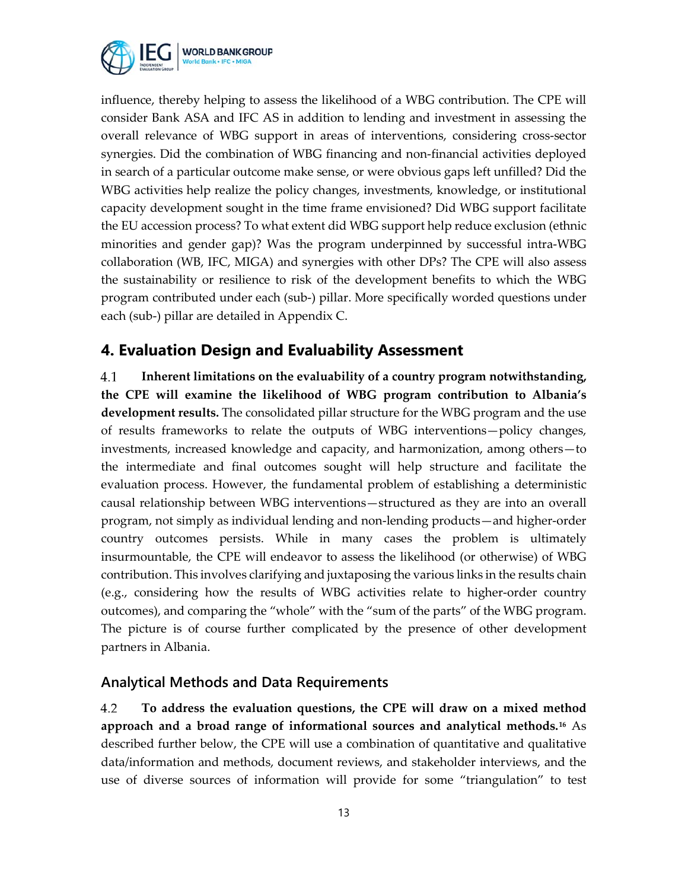

influence, thereby helping to assess the likelihood of a WBG contribution. The CPE will consider Bank ASA and IFC AS in addition to lending and investment in assessing the overall relevance of WBG support in areas of interventions, considering cross-sector synergies. Did the combination of WBG financing and non-financial activities deployed in search of a particular outcome make sense, or were obvious gaps left unfilled? Did the WBG activities help realize the policy changes, investments, knowledge, or institutional capacity development sought in the time frame envisioned? Did WBG support facilitate the EU accession process? To what extent did WBG support help reduce exclusion (ethnic minorities and gender gap)? Was the program underpinned by successful intra-WBG collaboration (WB, IFC, MIGA) and synergies with other DPs? The CPE will also assess the sustainability or resilience to risk of the development benefits to which the WBG program contributed under each (sub-) pillar. More specifically worded questions under each (sub-) pillar are detailed in Appendix C.

## **4. Evaluation Design and Evaluability Assessment**

**Inherent limitations on the evaluability of a country program notwithstanding,**  4.1 **the CPE will examine the likelihood of WBG program contribution to Albania's development results.** The consolidated pillar structure for the WBG program and the use of results frameworks to relate the outputs of WBG interventions—policy changes, investments, increased knowledge and capacity, and harmonization, among others—to the intermediate and final outcomes sought will help structure and facilitate the evaluation process. However, the fundamental problem of establishing a deterministic causal relationship between WBG interventions—structured as they are into an overall program, not simply as individual lending and non-lending products—and higher-order country outcomes persists. While in many cases the problem is ultimately insurmountable, the CPE will endeavor to assess the likelihood (or otherwise) of WBG contribution. This involves clarifying and juxtaposing the various links in the results chain (e.g., considering how the results of WBG activities relate to higher-order country outcomes), and comparing the "whole" with the "sum of the parts" of the WBG program. The picture is of course further complicated by the presence of other development partners in Albania.

### **Analytical Methods and Data Requirements**

4.2 **To address the evaluation questions, the CPE will draw on a mixed method approach and a broad range of informational sources and analytical methods.[16](#page-17-13)** As described further below, the CPE will use a combination of quantitative and qualitative data/information and methods, document reviews, and stakeholder interviews, and the use of diverse sources of information will provide for some "triangulation" to test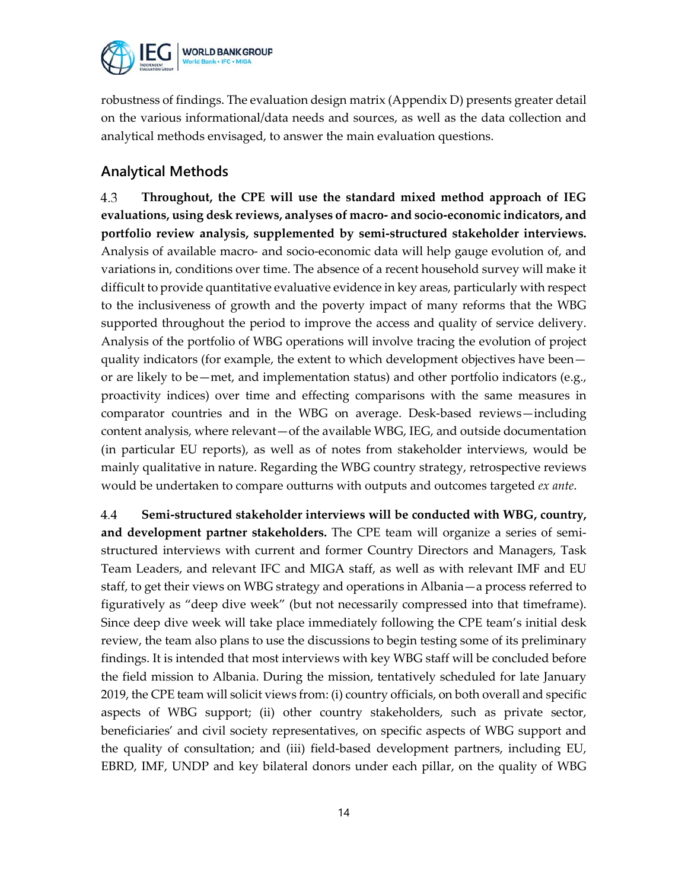

robustness of findings. The evaluation design matrix (Appendix D) presents greater detail on the various informational/data needs and sources, as well as the data collection and analytical methods envisaged, to answer the main evaluation questions.

### **Analytical Methods**

4.3 **Throughout, the CPE will use the standard mixed method approach of IEG evaluations, using desk reviews, analyses of macro- and socio-economic indicators, and portfolio review analysis, supplemented by semi-structured stakeholder interviews.**  Analysis of available macro- and socio-economic data will help gauge evolution of, and variations in, conditions over time. The absence of a recent household survey will make it difficult to provide quantitative evaluative evidence in key areas, particularly with respect to the inclusiveness of growth and the poverty impact of many reforms that the WBG supported throughout the period to improve the access and quality of service delivery. Analysis of the portfolio of WBG operations will involve tracing the evolution of project quality indicators (for example, the extent to which development objectives have been or are likely to be—met, and implementation status) and other portfolio indicators (e.g., proactivity indices) over time and effecting comparisons with the same measures in comparator countries and in the WBG on average. Desk-based reviews—including content analysis, where relevant—of the available WBG, IEG, and outside documentation (in particular EU reports), as well as of notes from stakeholder interviews, would be mainly qualitative in nature. Regarding the WBG country strategy, retrospective reviews would be undertaken to compare outturns with outputs and outcomes targeted *ex ante*.

4.4 **Semi-structured stakeholder interviews will be conducted with WBG, country, and development partner stakeholders.** The CPE team will organize a series of semistructured interviews with current and former Country Directors and Managers, Task Team Leaders, and relevant IFC and MIGA staff, as well as with relevant IMF and EU staff, to get their views on WBG strategy and operations in Albania—a process referred to figuratively as "deep dive week" (but not necessarily compressed into that timeframe). Since deep dive week will take place immediately following the CPE team's initial desk review, the team also plans to use the discussions to begin testing some of its preliminary findings. It is intended that most interviews with key WBG staff will be concluded before the field mission to Albania. During the mission, tentatively scheduled for late January 2019, the CPE team will solicit views from: (i) country officials, on both overall and specific aspects of WBG support; (ii) other country stakeholders, such as private sector, beneficiaries' and civil society representatives, on specific aspects of WBG support and the quality of consultation; and (iii) field-based development partners, including EU, EBRD, IMF, UNDP and key bilateral donors under each pillar, on the quality of WBG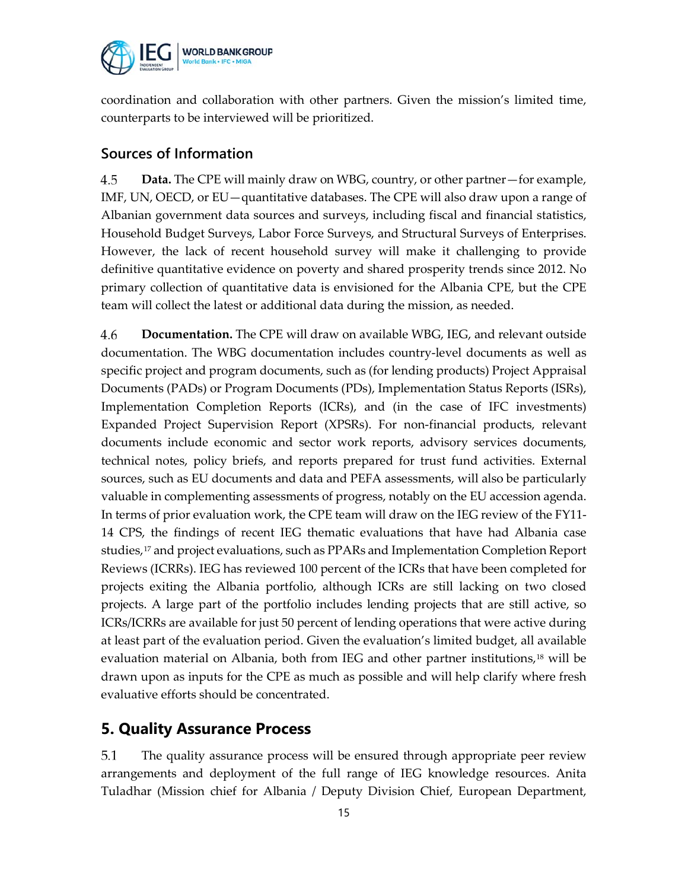

coordination and collaboration with other partners. Given the mission's limited time, counterparts to be interviewed will be prioritized.

### **Sources of Information**

4.5 **Data.** The CPE will mainly draw on WBG, country, or other partner—for example, IMF, UN, OECD, or EU—quantitative databases. The CPE will also draw upon a range of Albanian government data sources and surveys, including fiscal and financial statistics, Household Budget Surveys, Labor Force Surveys, and Structural Surveys of Enterprises. However, the lack of recent household survey will make it challenging to provide definitive quantitative evidence on poverty and shared prosperity trends since 2012. No primary collection of quantitative data is envisioned for the Albania CPE, but the CPE team will collect the latest or additional data during the mission, as needed.

4.6 **Documentation.** The CPE will draw on available WBG, IEG, and relevant outside documentation. The WBG documentation includes country-level documents as well as specific project and program documents, such as (for lending products) Project Appraisal Documents (PADs) or Program Documents (PDs), Implementation Status Reports (ISRs), Implementation Completion Reports (ICRs), and (in the case of IFC investments) Expanded Project Supervision Report (XPSRs). For non-financial products, relevant documents include economic and sector work reports, advisory services documents, technical notes, policy briefs, and reports prepared for trust fund activities. External sources, such as EU documents and data and PEFA assessments, will also be particularly valuable in complementing assessments of progress, notably on the EU accession agenda. In terms of prior evaluation work, the CPE team will draw on the IEG review of the FY11- 14 CPS, the findings of recent IEG thematic evaluations that have had Albania case studies,[17](#page-17-0) and project evaluations, such as PPARs and Implementation Completion Report Reviews (ICRRs). IEG has reviewed 100 percent of the ICRs that have been completed for projects exiting the Albania portfolio, although ICRs are still lacking on two closed projects. A large part of the portfolio includes lending projects that are still active, so ICRs/ICRRs are available for just 50 percent of lending operations that were active during at least part of the evaluation period. Given the evaluation's limited budget, all available evaluation material on Albania, both from IEG and other partner institutions, $18$  will be drawn upon as inputs for the CPE as much as possible and will help clarify where fresh evaluative efforts should be concentrated.

## **5. Quality Assurance Process**

5.1 The quality assurance process will be ensured through appropriate peer review arrangements and deployment of the full range of IEG knowledge resources. Anita Tuladhar (Mission chief for Albania / Deputy Division Chief, European Department,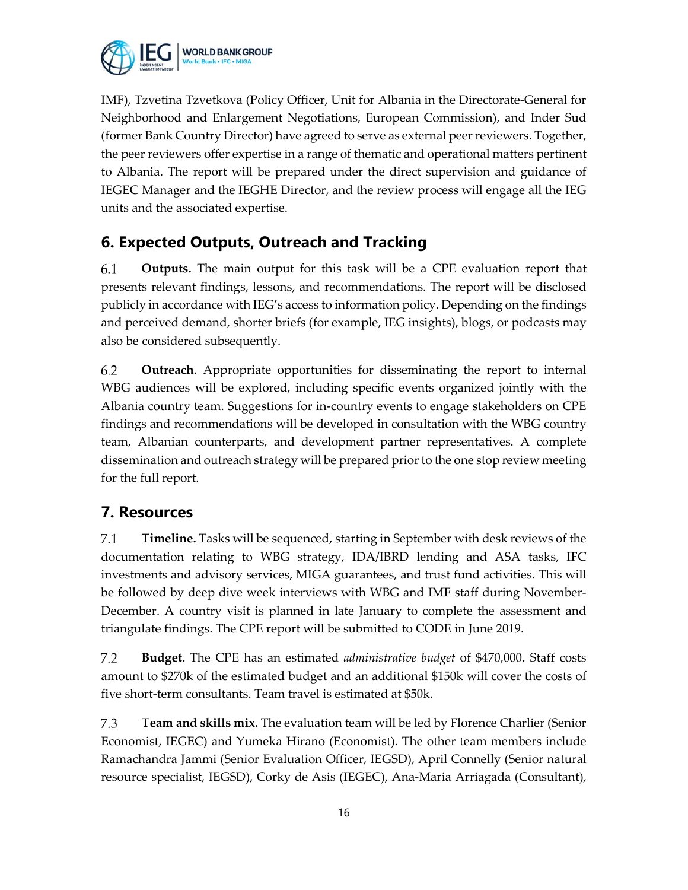

IMF), Tzvetina Tzvetkova (Policy Officer, Unit for Albania in the Directorate-General for Neighborhood and Enlargement Negotiations, European Commission), and Inder Sud (former Bank Country Director) have agreed to serve as external peer reviewers. Together, the peer reviewers offer expertise in a range of thematic and operational matters pertinent to Albania. The report will be prepared under the direct supervision and guidance of IEGEC Manager and the IEGHE Director, and the review process will engage all the IEG units and the associated expertise.

## **6. Expected Outputs, Outreach and Tracking**

**Outputs.** The main output for this task will be a CPE evaluation report that 6.1 presents relevant findings, lessons, and recommendations. The report will be disclosed publicly in accordance with IEG's access to information policy. Depending on the findings and perceived demand, shorter briefs (for example, IEG insights), blogs, or podcasts may also be considered subsequently.

6.2 **Outreach**. Appropriate opportunities for disseminating the report to internal WBG audiences will be explored, including specific events organized jointly with the Albania country team. Suggestions for in-country events to engage stakeholders on CPE findings and recommendations will be developed in consultation with the WBG country team, Albanian counterparts, and development partner representatives. A complete dissemination and outreach strategy will be prepared prior to the one stop review meeting for the full report.

## **7. Resources**

7.1 **Timeline.** Tasks will be sequenced, starting in September with desk reviews of the documentation relating to WBG strategy, IDA/IBRD lending and ASA tasks, IFC investments and advisory services, MIGA guarantees, and trust fund activities. This will be followed by deep dive week interviews with WBG and IMF staff during November-December. A country visit is planned in late January to complete the assessment and triangulate findings. The CPE report will be submitted to CODE in June 2019.

 $7.2$ **Budget.** The CPE has an estimated *administrative budget* of \$470,000**.** Staff costs amount to \$270k of the estimated budget and an additional \$150k will cover the costs of five short-term consultants. Team travel is estimated at \$50k.

7.3 **Team and skills mix.** The evaluation team will be led by Florence Charlier (Senior Economist, IEGEC) and Yumeka Hirano (Economist). The other team members include Ramachandra Jammi (Senior Evaluation Officer, IEGSD), April Connelly (Senior natural resource specialist, IEGSD), Corky de Asis (IEGEC), Ana-Maria Arriagada (Consultant),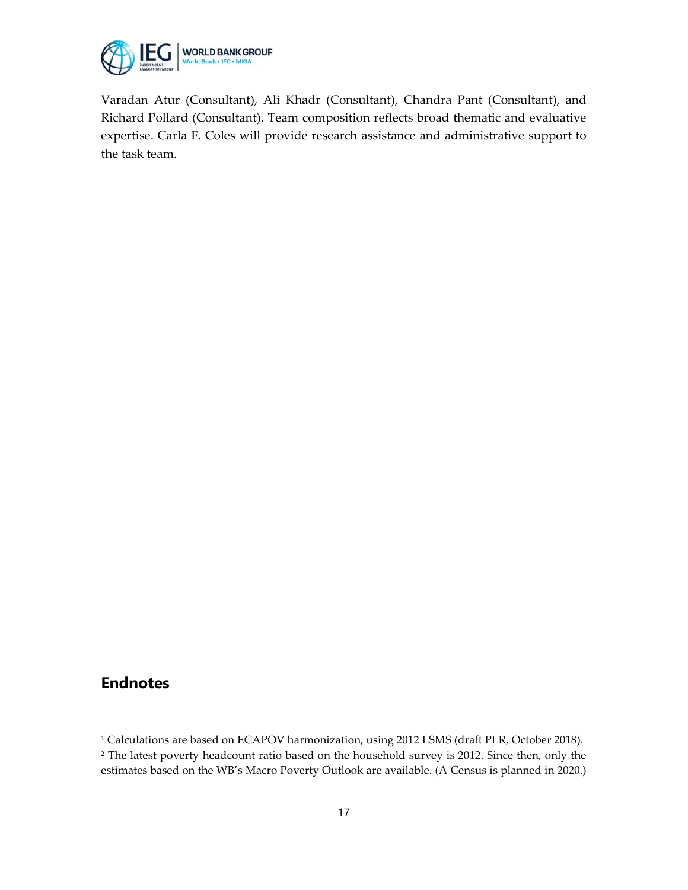

Varadan Atur (Consultant), Ali Khadr (Consultant), Chandra Pant (Consultant), and Richard Pollard (Consultant). Team composition reflects broad thematic and evaluative expertise. Carla F. Coles will provide research assistance and administrative support to the task team.

### **Endnotes**

 $\overline{a}$ 

<span id="page-16-1"></span><span id="page-16-0"></span><sup>&</sup>lt;sup>1</sup> Calculations are based on ECAPOV harmonization, using 2012 LSMS (draft PLR, October 2018). <sup>2</sup> The latest poverty headcount ratio based on the household survey is 2012. Since then, only the estimates based on the WB's Macro Poverty Outlook are available. (A Census is planned in 2020.)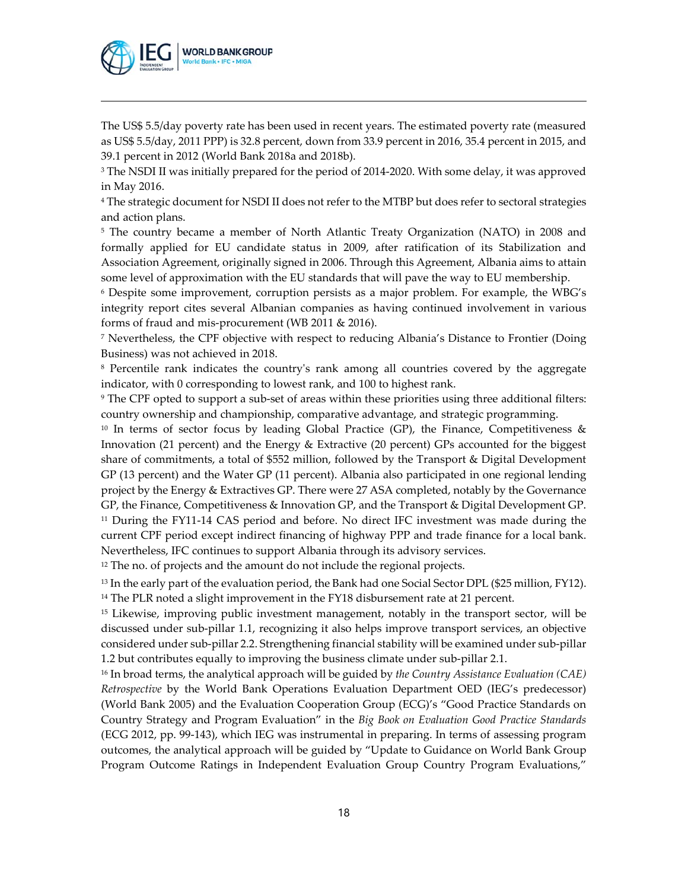

 $\overline{a}$ 

The US\$ 5.5/day poverty rate has been used in recent years. The estimated poverty rate (measured as US\$ 5.5/day, 2011 PPP) is 32.8 percent, down from 33.9 percent in 2016, 35.4 percent in 2015, and 39.1 percent in 2012 (World Bank 2018a and 2018b).

<span id="page-17-0"></span><sup>3</sup> The NSDI II was initially prepared for the period of 2014-2020. With some delay, it was approved in May 2016.

<span id="page-17-1"></span><sup>4</sup> The strategic document for NSDI II does not refer to the MTBP but does refer to sectoral strategies and action plans.

<span id="page-17-2"></span><sup>5</sup> The country became a member of North Atlantic Treaty Organization (NATO) in 2008 and formally applied for EU candidate status in 2009, after ratification of its Stabilization and Association Agreement, originally signed in 2006. Through this Agreement, Albania aims to attain some level of approximation with the EU standards that will pave the way to EU membership.

<span id="page-17-3"></span><sup>6</sup> Despite some improvement, corruption persists as a major problem. For example, the WBG's integrity report cites several Albanian companies as having continued involvement in various forms of fraud and mis-procurement (WB 2011 & 2016).

<span id="page-17-4"></span><sup>7</sup> Nevertheless, the CPF objective with respect to reducing Albania's Distance to Frontier (Doing Business) was not achieved in 2018.

<span id="page-17-5"></span><sup>8</sup> Percentile rank indicates the country's rank among all countries covered by the aggregate indicator, with 0 corresponding to lowest rank, and 100 to highest rank.

<span id="page-17-6"></span><sup>9</sup> The CPF opted to support a sub-set of areas within these priorities using three additional filters: country ownership and championship, comparative advantage, and strategic programming.

<span id="page-17-7"></span><sup>10</sup> In terms of sector focus by leading Global Practice (GP), the Finance, Competitiveness & Innovation (21 percent) and the Energy & Extractive (20 percent) GPs accounted for the biggest share of commitments, a total of \$552 million, followed by the Transport & Digital Development GP (13 percent) and the Water GP (11 percent). Albania also participated in one regional lending project by the Energy & Extractives GP. There were 27 ASA completed, notably by the Governance GP, the Finance, Competitiveness & Innovation GP, and the Transport & Digital Development GP. <sup>11</sup> During the FY11-14 CAS period and before. No direct IFC investment was made during the current CPF period except indirect financing of highway PPP and trade finance for a local bank. Nevertheless, IFC continues to support Albania through its advisory services.

<span id="page-17-9"></span><span id="page-17-8"></span><sup>12</sup> The no. of projects and the amount do not include the regional projects.

<span id="page-17-11"></span><span id="page-17-10"></span><sup>13</sup> In the early part of the evaluation period, the Bank had one Social Sector DPL (\$25 million, FY12). <sup>14</sup> The PLR noted a slight improvement in the FY18 disbursement rate at 21 percent.

<span id="page-17-12"></span><sup>15</sup> Likewise, improving public investment management, notably in the transport sector, will be discussed under sub-pillar 1.1, recognizing it also helps improve transport services, an objective considered under sub-pillar 2.2. Strengthening financial stability will be examined under sub-pillar 1.2 but contributes equally to improving the business climate under sub-pillar 2.1.

<span id="page-17-13"></span><sup>16</sup> In broad terms, the analytical approach will be guided by *the Country Assistance Evaluation (CAE) Retrospective* by the World Bank Operations Evaluation Department OED (IEG's predecessor) (World Bank 2005) and the Evaluation Cooperation Group (ECG)'s "Good Practice Standards on Country Strategy and Program Evaluation" in the *Big Book on Evaluation Good Practice Standards* (ECG 2012, pp. 99-143), which IEG was instrumental in preparing. In terms of assessing program outcomes, the analytical approach will be guided by "Update to Guidance on World Bank Group Program Outcome Ratings in Independent Evaluation Group Country Program Evaluations,"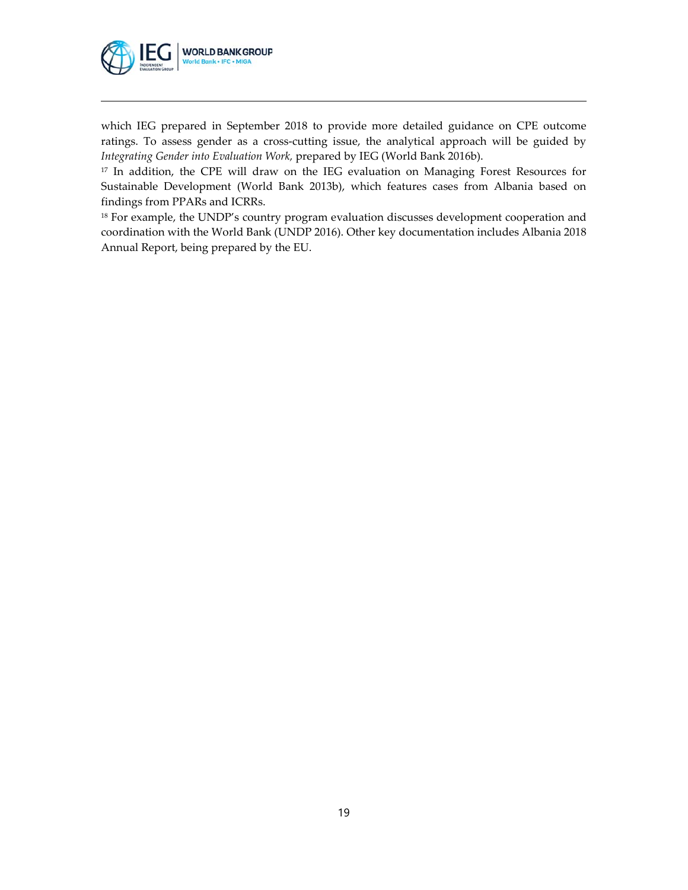

 $\overline{a}$ 

which IEG prepared in September 2018 to provide more detailed guidance on CPE outcome ratings. To assess gender as a cross-cutting issue, the analytical approach will be guided by *Integrating Gender into Evaluation Work,* prepared by IEG (World Bank 2016b).

<sup>17</sup> In addition, the CPE will draw on the IEG evaluation on Managing Forest Resources for Sustainable Development (World Bank 2013b), which features cases from Albania based on findings from PPARs and ICRRs.

<span id="page-18-0"></span><sup>18</sup> For example, the UNDP's country program evaluation discusses development cooperation and coordination with the World Bank (UNDP 2016). Other key documentation includes Albania 2018 Annual Report, being prepared by the EU.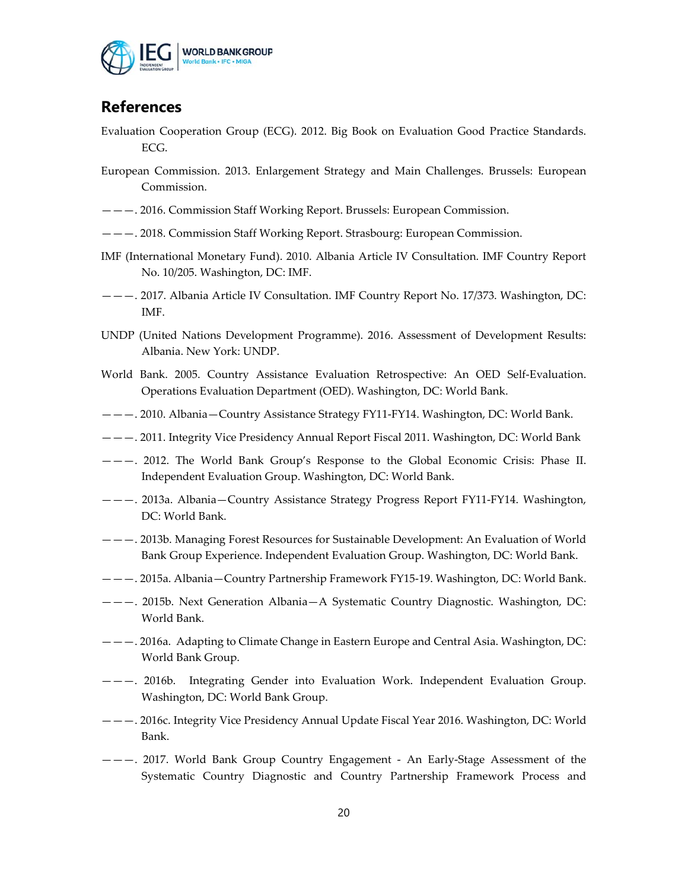

## **References**

- Evaluation Cooperation Group (ECG). 2012. Big Book on Evaluation Good Practice Standards. ECG.
- European Commission. 2013. Enlargement Strategy and Main Challenges. Brussels: European Commission.
- ———. 2016. Commission Staff Working Report. Brussels: European Commission.
- ———. 2018. Commission Staff Working Report. Strasbourg: European Commission.
- IMF (International Monetary Fund). 2010. Albania Article IV Consultation. IMF Country Report No. 10/205. Washington, DC: IMF.
- ———. 2017. Albania Article IV Consultation. IMF Country Report No. 17/373. Washington, DC: IMF.
- UNDP (United Nations Development Programme). 2016. Assessment of Development Results: Albania. New York: UNDP.
- World Bank. 2005. Country Assistance Evaluation Retrospective: An OED Self-Evaluation. Operations Evaluation Department (OED). Washington, DC: World Bank.
- ———. 2010. Albania—Country Assistance Strategy FY11-FY14. Washington, DC: World Bank.
- ———. 2011. Integrity Vice Presidency Annual Report Fiscal 2011. Washington, DC: World Bank
- ———. 2012. The World Bank Group's Response to the Global Economic Crisis: Phase II. Independent Evaluation Group. Washington, DC: World Bank.
- ———. 2013a. Albania—Country Assistance Strategy Progress Report FY11-FY14. Washington, DC: World Bank.
- ———. 2013b. Managing Forest Resources for Sustainable Development: An Evaluation of World Bank Group Experience. Independent Evaluation Group. Washington, DC: World Bank.
- ———. 2015a. Albania—Country Partnership Framework FY15-19. Washington, DC: World Bank.
- ———. 2015b. Next Generation Albania—A Systematic Country Diagnostic. Washington, DC: World Bank.
- ———. 2016a. Adapting to Climate Change in Eastern Europe and Central Asia. Washington, DC: World Bank Group.
- ———. 2016b. Integrating Gender into Evaluation Work. Independent Evaluation Group. Washington, DC: World Bank Group.
- ———. 2016c. Integrity Vice Presidency Annual Update Fiscal Year 2016. Washington, DC: World Bank.
- ———. 2017. World Bank Group Country Engagement An Early-Stage Assessment of the Systematic Country Diagnostic and Country Partnership Framework Process and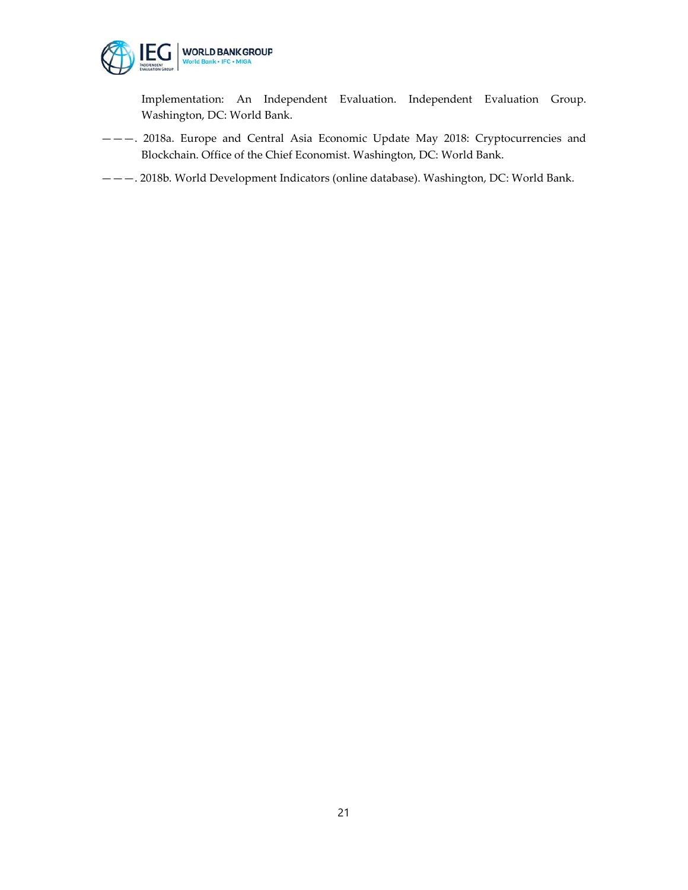

Implementation: An Independent Evaluation. Independent Evaluation Group. Washington, DC: World Bank.

- ———. 2018a. Europe and Central Asia Economic Update May 2018: Cryptocurrencies and Blockchain. Office of the Chief Economist. Washington, DC: World Bank.
- ———. 2018b. World Development Indicators (online database). Washington, DC: World Bank.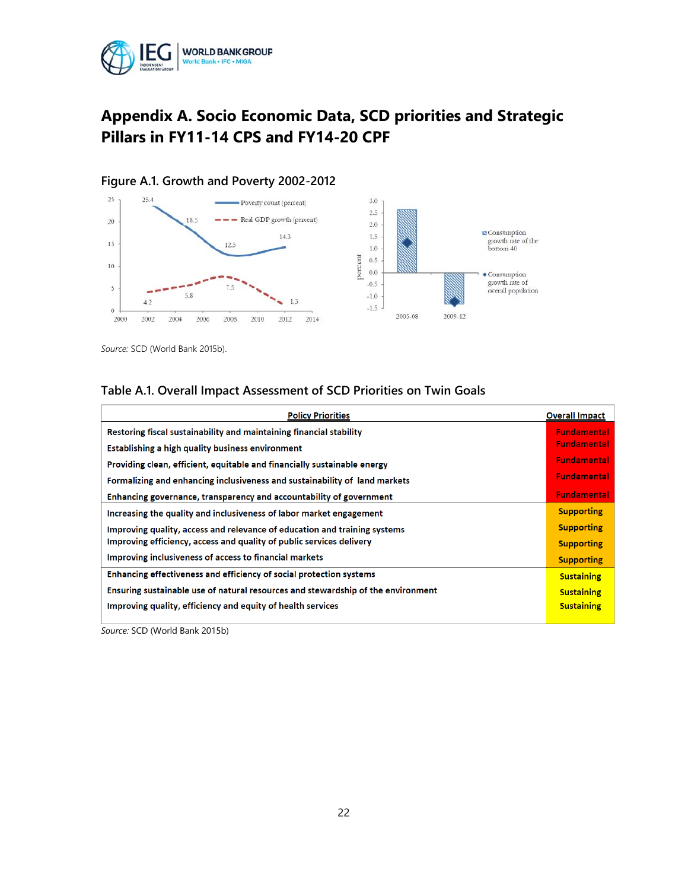

## **Appendix A. Socio Economic Data, SCD priorities and Strategic Pillars in FY11-14 CPS and FY14-20 CPF**



#### **Figure A.1. Growth and Poverty 2002-2012**

*Source:* SCD (World Bank 2015b).

#### **Table A.1. Overall Impact Assessment of SCD Priorities on Twin Goals**

| <b>Policy Priorities</b>                                                         | <b>Overall Impact</b> |
|----------------------------------------------------------------------------------|-----------------------|
| Restoring fiscal sustainability and maintaining financial stability              | <b>Fundamental</b>    |
| Establishing a high quality business environment                                 | <b>Fundamental</b>    |
| Providing clean, efficient, equitable and financially sustainable energy         | <b>Fundamental</b>    |
| Formalizing and enhancing inclusiveness and sustainability of land markets       | <b>Fundamental</b>    |
| Enhancing governance, transparency and accountability of government              | <b>Fundamental</b>    |
| Increasing the quality and inclusiveness of labor market engagement              | <b>Supporting</b>     |
| Improving quality, access and relevance of education and training systems        | <b>Supporting</b>     |
| Improving efficiency, access and quality of public services delivery             | <b>Supporting</b>     |
| Improving inclusiveness of access to financial markets                           | <b>Supporting</b>     |
| Enhancing effectiveness and efficiency of social protection systems              | <b>Sustaining</b>     |
| Ensuring sustainable use of natural resources and stewardship of the environment | <b>Sustaining</b>     |
| Improving quality, efficiency and equity of health services                      | <b>Sustaining</b>     |
|                                                                                  |                       |

*Source:* SCD (World Bank 2015b)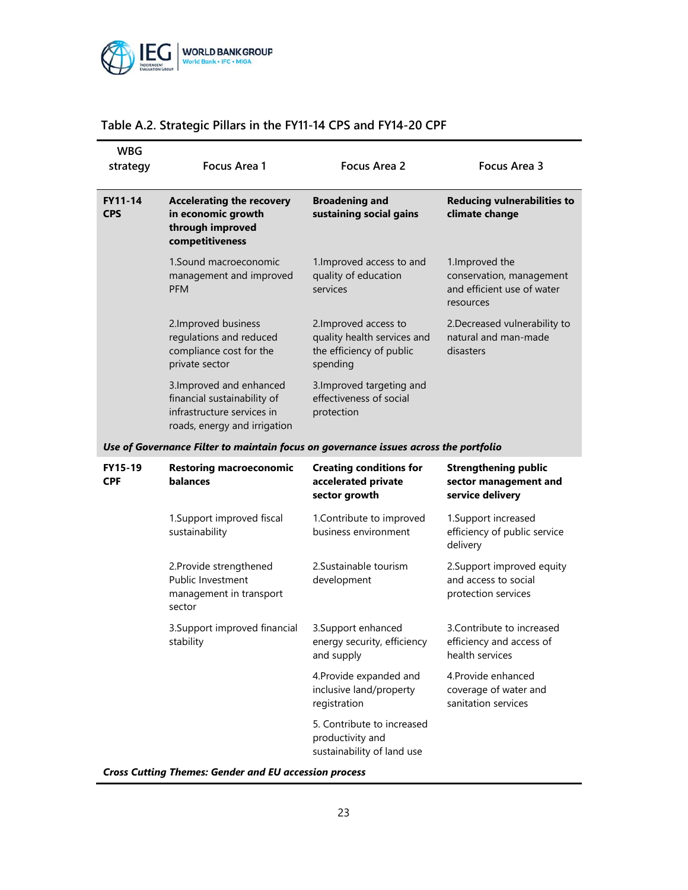

| <b>WBG</b><br>strategy       | <b>Focus Area 1</b>                                                                                                   | <b>Focus Area 2</b>                                                                          | Focus Area 3                                                                           |
|------------------------------|-----------------------------------------------------------------------------------------------------------------------|----------------------------------------------------------------------------------------------|----------------------------------------------------------------------------------------|
| <b>FY11-14</b><br><b>CPS</b> | <b>Accelerating the recovery</b><br>in economic growth<br>through improved<br>competitiveness                         | <b>Broadening and</b><br>sustaining social gains                                             | <b>Reducing vulnerabilities to</b><br>climate change                                   |
|                              | 1.Sound macroeconomic<br>management and improved<br><b>PFM</b>                                                        | 1. Improved access to and<br>quality of education<br>services                                | 1. Improved the<br>conservation, management<br>and efficient use of water<br>resources |
|                              | 2. Improved business<br>regulations and reduced<br>compliance cost for the<br>private sector                          | 2. Improved access to<br>quality health services and<br>the efficiency of public<br>spending | 2. Decreased vulnerability to<br>natural and man-made<br>disasters                     |
|                              | 3. Improved and enhanced<br>financial sustainability of<br>infrastructure services in<br>roads, energy and irrigation | 3. Improved targeting and<br>effectiveness of social<br>protection                           |                                                                                        |
|                              | Use of Governance Filter to maintain focus on governance issues across the portfolio                                  |                                                                                              |                                                                                        |
| <b>FY15-19</b><br><b>CPF</b> | <b>Restoring macroeconomic</b><br>balances                                                                            | <b>Creating conditions for</b><br>accelerated private<br>sector growth                       | <b>Strengthening public</b><br>sector management and<br>service delivery               |
|                              | 1. Support improved fiscal<br>sustainability                                                                          | 1. Contribute to improved<br>business environment                                            | 1. Support increased<br>efficiency of public service<br>delivery                       |
|                              | 2. Provide strengthened<br><b>Public Investment</b><br>management in transport<br>sector                              | 2. Sustainable tourism<br>development                                                        | 2. Support improved equity<br>and access to social<br>protection services              |
|                              | 3. Support improved financial<br>stability                                                                            | 3. Support enhanced<br>energy security, efficiency<br>and supply                             | 3. Contribute to increased<br>efficiency and access of<br>health services              |
|                              |                                                                                                                       | 4. Provide expanded and<br>inclusive land/property<br>registration                           | 4. Provide enhanced<br>coverage of water and<br>sanitation services                    |
|                              |                                                                                                                       | 5. Contribute to increased<br>productivity and<br>sustainability of land use                 |                                                                                        |

#### **Table A.2. Strategic Pillars in the FY11-14 CPS and FY14-20 CPF**

*Cross Cutting Themes: Gender and EU accession process*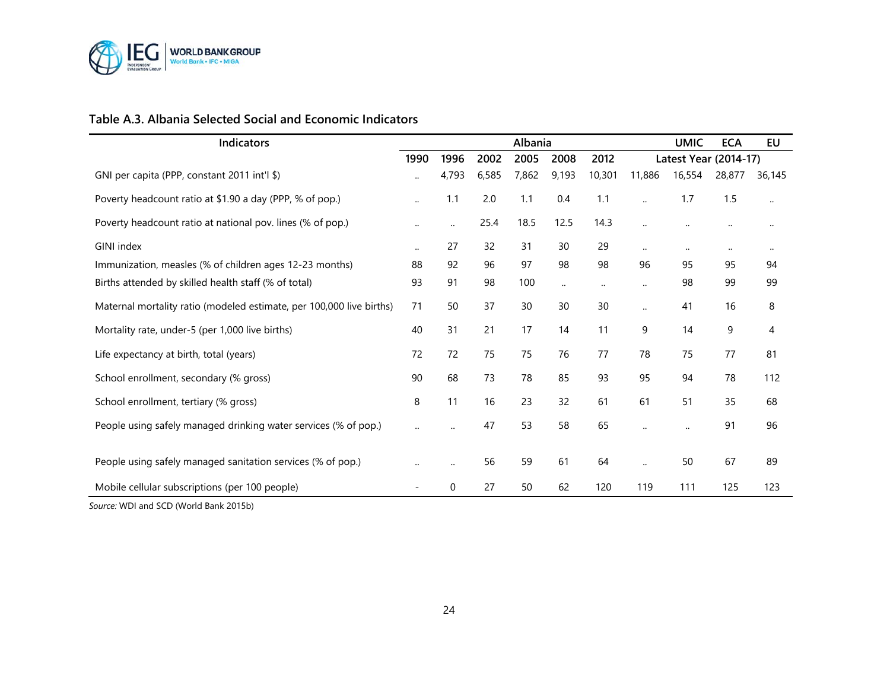

#### **Table A.3. Albania Selected Social and Economic Indicators**

| Indicators                                                           |           |              |       | Albania |           |          |                      | <b>UMIC</b>           | <b>ECA</b> | EU       |
|----------------------------------------------------------------------|-----------|--------------|-------|---------|-----------|----------|----------------------|-----------------------|------------|----------|
|                                                                      | 1990      | 1996         | 2002  | 2005    | 2008      | 2012     |                      | Latest Year (2014-17) |            |          |
| GNI per capita (PPP, constant 2011 int'l \$)                         |           | 4,793        | 6,585 | 7,862   | 9,193     | 10,301   | 11,886               | 16,554                | 28,877     | 36,145   |
| Poverty headcount ratio at \$1.90 a day (PPP, % of pop.)             |           | 1.1          | 2.0   | 1.1     | 0.4       | 1.1      |                      | 1.7                   | 1.5        | $\ldots$ |
| Poverty headcount ratio at national pov. lines (% of pop.)           |           | $\cdot\cdot$ | 25.4  | 18.5    | 12.5      | 14.3     |                      |                       |            |          |
| <b>GINI</b> index                                                    | $\ddotsc$ | 27           | 32    | 31      | 30        | 29       | $\ldots$             | $\cdot\cdot$          | $\ddotsc$  |          |
| Immunization, measles (% of children ages 12-23 months)              | 88        | 92           | 96    | 97      | 98        | 98       | 96                   | 95                    | 95         | 94       |
| Births attended by skilled health staff (% of total)                 | 93        | 91           | 98    | 100     | $\ddotsc$ | $\ldots$ | $\ldots$             | 98                    | 99         | 99       |
| Maternal mortality ratio (modeled estimate, per 100,000 live births) | 71        | 50           | 37    | 30      | 30        | 30       | $\ddotsc$            | 41                    | 16         | 8        |
| Mortality rate, under-5 (per 1,000 live births)                      | 40        | 31           | 21    | 17      | 14        | 11       | 9                    | 14                    | 9          | 4        |
| Life expectancy at birth, total (years)                              | 72        | 72           | 75    | 75      | 76        | 77       | 78                   | 75                    | 77         | 81       |
| School enrollment, secondary (% gross)                               | 90        | 68           | 73    | 78      | 85        | 93       | 95                   | 94                    | 78         | 112      |
| School enrollment, tertiary (% gross)                                | 8         | 11           | 16    | 23      | 32        | 61       | 61                   | 51                    | 35         | 68       |
| People using safely managed drinking water services (% of pop.)      |           |              | 47    | 53      | 58        | 65       |                      | $\ddot{\phantom{0}}$  | 91         | 96       |
| People using safely managed sanitation services (% of pop.)          |           |              | 56    | 59      | 61        | 64       | $\ddot{\phantom{a}}$ | 50                    | 67         | 89       |
| Mobile cellular subscriptions (per 100 people)                       |           | 0            | 27    | 50      | 62        | 120      | 119                  | 111                   | 125        | 123      |

*Source:* WDI and SCD (World Bank 2015b)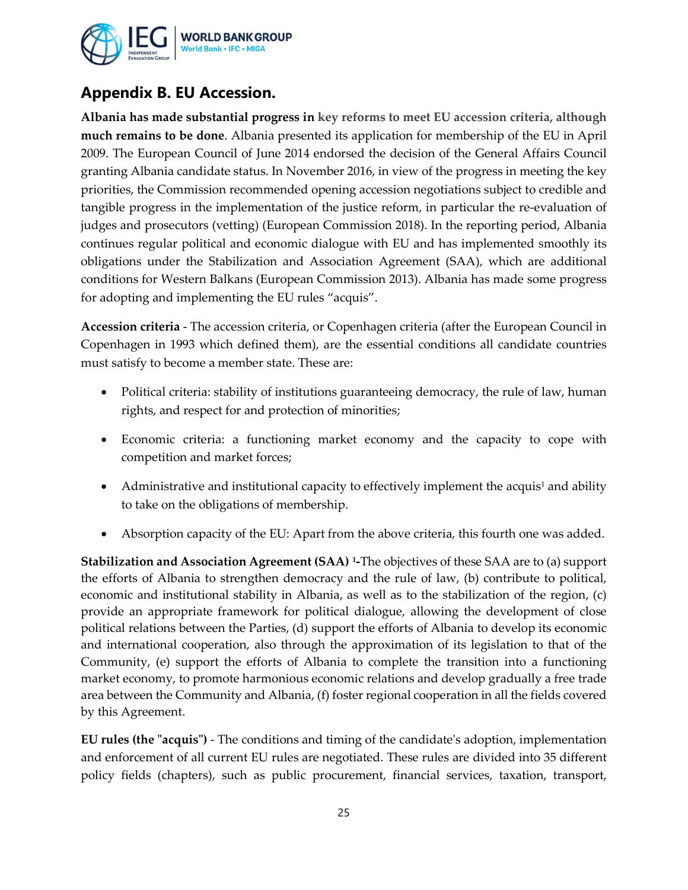

## **Appendix B. EU Accession.**

**Albania has made substantial progress in key reforms to meet EU accession criteria, although much remains to be done**. Albania presented its application for membership of the EU in April 2009. The European Council of June 2014 endorsed the decision of the General Affairs Council granting Albania candidate status. In November 2016, in view of the progress in meeting the key priorities, the Commission recommended opening accession negotiations subject to credible and tangible progress in the implementation of the justice reform, in particular the re-evaluation of judges and prosecutors (vetting) (European Commission 2018). In the reporting period, Albania continues regular political and economic dialogue with EU and has implemented smoothly its obligations under the Stabilization and Association Agreement (SAA), which are additional conditions for Western Balkans (European Commission 2013). Albania has made some progress for adopting and implementing the EU rules "acquis".

**Accession criteria** - The accession criteria, or Copenhagen criteria (after the European Council in Copenhagen in 1993 which defined them), are the essential conditions all candidate countries must satisfy to become a member state. These are:

- Political criteria: stability of institutions guaranteeing democracy, the rule of law, human rights, and respect for and protection of minorities;
- Economic criteria: a functioning market economy and the capacity to cope with competition and market forces;
- Administrative and institutional capacity to effectively implement the acquis<sup>1</sup> and ability to take on the obligations of membership.
- Absorption capacity of the EU: Apart from the above criteria, this fourth one was added.

**Stabilization and Association Agreement (SAA) [1](#page-25-0)-**The objectives of these SAA are to (a) support the efforts of Albania to strengthen democracy and the rule of law, (b) contribute to political, economic and institutional stability in Albania, as well as to the stabilization of the region, (c) provide an appropriate framework for political dialogue, allowing the development of close political relations between the Parties, (d) support the efforts of Albania to develop its economic and international cooperation, also through the approximation of its legislation to that of the Community, (e) support the efforts of Albania to complete the transition into a functioning market economy, to promote harmonious economic relations and develop gradually a free trade area between the Community and Albania, (f) foster regional cooperation in all the fields covered by this Agreement.

**EU rules (the "acquis")** - The conditions and timing of the candidate's adoption, implementation and enforcement of all current EU rules are negotiated. These rules are divided into 35 different policy fields (chapters), such as public procurement, financial services, taxation, transport,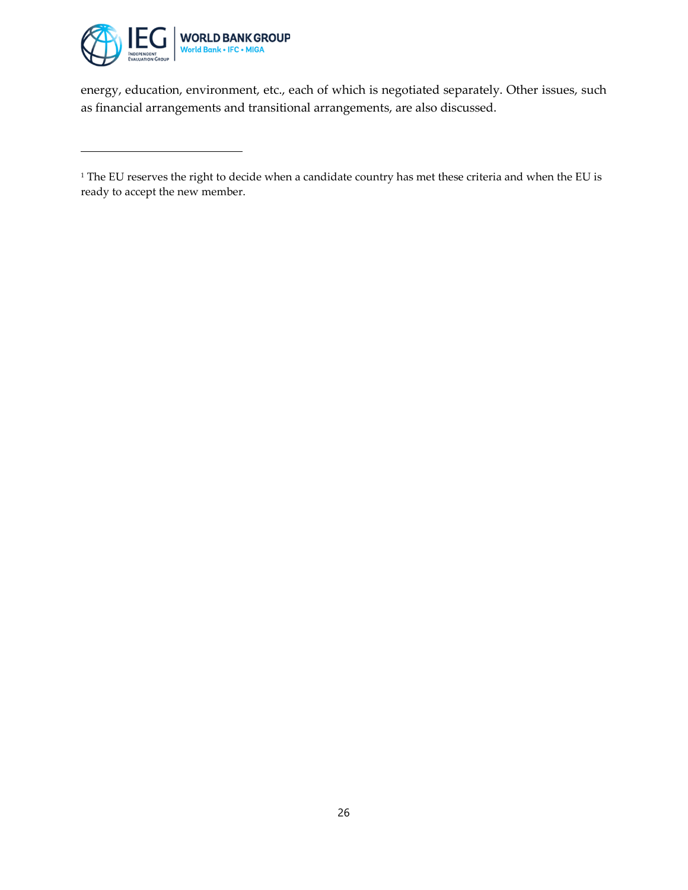

 $\overline{a}$ 

energy, education, environment, etc., each of which is negotiated separately. Other issues, such as financial arrangements and transitional arrangements, are also discussed.

<span id="page-25-0"></span><sup>&</sup>lt;sup>1</sup> The EU reserves the right to decide when a candidate country has met these criteria and when the EU is ready to accept the new member.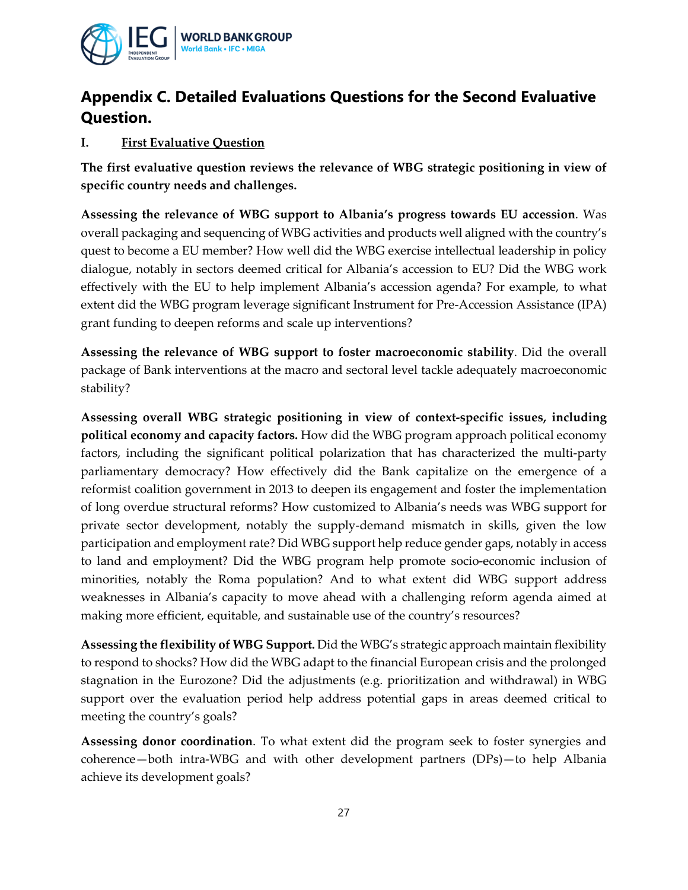

## **Appendix C. Detailed Evaluations Questions for the Second Evaluative Question.**

#### **I. First Evaluative Question**

**The first evaluative question reviews the relevance of WBG strategic positioning in view of specific country needs and challenges.**

**Assessing the relevance of WBG support to Albania's progress towards EU accession**. Was overall packaging and sequencing of WBG activities and products well aligned with the country's quest to become a EU member? How well did the WBG exercise intellectual leadership in policy dialogue, notably in sectors deemed critical for Albania's accession to EU? Did the WBG work effectively with the EU to help implement Albania's accession agenda? For example, to what extent did the WBG program leverage significant Instrument for Pre-Accession Assistance (IPA) grant funding to deepen reforms and scale up interventions?

**Assessing the relevance of WBG support to foster macroeconomic stability**. Did the overall package of Bank interventions at the macro and sectoral level tackle adequately macroeconomic stability?

**Assessing overall WBG strategic positioning in view of context-specific issues, including political economy and capacity factors.** How did the WBG program approach political economy factors, including the significant political polarization that has characterized the multi-party parliamentary democracy? How effectively did the Bank capitalize on the emergence of a reformist coalition government in 2013 to deepen its engagement and foster the implementation of long overdue structural reforms? How customized to Albania's needs was WBG support for private sector development, notably the supply-demand mismatch in skills, given the low participation and employment rate? Did WBG support help reduce gender gaps, notably in access to land and employment? Did the WBG program help promote socio-economic inclusion of minorities, notably the Roma population? And to what extent did WBG support address weaknesses in Albania's capacity to move ahead with a challenging reform agenda aimed at making more efficient, equitable, and sustainable use of the country's resources?

**Assessing the flexibility of WBG Support.** Did the WBG's strategic approach maintain flexibility to respond to shocks? How did the WBG adapt to the financial European crisis and the prolonged stagnation in the Eurozone? Did the adjustments (e.g. prioritization and withdrawal) in WBG support over the evaluation period help address potential gaps in areas deemed critical to meeting the country's goals?

**Assessing donor coordination**. To what extent did the program seek to foster synergies and coherence—both intra-WBG and with other development partners (DPs)—to help Albania achieve its development goals?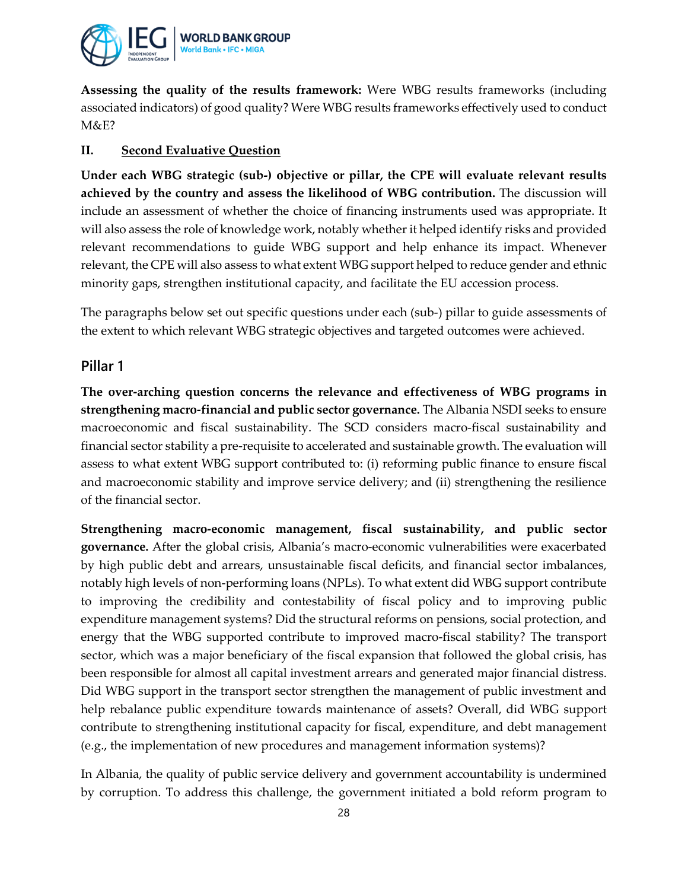

**Assessing the quality of the results framework:** Were WBG results frameworks (including associated indicators) of good quality? Were WBG results frameworks effectively used to conduct M&E?

#### **II. Second Evaluative Question**

**Under each WBG strategic (sub-) objective or pillar, the CPE will evaluate relevant results achieved by the country and assess the likelihood of WBG contribution.** The discussion will include an assessment of whether the choice of financing instruments used was appropriate. It will also assess the role of knowledge work, notably whether it helped identify risks and provided relevant recommendations to guide WBG support and help enhance its impact. Whenever relevant, the CPE will also assess to what extent WBG support helped to reduce gender and ethnic minority gaps, strengthen institutional capacity, and facilitate the EU accession process.

The paragraphs below set out specific questions under each (sub-) pillar to guide assessments of the extent to which relevant WBG strategic objectives and targeted outcomes were achieved.

#### **Pillar 1**

**The over-arching question concerns the relevance and effectiveness of WBG programs in strengthening macro-financial and public sector governance.** The Albania NSDI seeks to ensure macroeconomic and fiscal sustainability. The SCD considers macro-fiscal sustainability and financial sector stability a pre-requisite to accelerated and sustainable growth. The evaluation will assess to what extent WBG support contributed to: (i) reforming public finance to ensure fiscal and macroeconomic stability and improve service delivery; and (ii) strengthening the resilience of the financial sector.

**Strengthening macro-economic management, fiscal sustainability, and public sector governance.** After the global crisis, Albania's macro-economic vulnerabilities were exacerbated by high public debt and arrears, unsustainable fiscal deficits, and financial sector imbalances, notably high levels of non-performing loans (NPLs). To what extent did WBG support contribute to improving the credibility and contestability of fiscal policy and to improving public expenditure management systems? Did the structural reforms on pensions, social protection, and energy that the WBG supported contribute to improved macro-fiscal stability? The transport sector, which was a major beneficiary of the fiscal expansion that followed the global crisis, has been responsible for almost all capital investment arrears and generated major financial distress. Did WBG support in the transport sector strengthen the management of public investment and help rebalance public expenditure towards maintenance of assets? Overall, did WBG support contribute to strengthening institutional capacity for fiscal, expenditure, and debt management (e.g., the implementation of new procedures and management information systems)?

In Albania, the quality of public service delivery and government accountability is undermined by corruption. To address this challenge, the government initiated a bold reform program to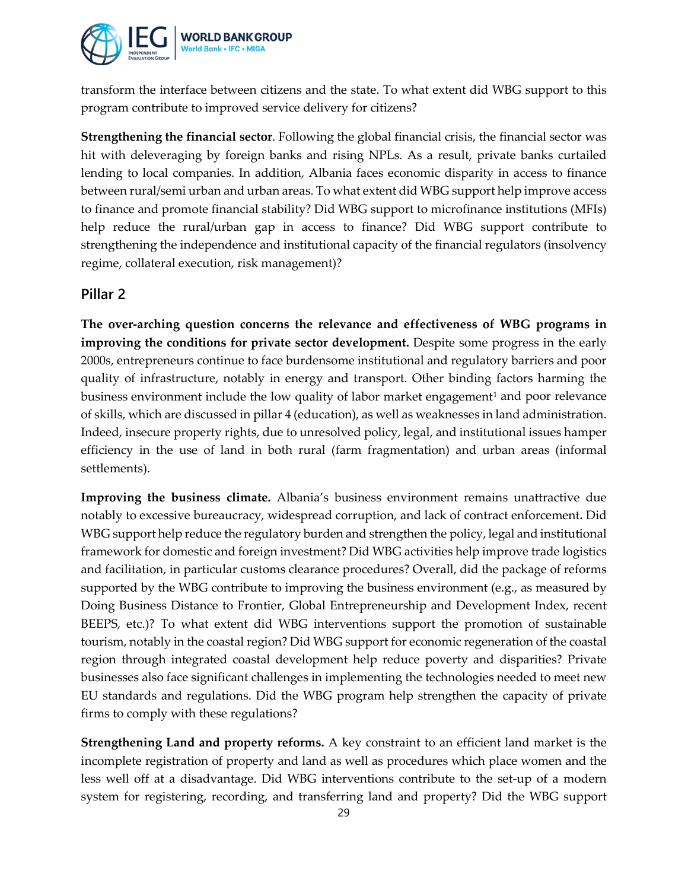

transform the interface between citizens and the state. To what extent did WBG support to this program contribute to improved service delivery for citizens?

**Strengthening the financial sector**. Following the global financial crisis, the financial sector was hit with deleveraging by foreign banks and rising NPLs. As a result, private banks curtailed lending to local companies. In addition, Albania faces economic disparity in access to finance between rural/semi urban and urban areas. To what extent did WBG support help improve access to finance and promote financial stability? Did WBG support to microfinance institutions (MFIs) help reduce the rural/urban gap in access to finance? Did WBG support contribute to strengthening the independence and institutional capacity of the financial regulators (insolvency regime, collateral execution, risk management)?

#### **Pillar 2**

**The over-arching question concerns the relevance and effectiveness of WBG programs in improving the conditions for private sector development.** Despite some progress in the early 2000s, entrepreneurs continue to face burdensome institutional and regulatory barriers and poor quality of infrastructure, notably in energy and transport. Other binding factors harming the business environment include the low quality of labor market engagement<sup>[1](#page-32-0)</sup> and poor relevance of skills, which are discussed in pillar 4 (education), as well as weaknesses in land administration. Indeed, insecure property rights, due to unresolved policy, legal, and institutional issues hamper efficiency in the use of land in both rural (farm fragmentation) and urban areas (informal settlements).

**Improving the business climate.** Albania's business environment remains unattractive due notably to excessive bureaucracy, widespread corruption, and lack of contract enforcement**.** Did WBG support help reduce the regulatory burden and strengthen the policy, legal and institutional framework for domestic and foreign investment? Did WBG activities help improve trade logistics and facilitation, in particular customs clearance procedures? Overall, did the package of reforms supported by the WBG contribute to improving the business environment (e.g., as measured by Doing Business Distance to Frontier, Global Entrepreneurship and Development Index, recent BEEPS, etc.)? To what extent did WBG interventions support the promotion of sustainable tourism, notably in the coastal region? Did WBG support for economic regeneration of the coastal region through integrated coastal development help reduce poverty and disparities? Private businesses also face significant challenges in implementing the technologies needed to meet new EU standards and regulations. Did the WBG program help strengthen the capacity of private firms to comply with these regulations?

**Strengthening Land and property reforms.** A key constraint to an efficient land market is the incomplete registration of property and land as well as procedures which place women and the less well off at a disadvantage. Did WBG interventions contribute to the set-up of a modern system for registering, recording, and transferring land and property? Did the WBG support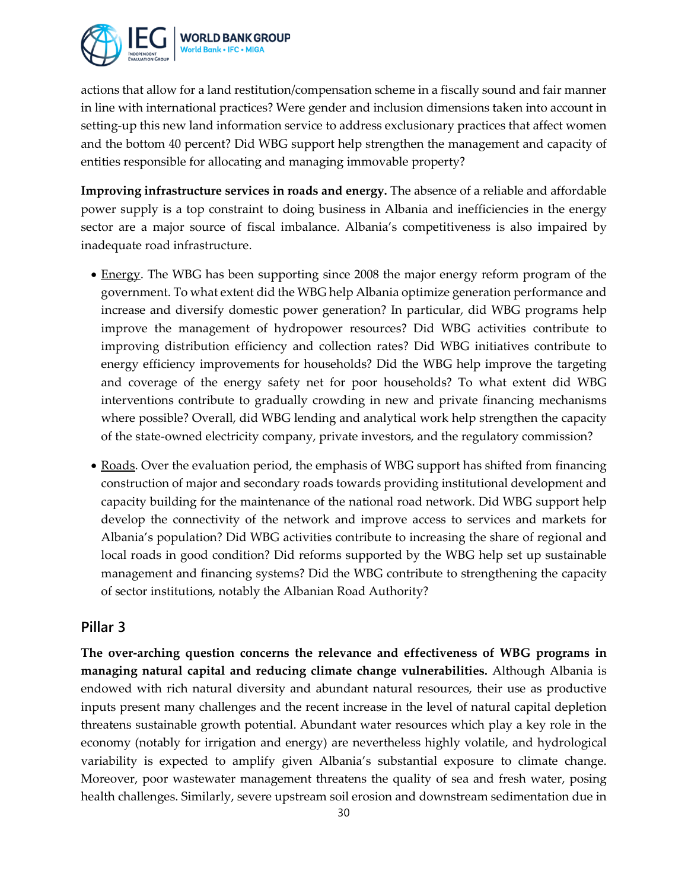

actions that allow for a land restitution/compensation scheme in a fiscally sound and fair manner in line with international practices? Were gender and inclusion dimensions taken into account in setting-up this new land information service to address exclusionary practices that affect women and the bottom 40 percent? Did WBG support help strengthen the management and capacity of entities responsible for allocating and managing immovable property?

**Improving infrastructure services in roads and energy.** The absence of a reliable and affordable power supply is a top constraint to doing business in Albania and inefficiencies in the energy sector are a major source of fiscal imbalance. Albania's competitiveness is also impaired by inadequate road infrastructure.

- Energy. The WBG has been supporting since 2008 the major energy reform program of the government. To what extent did the WBG help Albania optimize generation performance and increase and diversify domestic power generation? In particular, did WBG programs help improve the management of hydropower resources? Did WBG activities contribute to improving distribution efficiency and collection rates? Did WBG initiatives contribute to energy efficiency improvements for households? Did the WBG help improve the targeting and coverage of the energy safety net for poor households? To what extent did WBG interventions contribute to gradually crowding in new and private financing mechanisms where possible? Overall, did WBG lending and analytical work help strengthen the capacity of the state-owned electricity company, private investors, and the regulatory commission?
- Roads. Over the evaluation period, the emphasis of WBG support has shifted from financing construction of major and secondary roads towards providing institutional development and capacity building for the maintenance of the national road network. Did WBG support help develop the connectivity of the network and improve access to services and markets for Albania's population? Did WBG activities contribute to increasing the share of regional and local roads in good condition? Did reforms supported by the WBG help set up sustainable management and financing systems? Did the WBG contribute to strengthening the capacity of sector institutions, notably the Albanian Road Authority?

#### **Pillar 3**

**The over-arching question concerns the relevance and effectiveness of WBG programs in managing natural capital and reducing climate change vulnerabilities.** Although Albania is endowed with rich natural diversity and abundant natural resources, their use as productive inputs present many challenges and the recent increase in the level of natural capital depletion threatens sustainable growth potential. Abundant water resources which play a key role in the economy (notably for irrigation and energy) are nevertheless highly volatile, and hydrological variability is expected to amplify given Albania's substantial exposure to climate change. Moreover, poor wastewater management threatens the quality of sea and fresh water, posing health challenges. Similarly, severe upstream soil erosion and downstream sedimentation due in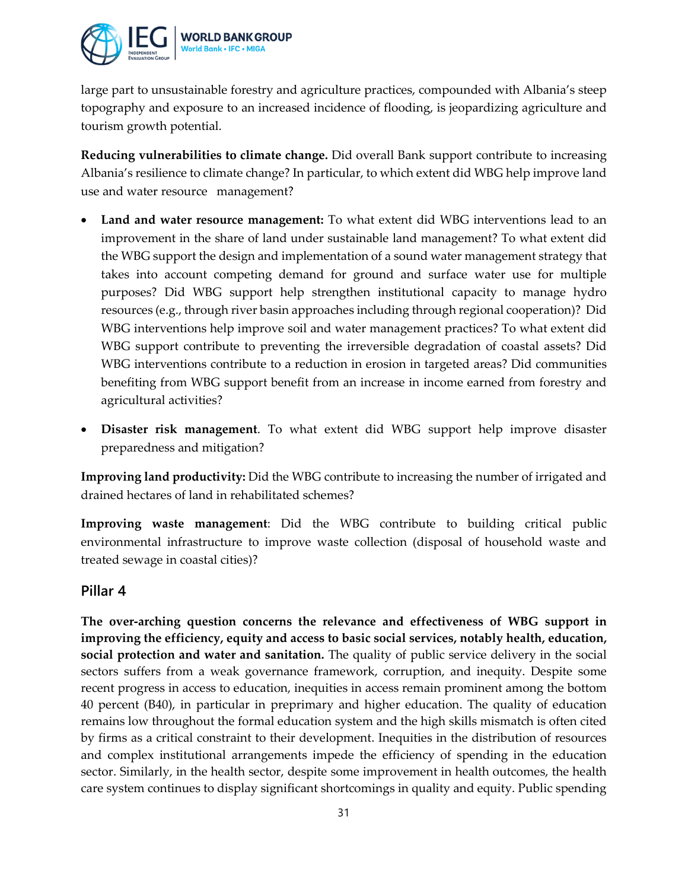

large part to unsustainable forestry and agriculture practices, compounded with Albania's steep topography and exposure to an increased incidence of flooding, is jeopardizing agriculture and tourism growth potential.

**Reducing vulnerabilities to climate change.** Did overall Bank support contribute to increasing Albania's resilience to climate change? In particular, to which extent did WBG help improve land use and water resource management?

- **Land and water resource management:** To what extent did WBG interventions lead to an improvement in the share of land under sustainable land management? To what extent did the WBG support the design and implementation of a sound water management strategy that takes into account competing demand for ground and surface water use for multiple purposes? Did WBG support help strengthen institutional capacity to manage hydro resources (e.g., through river basin approaches including through regional cooperation)? Did WBG interventions help improve soil and water management practices? To what extent did WBG support contribute to preventing the irreversible degradation of coastal assets? Did WBG interventions contribute to a reduction in erosion in targeted areas? Did communities benefiting from WBG support benefit from an increase in income earned from forestry and agricultural activities?
- **Disaster risk management**. To what extent did WBG support help improve disaster preparedness and mitigation?

**Improving land productivity:** Did the WBG contribute to increasing the number of irrigated and drained hectares of land in rehabilitated schemes?

**Improving waste management**: Did the WBG contribute to building critical public environmental infrastructure to improve waste collection (disposal of household waste and treated sewage in coastal cities)?

#### **Pillar 4**

**The over-arching question concerns the relevance and effectiveness of WBG support in improving the efficiency, equity and access to basic social services, notably health, education, social protection and water and sanitation.** The quality of public service delivery in the social sectors suffers from a weak governance framework, corruption, and inequity. Despite some recent progress in access to education, inequities in access remain prominent among the bottom 40 percent (B40), in particular in preprimary and higher education. The quality of education remains low throughout the formal education system and the high skills mismatch is often cited by firms as a critical constraint to their development. Inequities in the distribution of resources and complex institutional arrangements impede the efficiency of spending in the education sector. Similarly, in the health sector, despite some improvement in health outcomes, the health care system continues to display significant shortcomings in quality and equity. Public spending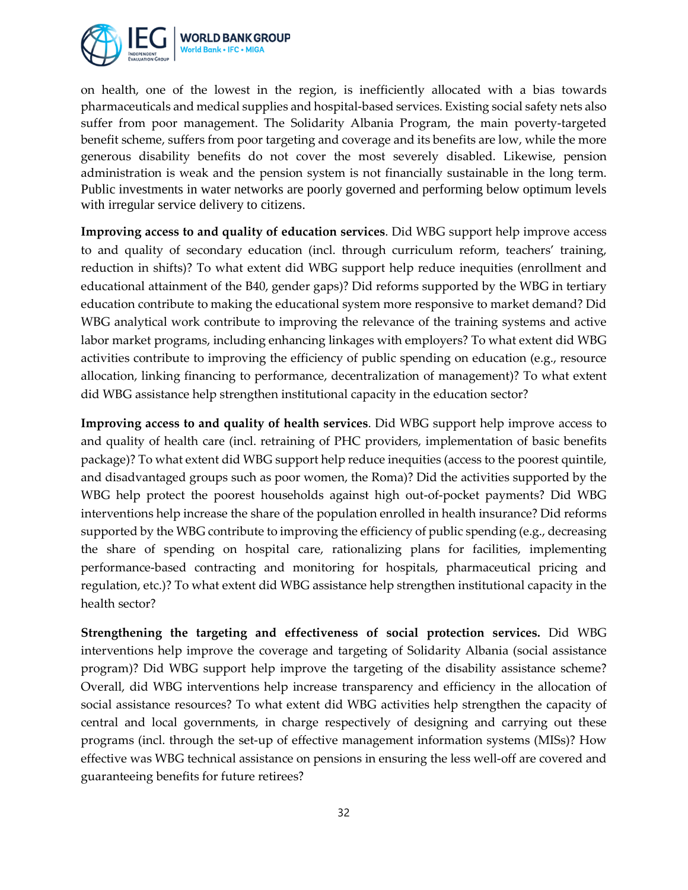

on health, one of the lowest in the region, is inefficiently allocated with a bias towards pharmaceuticals and medical supplies and hospital-based services. Existing social safety nets also suffer from poor management. The Solidarity Albania Program, the main poverty-targeted benefit scheme, suffers from poor targeting and coverage and its benefits are low, while the more generous disability benefits do not cover the most severely disabled. Likewise, pension administration is weak and the pension system is not financially sustainable in the long term. Public investments in water networks are poorly governed and performing below optimum levels with irregular service delivery to citizens.

**Improving access to and quality of education services**. Did WBG support help improve access to and quality of secondary education (incl. through curriculum reform, teachers' training, reduction in shifts)? To what extent did WBG support help reduce inequities (enrollment and educational attainment of the B40, gender gaps)? Did reforms supported by the WBG in tertiary education contribute to making the educational system more responsive to market demand? Did WBG analytical work contribute to improving the relevance of the training systems and active labor market programs, including enhancing linkages with employers? To what extent did WBG activities contribute to improving the efficiency of public spending on education (e.g., resource allocation, linking financing to performance, decentralization of management)? To what extent did WBG assistance help strengthen institutional capacity in the education sector?

**Improving access to and quality of health services**. Did WBG support help improve access to and quality of health care (incl. retraining of PHC providers, implementation of basic benefits package)? To what extent did WBG support help reduce inequities (access to the poorest quintile, and disadvantaged groups such as poor women, the Roma)? Did the activities supported by the WBG help protect the poorest households against high out-of-pocket payments? Did WBG interventions help increase the share of the population enrolled in health insurance? Did reforms supported by the WBG contribute to improving the efficiency of public spending (e.g., decreasing the share of spending on hospital care, rationalizing plans for facilities, implementing performance-based contracting and monitoring for hospitals, pharmaceutical pricing and regulation, etc.)? To what extent did WBG assistance help strengthen institutional capacity in the health sector?

**Strengthening the targeting and effectiveness of social protection services.** Did WBG interventions help improve the coverage and targeting of Solidarity Albania (social assistance program)? Did WBG support help improve the targeting of the disability assistance scheme? Overall, did WBG interventions help increase transparency and efficiency in the allocation of social assistance resources? To what extent did WBG activities help strengthen the capacity of central and local governments, in charge respectively of designing and carrying out these programs (incl. through the set-up of effective management information systems (MISs)? How effective was WBG technical assistance on pensions in ensuring the less well-off are covered and guaranteeing benefits for future retirees?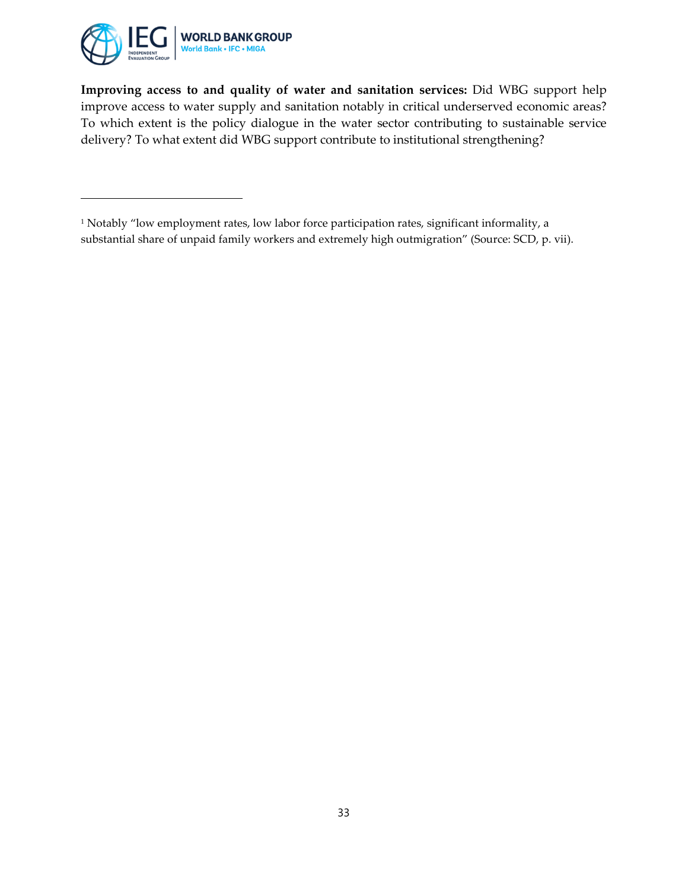

l

**Improving access to and quality of water and sanitation services:** Did WBG support help improve access to water supply and sanitation notably in critical underserved economic areas? To which extent is the policy dialogue in the water sector contributing to sustainable service delivery? To what extent did WBG support contribute to institutional strengthening?

<span id="page-32-0"></span><sup>&</sup>lt;sup>1</sup> Notably "low employment rates, low labor force participation rates, significant informality, a substantial share of unpaid family workers and extremely high outmigration" (Source: SCD, p. vii).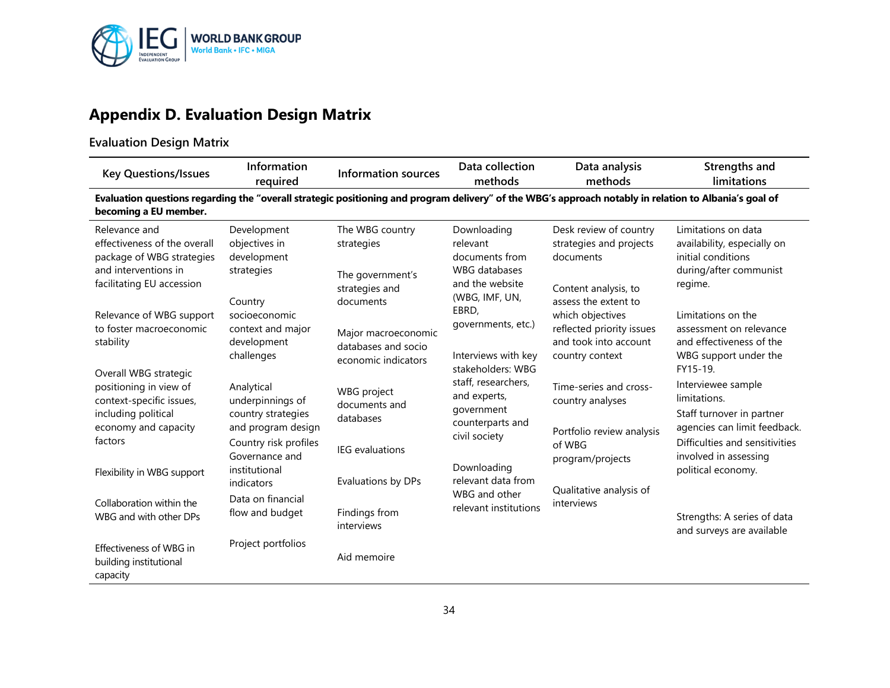

# **Appendix D. Evaluation Design Matrix**

## **Evaluation Design Matrix**

| <b>Key Questions/Issues</b>                                                                                                                                                                                               | Information<br>required                                                                                                                                                                                    | <b>Information sources</b>                                                                                                                      | Data collection<br>methods                                                                                                                                                                                        | Data analysis<br>methods                                                                                                                                                                 | Strengths and<br>limitations                                                                                                                                                                                                                                                      |  |  |  |  |
|---------------------------------------------------------------------------------------------------------------------------------------------------------------------------------------------------------------------------|------------------------------------------------------------------------------------------------------------------------------------------------------------------------------------------------------------|-------------------------------------------------------------------------------------------------------------------------------------------------|-------------------------------------------------------------------------------------------------------------------------------------------------------------------------------------------------------------------|------------------------------------------------------------------------------------------------------------------------------------------------------------------------------------------|-----------------------------------------------------------------------------------------------------------------------------------------------------------------------------------------------------------------------------------------------------------------------------------|--|--|--|--|
| becoming a EU member.                                                                                                                                                                                                     | Evaluation questions regarding the "overall strategic positioning and program delivery" of the WBG's approach notably in relation to Albania's goal of                                                     |                                                                                                                                                 |                                                                                                                                                                                                                   |                                                                                                                                                                                          |                                                                                                                                                                                                                                                                                   |  |  |  |  |
| Relevance and<br>effectiveness of the overall<br>package of WBG strategies<br>and interventions in<br>facilitating EU accession<br>Relevance of WBG support<br>to foster macroeconomic<br>stability                       | Development<br>objectives in<br>development<br>strategies<br>Country<br>socioeconomic<br>context and major<br>development                                                                                  | The WBG country<br>strategies<br>The government's<br>strategies and<br>documents<br>Major macroeconomic<br>databases and socio                  | Downloading<br>relevant<br>documents from<br><b>WBG</b> databases<br>and the website<br>(WBG, IMF, UN,<br>EBRD,<br>governments, etc.)                                                                             | Desk review of country<br>strategies and projects<br>documents<br>Content analysis, to<br>assess the extent to<br>which objectives<br>reflected priority issues<br>and took into account | Limitations on data<br>availability, especially on<br>initial conditions<br>during/after communist<br>regime.<br>Limitations on the<br>assessment on relevance<br>and effectiveness of the                                                                                        |  |  |  |  |
| Overall WBG strategic<br>positioning in view of<br>context-specific issues,<br>including political<br>economy and capacity<br>factors<br>Flexibility in WBG support<br>Collaboration within the<br>WBG and with other DPs | challenges<br>Analytical<br>underpinnings of<br>country strategies<br>and program design<br>Country risk profiles<br>Governance and<br>institutional<br>indicators<br>Data on financial<br>flow and budget | economic indicators<br>WBG project<br>documents and<br>databases<br><b>IEG</b> evaluations<br>Evaluations by DPs<br>Findings from<br>interviews | Interviews with key<br>stakeholders: WBG<br>staff, researchers,<br>and experts,<br>government<br>counterparts and<br>civil society<br>Downloading<br>relevant data from<br>WBG and other<br>relevant institutions | country context<br>Time-series and cross-<br>country analyses<br>Portfolio review analysis<br>of WBG<br>program/projects<br>Qualitative analysis of<br>interviews                        | WBG support under the<br>FY15-19.<br>Interviewee sample<br>limitations.<br>Staff turnover in partner<br>agencies can limit feedback.<br>Difficulties and sensitivities<br>involved in assessing<br>political economy.<br>Strengths: A series of data<br>and surveys are available |  |  |  |  |
| Effectiveness of WBG in<br>building institutional<br>capacity                                                                                                                                                             | Project portfolios                                                                                                                                                                                         | Aid memoire                                                                                                                                     |                                                                                                                                                                                                                   |                                                                                                                                                                                          |                                                                                                                                                                                                                                                                                   |  |  |  |  |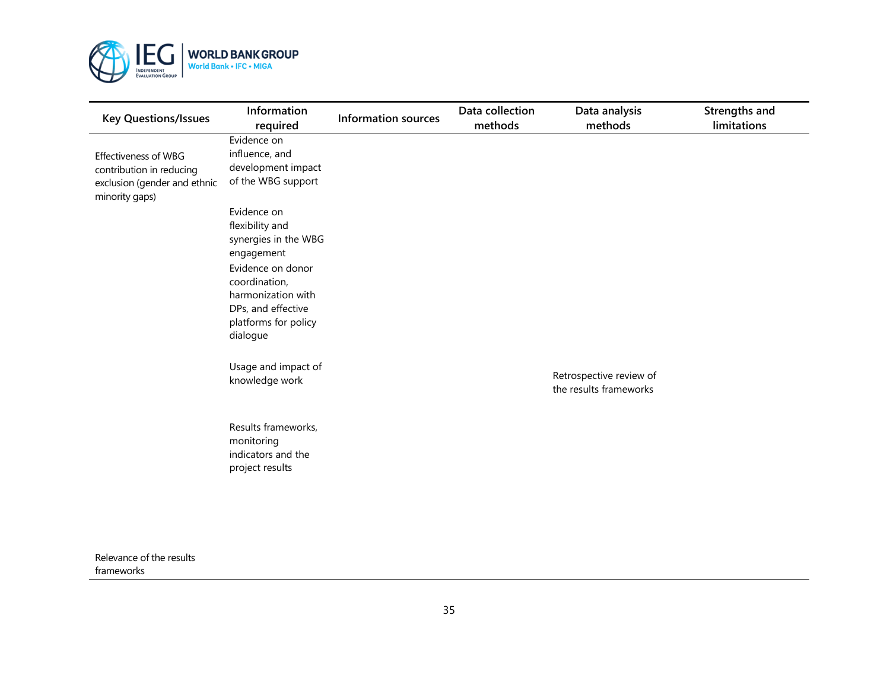

| <b>Key Questions/Issues</b>                                                                               | Information<br>required                                                                                            | <b>Information sources</b> | Data collection<br>methods | Data analysis<br>methods                          | Strengths and<br>limitations |
|-----------------------------------------------------------------------------------------------------------|--------------------------------------------------------------------------------------------------------------------|----------------------------|----------------------------|---------------------------------------------------|------------------------------|
| <b>Effectiveness of WBG</b><br>contribution in reducing<br>exclusion (gender and ethnic<br>minority gaps) | Evidence on<br>influence, and<br>development impact<br>of the WBG support                                          |                            |                            |                                                   |                              |
|                                                                                                           | Evidence on<br>flexibility and<br>synergies in the WBG<br>engagement                                               |                            |                            |                                                   |                              |
|                                                                                                           | Evidence on donor<br>coordination,<br>harmonization with<br>DPs, and effective<br>platforms for policy<br>dialogue |                            |                            |                                                   |                              |
|                                                                                                           | Usage and impact of<br>knowledge work                                                                              |                            |                            | Retrospective review of<br>the results frameworks |                              |
|                                                                                                           | Results frameworks,<br>monitoring<br>indicators and the<br>project results                                         |                            |                            |                                                   |                              |

Relevance of the results frameworks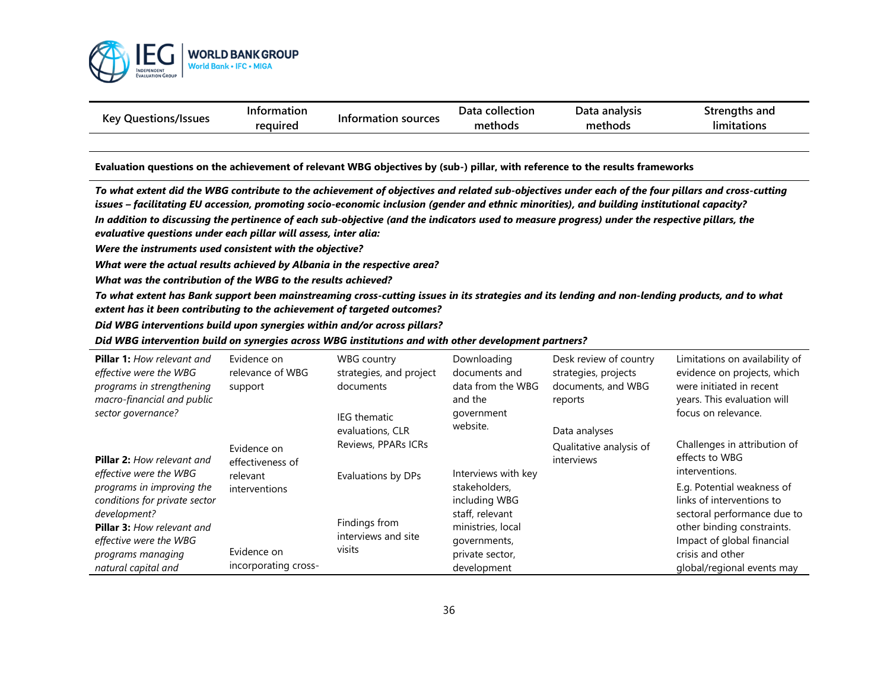

| Kev<br>Questions/Issues | Information |                     | Data collection | Data analysis | <b>Strenaths and</b>     |
|-------------------------|-------------|---------------------|-----------------|---------------|--------------------------|
|                         | reguired    | Information sources | methods         | methods       | $\cdot$ .<br>limitations |

#### **Evaluation questions on the achievement of relevant WBG objectives by (sub-) pillar, with reference to the results frameworks**

*To what extent did the WBG contribute to the achievement of objectives and related sub-objectives under each of the four pillars and cross-cutting issues – facilitating EU accession, promoting socio-economic inclusion (gender and ethnic minorities), and building institutional capacity?* 

*In addition to discussing the pertinence of each sub-objective (and the indicators used to measure progress) under the respective pillars, the evaluative questions under each pillar will assess, inter alia:*

*Were the instruments used consistent with the objective?* 

*What were the actual results achieved by Albania in the respective area?*

*What was the contribution of the WBG to the results achieved?*

*To what extent has Bank support been mainstreaming cross-cutting issues in its strategies and its lending and non-lending products, and to what extent has it been contributing to the achievement of targeted outcomes?*

*Did WBG interventions build upon synergies within and/or across pillars?* 

#### *Did WBG intervention build on synergies across WBG institutions and with other development partners?*

| <b>Pillar 1:</b> How relevant and<br>effective were the WBG<br>programs in strengthening<br>macro-financial and public | Evidence on<br>relevance of WBG<br>support | WBG country<br>strategies, and project<br>documents | Downloading<br>documents and<br>data from the WBG<br>and the | Desk review of country<br>strategies, projects<br>documents, and WBG<br>reports | Limitations on availability of<br>evidence on projects, which<br>were initiated in recent<br>years. This evaluation will |
|------------------------------------------------------------------------------------------------------------------------|--------------------------------------------|-----------------------------------------------------|--------------------------------------------------------------|---------------------------------------------------------------------------------|--------------------------------------------------------------------------------------------------------------------------|
| sector governance?                                                                                                     |                                            | <b>IEG</b> thematic<br>evaluations, CLR             | government<br>website.                                       | Data analyses                                                                   | focus on relevance.                                                                                                      |
| <b>Pillar 2: How relevant and</b>                                                                                      | Evidence on<br>effectiveness of            | Reviews, PPARs ICRs                                 |                                                              | Qualitative analysis of<br>interviews                                           | Challenges in attribution of<br>effects to WBG                                                                           |
| effective were the WBG<br>programs in improving the<br>conditions for private sector                                   | relevant<br>interventions                  | Evaluations by DPs                                  | Interviews with key<br>stakeholders,<br>including WBG        |                                                                                 | interventions.<br>E.g. Potential weakness of<br>links of interventions to                                                |
| development?<br><b>Pillar 3: How relevant and</b>                                                                      |                                            | Findings from<br>interviews and site                | staff, relevant<br>ministries, local                         |                                                                                 | sectoral performance due to<br>other binding constraints.                                                                |
| effective were the WBG<br>programs managing<br>natural capital and                                                     | Evidence on<br>incorporating cross-        | visits                                              | governments,<br>private sector,<br>development               |                                                                                 | Impact of global financial<br>crisis and other<br>global/regional events may                                             |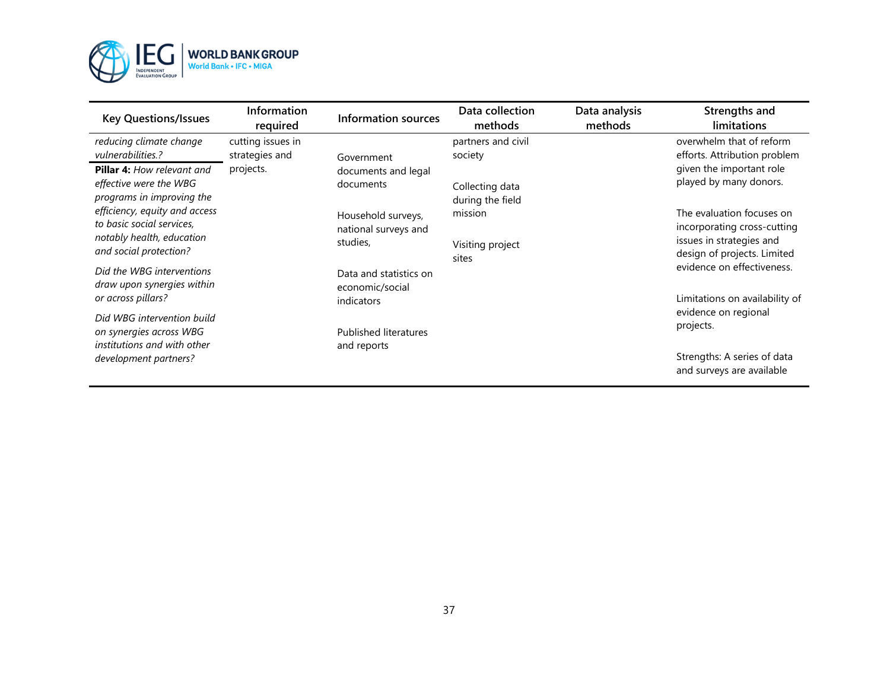

| <b>Key Questions/Issues</b>                                                                                       | Information<br>required             | <b>Information sources</b>                              | Data collection<br>methods           | Data analysis<br>methods | Strengths and<br>limitations                                                                                        |
|-------------------------------------------------------------------------------------------------------------------|-------------------------------------|---------------------------------------------------------|--------------------------------------|--------------------------|---------------------------------------------------------------------------------------------------------------------|
| reducing climate change<br>vulnerabilities.?                                                                      | cutting issues in<br>strategies and | Government                                              | partners and civil<br>society        |                          | overwhelm that of reform<br>efforts. Attribution problem                                                            |
| <b>Pillar 4:</b> How relevant and<br>effective were the WBG<br>programs in improving the                          | projects.                           | documents and legal<br>documents                        | Collecting data<br>during the field  |                          | given the important role<br>played by many donors.                                                                  |
| efficiency, equity and access<br>to basic social services,<br>notably health, education<br>and social protection? |                                     | Household surveys,<br>national surveys and<br>studies,  | mission<br>Visiting project<br>sites |                          | The evaluation focuses on<br>incorporating cross-cutting<br>issues in strategies and<br>design of projects. Limited |
| Did the WBG interventions<br>draw upon synergies within<br>or across pillars?                                     |                                     | Data and statistics on<br>economic/social<br>indicators |                                      |                          | evidence on effectiveness.<br>Limitations on availability of                                                        |
| Did WBG intervention build<br>on synergies across WBG<br>institutions and with other                              |                                     | <b>Published literatures</b><br>and reports             |                                      |                          | evidence on regional<br>projects.                                                                                   |
| development partners?                                                                                             |                                     |                                                         |                                      |                          | Strengths: A series of data<br>and surveys are available                                                            |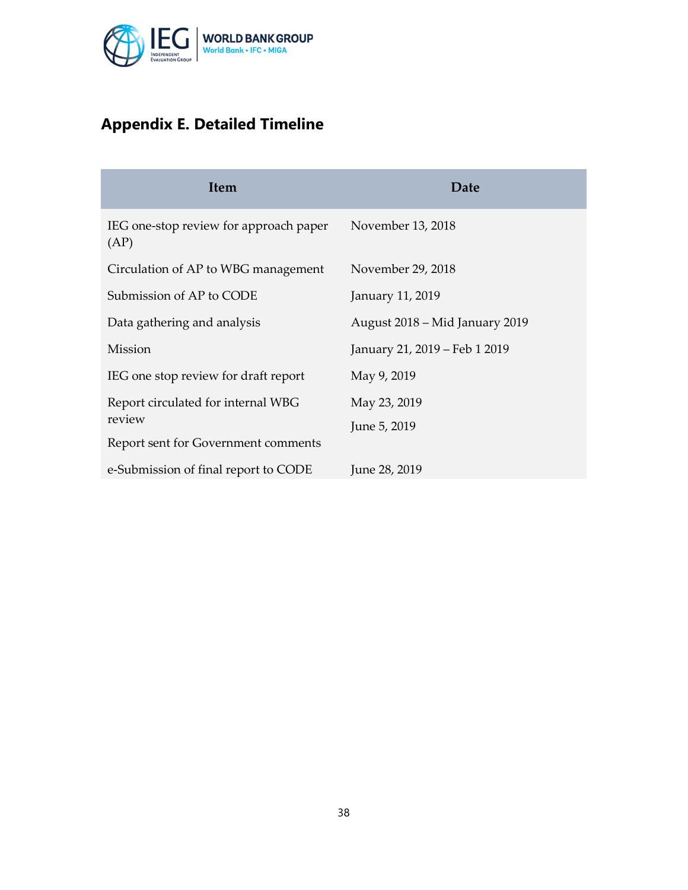

# **Appendix E. Detailed Timeline**

| <b>Item</b>                                    | Date                           |
|------------------------------------------------|--------------------------------|
| IEG one-stop review for approach paper<br>(AP) | November 13, 2018              |
| Circulation of AP to WBG management            | November 29, 2018              |
| Submission of AP to CODE                       | January 11, 2019               |
| Data gathering and analysis                    | August 2018 – Mid January 2019 |
| Mission                                        | January 21, 2019 – Feb 1 2019  |
| IEG one stop review for draft report           | May 9, 2019                    |
| Report circulated for internal WBG             | May 23, 2019                   |
| review                                         | June 5, 2019                   |
| Report sent for Government comments            |                                |
| e-Submission of final report to CODE           | June 28, 2019                  |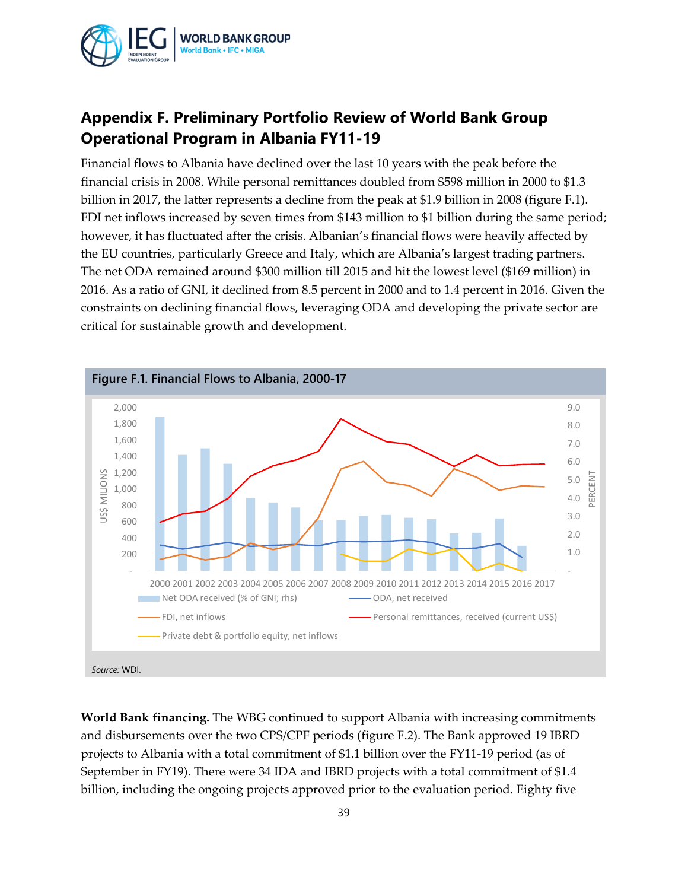

## **Appendix F. Preliminary Portfolio Review of World Bank Group Operational Program in Albania FY11-19**

Financial flows to Albania have declined over the last 10 years with the peak before the financial crisis in 2008. While personal remittances doubled from \$598 million in 2000 to \$1.3 billion in 2017, the latter represents a decline from the peak at \$1.9 billion in 2008 (figure F.1). FDI net inflows increased by seven times from \$143 million to \$1 billion during the same period; however, it has fluctuated after the crisis. Albanian's financial flows were heavily affected by the EU countries, particularly Greece and Italy, which are Albania's largest trading partners. The net ODA remained around \$300 million till 2015 and hit the lowest level (\$169 million) in 2016. As a ratio of GNI, it declined from 8.5 percent in 2000 and to 1.4 percent in 2016. Given the constraints on declining financial flows, leveraging ODA and developing the private sector are critical for sustainable growth and development.



**World Bank financing.** The WBG continued to support Albania with increasing commitments and disbursements over the two CPS/CPF periods (figure F.2). The Bank approved 19 IBRD projects to Albania with a total commitment of \$1.1 billion over the FY11-19 period (as of September in FY19). There were 34 IDA and IBRD projects with a total commitment of \$1.4 billion, including the ongoing projects approved prior to the evaluation period. Eighty five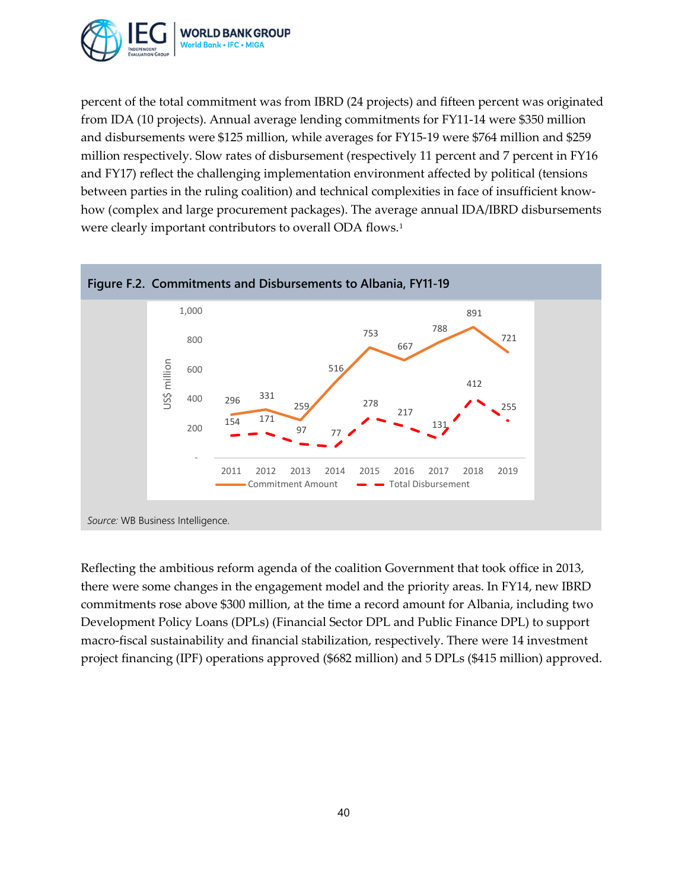

percent of the total commitment was from IBRD (24 projects) and fifteen percent was originated from IDA (10 projects). Annual average lending commitments for FY11-14 were \$350 million and disbursements were \$125 million, while averages for FY15-19 were \$764 million and \$259 million respectively. Slow rates of disbursement (respectively 11 percent and 7 percent in FY16 and FY17) reflect the challenging implementation environment affected by political (tensions between parties in the ruling coalition) and technical complexities in face of insufficient knowhow (complex and large procurement packages). The average annual IDA/IBRD disbursements were clearly important contributors to overall ODA flows.<sup>[1](#page-46-0)</sup>



Reflecting the ambitious reform agenda of the coalition Government that took office in 2013, there were some changes in the engagement model and the priority areas. In FY14, new IBRD commitments rose above \$300 million, at the time a record amount for Albania, including two Development Policy Loans (DPLs) (Financial Sector DPL and Public Finance DPL) to support macro-fiscal sustainability and financial stabilization, respectively. There were 14 investment project financing (IPF) operations approved (\$682 million) and 5 DPLs (\$415 million) approved.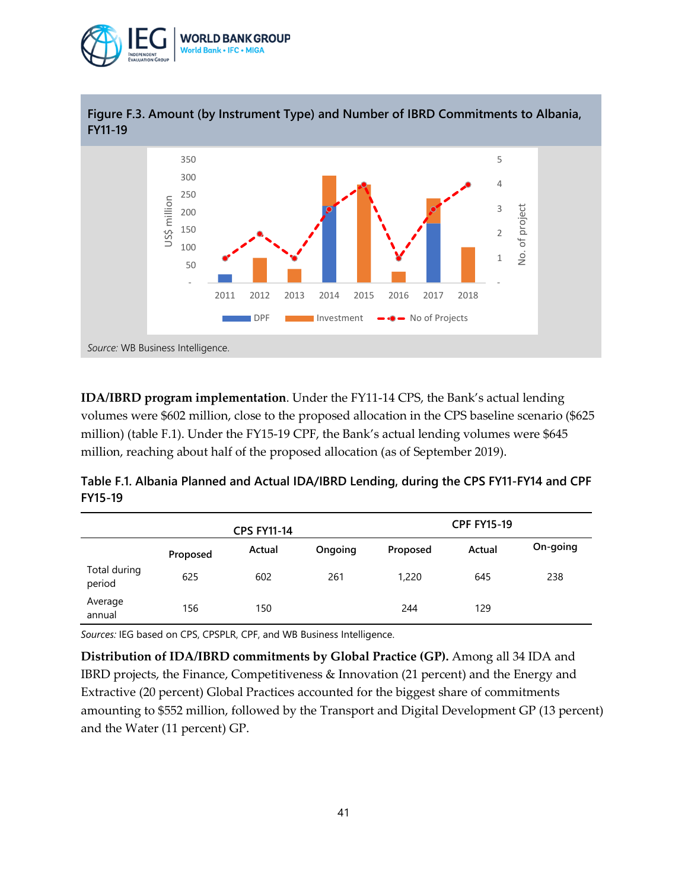



**IDA/IBRD program implementation**. Under the FY11-14 CPS, the Bank's actual lending volumes were \$602 million, close to the proposed allocation in the CPS baseline scenario (\$625 million) (table F.1). Under the FY15-19 CPF, the Bank's actual lending volumes were \$645 million, reaching about half of the proposed allocation (as of September 2019).

**Table F.1. Albania Planned and Actual IDA/IBRD Lending, during the CPS FY11-FY14 and CPF FY15-19**

|                        |          | <b>CPS FY11-14</b> |         |          | <b>CPF FY15-19</b> |          |
|------------------------|----------|--------------------|---------|----------|--------------------|----------|
|                        | Proposed | Actual             | Ongoing | Proposed | Actual             | On-going |
| Total during<br>period | 625      | 602                | 261     | 1,220    | 645                | 238      |
| Average<br>annual      | 156      | 150                |         | 244      | 129                |          |

*Sources:* IEG based on CPS, CPSPLR, CPF, and WB Business Intelligence.

**Distribution of IDA/IBRD commitments by Global Practice (GP).** Among all 34 IDA and IBRD projects, the Finance, Competitiveness & Innovation (21 percent) and the Energy and Extractive (20 percent) Global Practices accounted for the biggest share of commitments amounting to \$552 million, followed by the Transport and Digital Development GP (13 percent) and the Water (11 percent) GP.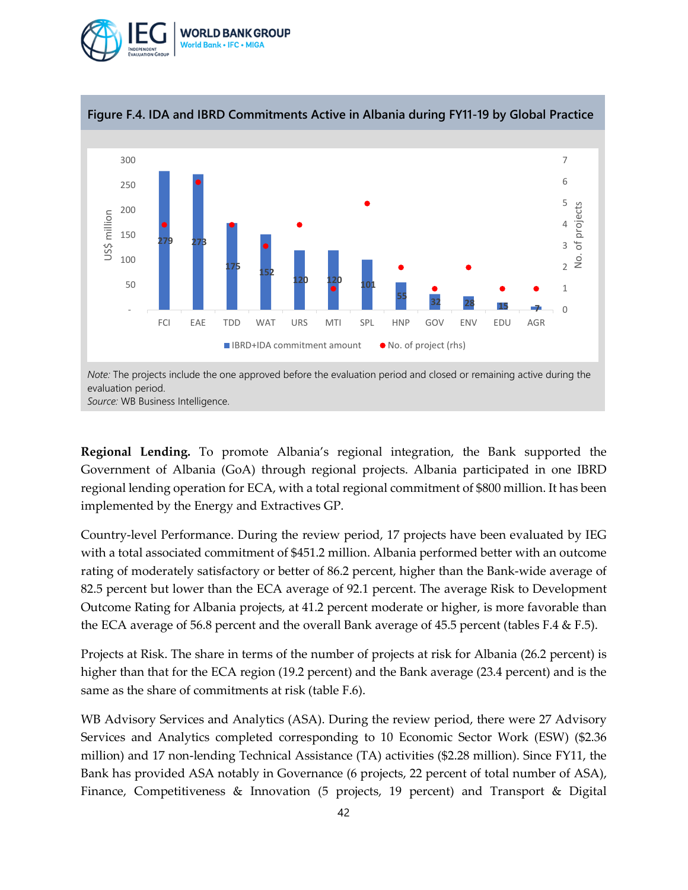



**Regional Lending.** To promote Albania's regional integration, the Bank supported the Government of Albania (GoA) through regional projects. Albania participated in one IBRD regional lending operation for ECA, with a total regional commitment of \$800 million. It has been implemented by the Energy and Extractives GP.

Country-level Performance. During the review period, 17 projects have been evaluated by IEG with a total associated commitment of \$451.2 million. Albania performed better with an outcome rating of moderately satisfactory or better of 86.2 percent, higher than the Bank-wide average of 82.5 percent but lower than the ECA average of 92.1 percent. The average Risk to Development Outcome Rating for Albania projects, at 41.2 percent moderate or higher, is more favorable than the ECA average of 56.8 percent and the overall Bank average of 45.5 percent (tables F.4 & F.5).

Projects at Risk. The share in terms of the number of projects at risk for Albania (26.2 percent) is higher than that for the ECA region (19.2 percent) and the Bank average (23.4 percent) and is the same as the share of commitments at risk (table F.6).

WB Advisory Services and Analytics (ASA). During the review period, there were 27 Advisory Services and Analytics completed corresponding to 10 Economic Sector Work (ESW) (\$2.36 million) and 17 non-lending Technical Assistance (TA) activities (\$2.28 million). Since FY11, the Bank has provided ASA notably in Governance (6 projects, 22 percent of total number of ASA), Finance, Competitiveness & Innovation (5 projects, 19 percent) and Transport & Digital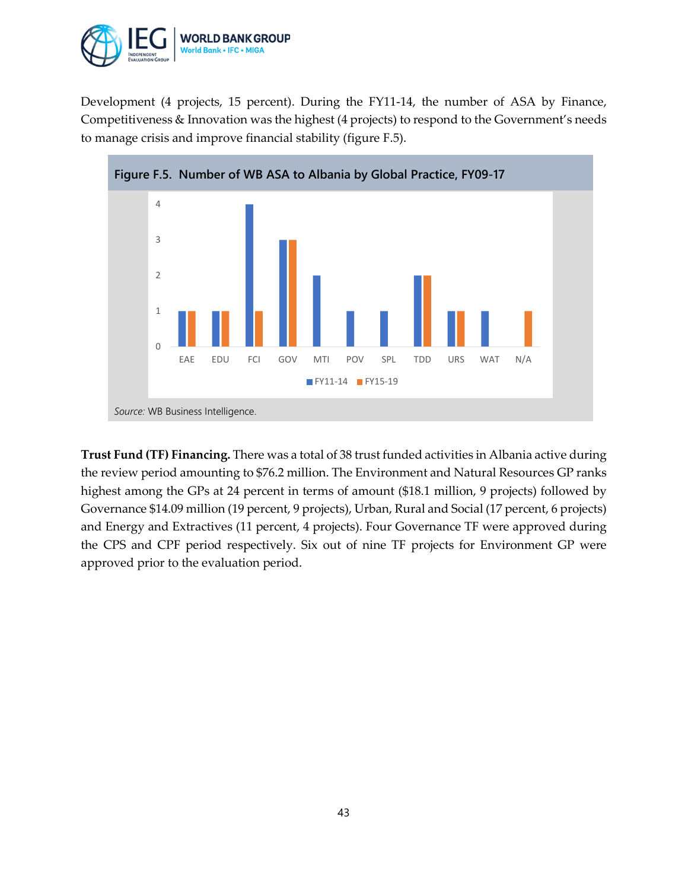

Development (4 projects, 15 percent). During the FY11-14, the number of ASA by Finance, Competitiveness & Innovation was the highest (4 projects) to respond to the Government's needs to manage crisis and improve financial stability (figure F.5).



**Trust Fund (TF) Financing.** There was a total of 38 trust funded activities in Albania active during the review period amounting to \$76.2 million. The Environment and Natural Resources GP ranks highest among the GPs at 24 percent in terms of amount (\$18.1 million, 9 projects) followed by Governance \$14.09 million (19 percent, 9 projects), Urban, Rural and Social (17 percent, 6 projects) and Energy and Extractives (11 percent, 4 projects). Four Governance TF were approved during the CPS and CPF period respectively. Six out of nine TF projects for Environment GP were approved prior to the evaluation period.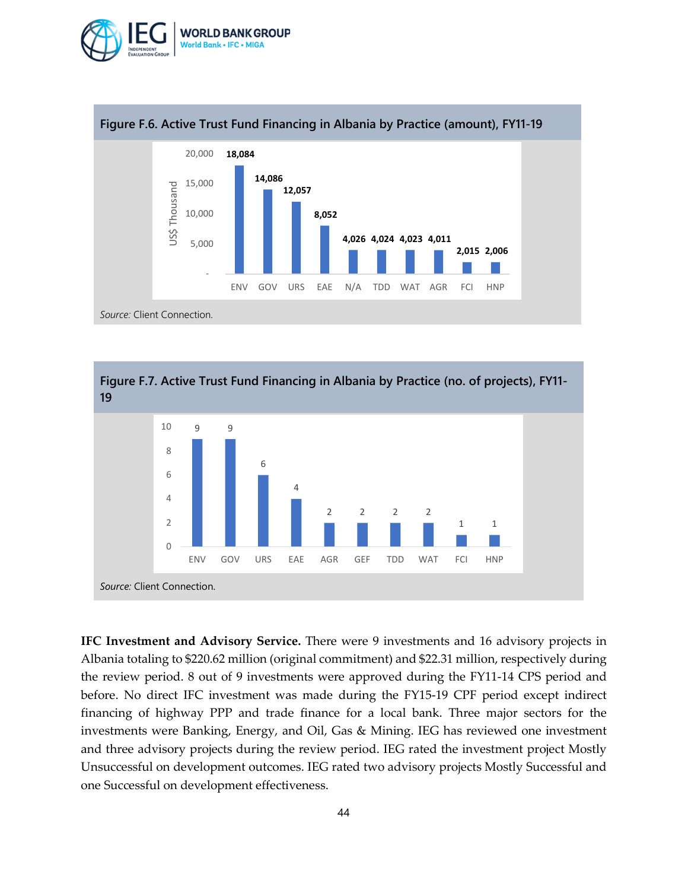





**IFC Investment and Advisory Service.** There were 9 investments and 16 advisory projects in Albania totaling to \$220.62 million (original commitment) and \$22.31 million, respectively during the review period. 8 out of 9 investments were approved during the FY11-14 CPS period and before. No direct IFC investment was made during the FY15-19 CPF period except indirect financing of highway PPP and trade finance for a local bank. Three major sectors for the investments were Banking, Energy, and Oil, Gas & Mining. IEG has reviewed one investment and three advisory projects during the review period. IEG rated the investment project Mostly Unsuccessful on development outcomes. IEG rated two advisory projects Mostly Successful and one Successful on development effectiveness.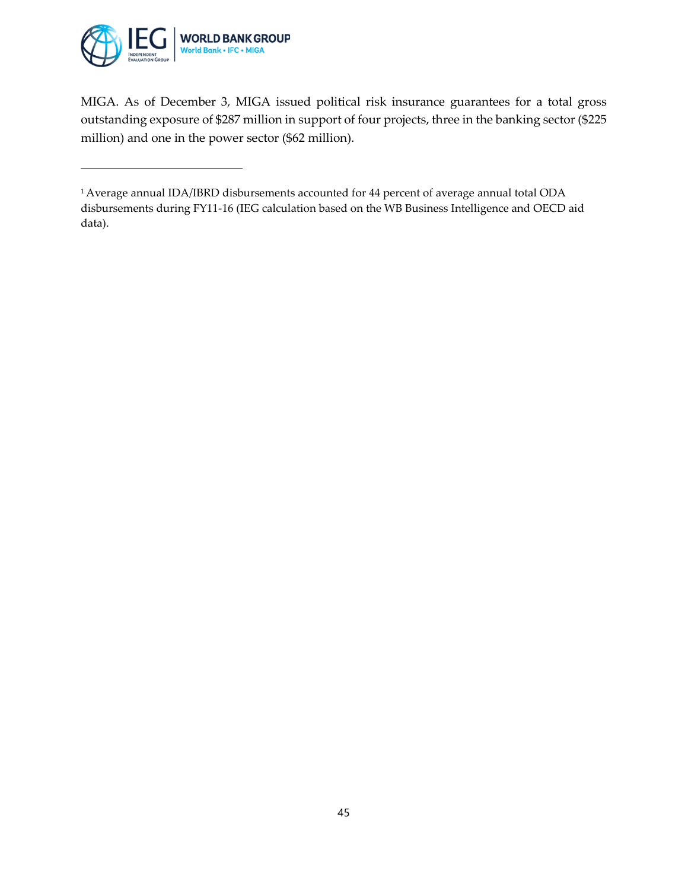

 $\overline{a}$ 

MIGA. As of December 3, MIGA issued political risk insurance guarantees for a total gross outstanding exposure of \$287 million in support of four projects, three in the banking sector (\$225 million) and one in the power sector (\$62 million).

<sup>1</sup> Average annual IDA/IBRD disbursements accounted for 44 percent of average annual total ODA disbursements during FY11-16 (IEG calculation based on the WB Business Intelligence and OECD aid data).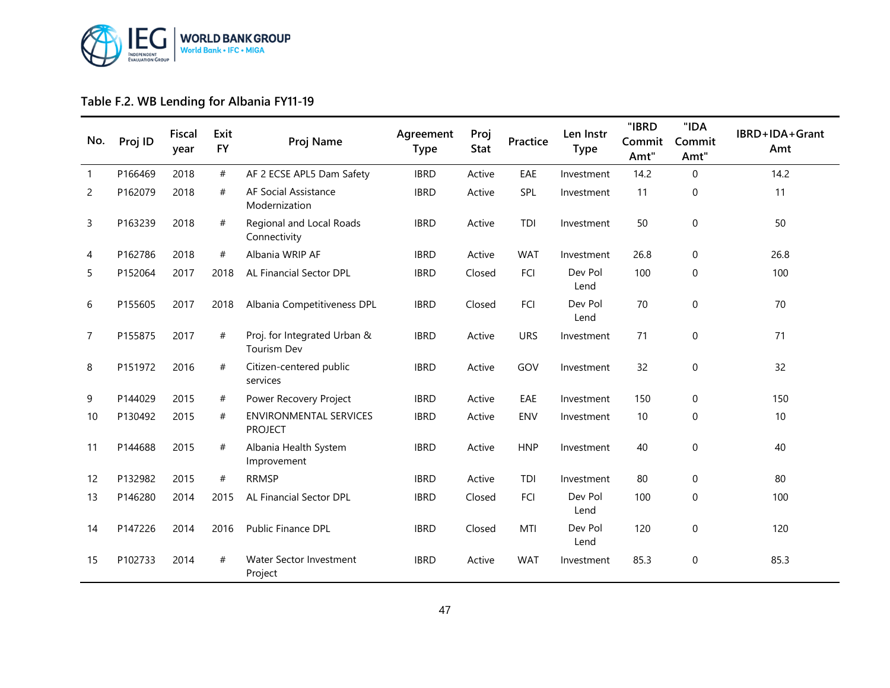

## **Table F.2. WB Lending for Albania FY11-19**

<span id="page-46-0"></span>

| No. | Proj ID | Fiscal<br>year | Exit<br><b>FY</b> | Proj Name                                          | Agreement<br><b>Type</b> | Proj<br><b>Stat</b> | Practice   | Len Instr<br><b>Type</b> | "IBRD<br>Commit<br>Amt" | "IDA<br>Commit<br>Amt" | IBRD+IDA+Grant<br>Amt |
|-----|---------|----------------|-------------------|----------------------------------------------------|--------------------------|---------------------|------------|--------------------------|-------------------------|------------------------|-----------------------|
| 1   | P166469 | 2018           | $\#$              | AF 2 ECSE APL5 Dam Safety                          | <b>IBRD</b>              | Active              | EAE        | Investment               | 14.2                    | $\mathbf 0$            | 14.2                  |
| 2   | P162079 | 2018           | #                 | AF Social Assistance<br>Modernization              | <b>IBRD</b>              | Active              | SPL        | Investment               | 11                      | $\boldsymbol{0}$       | 11                    |
| 3   | P163239 | 2018           | #                 | Regional and Local Roads<br>Connectivity           | <b>IBRD</b>              | Active              | <b>TDI</b> | Investment               | 50                      | $\boldsymbol{0}$       | 50                    |
| 4   | P162786 | 2018           | #                 | Albania WRIP AF                                    | <b>IBRD</b>              | Active              | <b>WAT</b> | Investment               | 26.8                    | 0                      | 26.8                  |
| 5   | P152064 | 2017           | 2018              | AL Financial Sector DPL                            | <b>IBRD</b>              | Closed              | FCI        | Dev Pol<br>Lend          | 100                     | $\mathbf 0$            | 100                   |
| 6   | P155605 | 2017           | 2018              | Albania Competitiveness DPL                        | <b>IBRD</b>              | Closed              | FCI        | Dev Pol<br>Lend          | 70                      | $\pmb{0}$              | 70                    |
| 7   | P155875 | 2017           | $\#$              | Proj. for Integrated Urban &<br><b>Tourism Dev</b> | <b>IBRD</b>              | Active              | <b>URS</b> | Investment               | 71                      | $\mathbf 0$            | 71                    |
| 8   | P151972 | 2016           | #                 | Citizen-centered public<br>services                | <b>IBRD</b>              | Active              | GOV        | Investment               | 32                      | $\mathbf 0$            | 32                    |
| 9   | P144029 | 2015           | #                 | Power Recovery Project                             | <b>IBRD</b>              | Active              | EAE        | Investment               | 150                     | $\mathbf 0$            | 150                   |
| 10  | P130492 | 2015           | $^{\#}$           | <b>ENVIRONMENTAL SERVICES</b><br><b>PROJECT</b>    | <b>IBRD</b>              | Active              | ENV        | Investment               | 10                      | $\mathbf 0$            | 10                    |
| 11  | P144688 | 2015           | #                 | Albania Health System<br>Improvement               | <b>IBRD</b>              | Active              | <b>HNP</b> | Investment               | 40                      | $\mathbf 0$            | 40                    |
| 12  | P132982 | 2015           | #                 | <b>RRMSP</b>                                       | <b>IBRD</b>              | Active              | TDI        | Investment               | 80                      | 0                      | 80                    |
| 13  | P146280 | 2014           | 2015              | AL Financial Sector DPL                            | <b>IBRD</b>              | Closed              | FCI        | Dev Pol<br>Lend          | 100                     | $\mathbf 0$            | 100                   |
| 14  | P147226 | 2014           | 2016              | Public Finance DPL                                 | <b>IBRD</b>              | Closed              | MTI        | Dev Pol<br>Lend          | 120                     | $\mathbf 0$            | 120                   |
| 15  | P102733 | 2014           | #                 | <b>Water Sector Investment</b><br>Project          | <b>IBRD</b>              | Active              | <b>WAT</b> | Investment               | 85.3                    | $\mathbf 0$            | 85.3                  |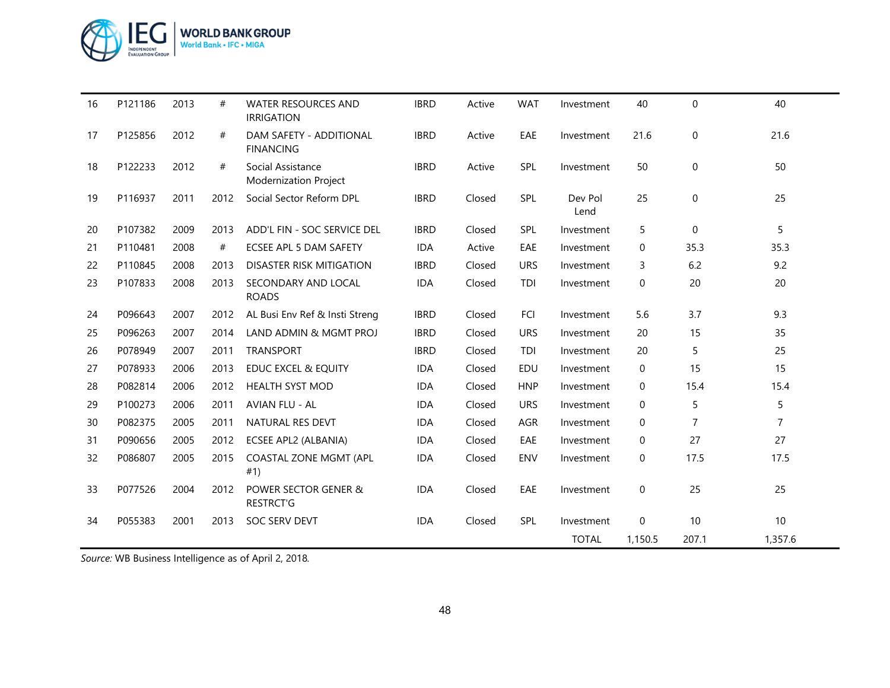

| 16 | P121186 | 2013 | #    | <b>WATER RESOURCES AND</b><br><b>IRRIGATION</b>   | <b>IBRD</b> | Active | <b>WAT</b> | Investment      | 40          | $\mathbf 0$    | 40             |
|----|---------|------|------|---------------------------------------------------|-------------|--------|------------|-----------------|-------------|----------------|----------------|
| 17 | P125856 | 2012 | #    | DAM SAFETY - ADDITIONAL<br><b>FINANCING</b>       | <b>IBRD</b> | Active | EAE        | Investment      | 21.6        | 0              | 21.6           |
| 18 | P122233 | 2012 | #    | Social Assistance<br><b>Modernization Project</b> | <b>IBRD</b> | Active | SPL        | Investment      | 50          | $\mathbf 0$    | 50             |
| 19 | P116937 | 2011 | 2012 | Social Sector Reform DPL                          | <b>IBRD</b> | Closed | SPL        | Dev Pol<br>Lend | 25          | $\mathbf 0$    | 25             |
| 20 | P107382 | 2009 | 2013 | ADD'L FIN - SOC SERVICE DEL                       | <b>IBRD</b> | Closed | SPL        | Investment      | 5           | $\Omega$       | 5              |
| 21 | P110481 | 2008 | #    | ECSEE APL 5 DAM SAFETY                            | <b>IDA</b>  | Active | EAE        | Investment      | 0           | 35.3           | 35.3           |
| 22 | P110845 | 2008 | 2013 | <b>DISASTER RISK MITIGATION</b>                   | <b>IBRD</b> | Closed | <b>URS</b> | Investment      | 3           | 6.2            | 9.2            |
| 23 | P107833 | 2008 | 2013 | SECONDARY AND LOCAL<br><b>ROADS</b>               | <b>IDA</b>  | Closed | TDI        | Investment      | 0           | 20             | 20             |
| 24 | P096643 | 2007 | 2012 | AL Busi Env Ref & Insti Streng                    | <b>IBRD</b> | Closed | FCI        | Investment      | 5.6         | 3.7            | 9.3            |
| 25 | P096263 | 2007 | 2014 | LAND ADMIN & MGMT PROJ                            | <b>IBRD</b> | Closed | <b>URS</b> | Investment      | 20          | 15             | 35             |
| 26 | P078949 | 2007 | 2011 | <b>TRANSPORT</b>                                  | <b>IBRD</b> | Closed | TDI        | Investment      | 20          | 5              | 25             |
| 27 | P078933 | 2006 | 2013 | <b>EDUC EXCEL &amp; EQUITY</b>                    | <b>IDA</b>  | Closed | EDU        | Investment      | 0           | 15             | 15             |
| 28 | P082814 | 2006 | 2012 | <b>HEALTH SYST MOD</b>                            | <b>IDA</b>  | Closed | <b>HNP</b> | Investment      | 0           | 15.4           | 15.4           |
| 29 | P100273 | 2006 | 2011 | <b>AVIAN FLU - AL</b>                             | <b>IDA</b>  | Closed | <b>URS</b> | Investment      | 0           | 5              | 5              |
| 30 | P082375 | 2005 | 2011 | <b>NATURAL RES DEVT</b>                           | <b>IDA</b>  | Closed | AGR        | Investment      | $\mathbf 0$ | $\overline{7}$ | $\overline{7}$ |
| 31 | P090656 | 2005 | 2012 | ECSEE APL2 (ALBANIA)                              | <b>IDA</b>  | Closed | EAE        | Investment      | 0           | 27             | 27             |
| 32 | P086807 | 2005 | 2015 | COASTAL ZONE MGMT (APL<br>#1)                     | <b>IDA</b>  | Closed | ENV        | Investment      | $\mathbf 0$ | 17.5           | 17.5           |
| 33 | P077526 | 2004 | 2012 | POWER SECTOR GENER &<br>RESTRCT'G                 | <b>IDA</b>  | Closed | EAE        | Investment      | 0           | 25             | 25             |
| 34 | P055383 | 2001 | 2013 | SOC SERV DEVT                                     | <b>IDA</b>  | Closed | SPL        | Investment      | $\mathbf 0$ | 10             | 10             |
|    |         |      |      |                                                   |             |        |            | <b>TOTAL</b>    | 1,150.5     | 207.1          | 1,357.6        |

*Source:* WB Business Intelligence as of April 2, 2018*.*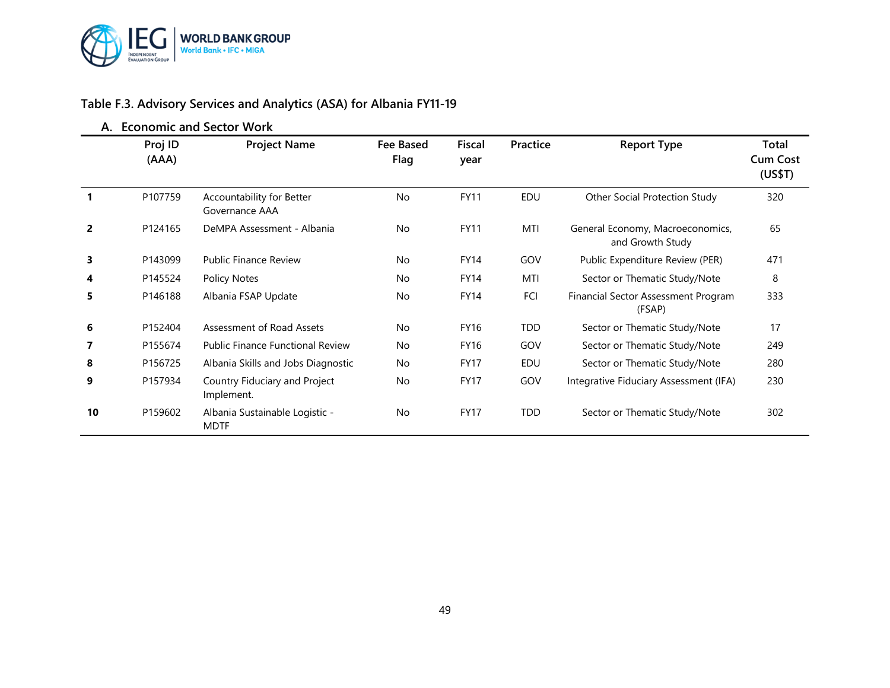

## **Table F.3. Advisory Services and Analytics (ASA) for Albania FY11-19**

|                |                  | A. Economic and Sector Work                   |                   |                       |            |                                                      |                                     |
|----------------|------------------|-----------------------------------------------|-------------------|-----------------------|------------|------------------------------------------------------|-------------------------------------|
|                | Proj ID<br>(AAA) | <b>Project Name</b>                           | Fee Based<br>Flag | <b>Fiscal</b><br>year | Practice   | <b>Report Type</b>                                   | Total<br><b>Cum Cost</b><br>(US\$T) |
|                | P107759          | Accountability for Better<br>Governance AAA   | <b>No</b>         | <b>FY11</b>           | EDU        | Other Social Protection Study                        | 320                                 |
| $\overline{2}$ | P124165          | DeMPA Assessment - Albania                    | <b>No</b>         | <b>FY11</b>           | MTI        | General Economy, Macroeconomics,<br>and Growth Study | 65                                  |
| 3              | P143099          | <b>Public Finance Review</b>                  | <b>No</b>         | <b>FY14</b>           | GOV        | Public Expenditure Review (PER)                      | 471                                 |
| 4              | P145524          | <b>Policy Notes</b>                           | <b>No</b>         | <b>FY14</b>           | MTI        | Sector or Thematic Study/Note                        | 8                                   |
| 5              | P146188          | Albania FSAP Update                           | <b>No</b>         | <b>FY14</b>           | FCI        | Financial Sector Assessment Program<br>(FSAP)        | 333                                 |
| 6              | P152404          | Assessment of Road Assets                     | <b>No</b>         | <b>FY16</b>           | <b>TDD</b> | Sector or Thematic Study/Note                        | 17                                  |
| 7              | P155674          | <b>Public Finance Functional Review</b>       | <b>No</b>         | <b>FY16</b>           | GOV        | Sector or Thematic Study/Note                        | 249                                 |
| 8              | P156725          | Albania Skills and Jobs Diagnostic            | <b>No</b>         | <b>FY17</b>           | EDU        | Sector or Thematic Study/Note                        | 280                                 |
| 9              | P157934          | Country Fiduciary and Project<br>Implement.   | <b>No</b>         | <b>FY17</b>           | GOV        | Integrative Fiduciary Assessment (IFA)               | 230                                 |
| 10             | P159602          | Albania Sustainable Logistic -<br><b>MDTF</b> | No                | <b>FY17</b>           | <b>TDD</b> | Sector or Thematic Study/Note                        | 302                                 |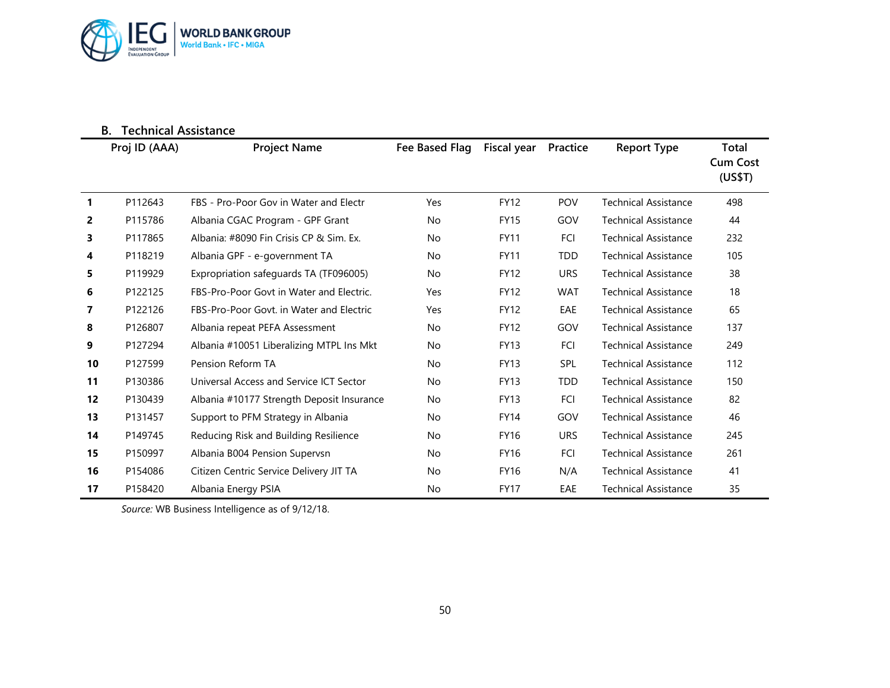

|              | <b>Technical Assistance</b><br>В. |                                           |                |             |            |                             |                                     |
|--------------|-----------------------------------|-------------------------------------------|----------------|-------------|------------|-----------------------------|-------------------------------------|
|              | Proj ID (AAA)                     | <b>Project Name</b>                       | Fee Based Flag | Fiscal year | Practice   | <b>Report Type</b>          | Total<br><b>Cum Cost</b><br>(US\$T) |
| $\mathbf{1}$ | P112643                           | FBS - Pro-Poor Gov in Water and Electr    | Yes            | <b>FY12</b> | <b>POV</b> | Technical Assistance        | 498                                 |
| 2            | P115786                           | Albania CGAC Program - GPF Grant          | No             | <b>FY15</b> | GOV        | <b>Technical Assistance</b> | 44                                  |
| 3            | P117865                           | Albania: #8090 Fin Crisis CP & Sim. Ex.   | No             | <b>FY11</b> | FCI        | <b>Technical Assistance</b> | 232                                 |
| 4            | P118219                           | Albania GPF - e-government TA             | No             | <b>FY11</b> | <b>TDD</b> | <b>Technical Assistance</b> | 105                                 |
| 5            | P119929                           | Expropriation safeguards TA (TF096005)    | No             | <b>FY12</b> | <b>URS</b> | <b>Technical Assistance</b> | 38                                  |
| 6            | P122125                           | FBS-Pro-Poor Govt in Water and Electric.  | Yes            | <b>FY12</b> | <b>WAT</b> | <b>Technical Assistance</b> | 18                                  |
| 7            | P122126                           | FBS-Pro-Poor Govt. in Water and Electric  | Yes            | <b>FY12</b> | EAE        | <b>Technical Assistance</b> | 65                                  |
| 8            | P126807                           | Albania repeat PEFA Assessment            | No             | <b>FY12</b> | GOV        | <b>Technical Assistance</b> | 137                                 |
| 9            | P127294                           | Albania #10051 Liberalizing MTPL Ins Mkt  | No             | <b>FY13</b> | <b>FCI</b> | <b>Technical Assistance</b> | 249                                 |
| 10           | P127599                           | Pension Reform TA                         | No             | <b>FY13</b> | <b>SPL</b> | <b>Technical Assistance</b> | 112                                 |
| 11           | P130386                           | Universal Access and Service ICT Sector   | No             | <b>FY13</b> | <b>TDD</b> | <b>Technical Assistance</b> | 150                                 |
| 12           | P130439                           | Albania #10177 Strength Deposit Insurance | No             | <b>FY13</b> | FCI        | <b>Technical Assistance</b> | 82                                  |
| 13           | P131457                           | Support to PFM Strategy in Albania        | No             | <b>FY14</b> | GOV        | <b>Technical Assistance</b> | 46                                  |
| 14           | P149745                           | Reducing Risk and Building Resilience     | No             | <b>FY16</b> | <b>URS</b> | <b>Technical Assistance</b> | 245                                 |
| 15           | P150997                           | Albania B004 Pension Supervsn             | No             | <b>FY16</b> | FCI        | <b>Technical Assistance</b> | 261                                 |
| 16           | P154086                           | Citizen Centric Service Delivery JIT TA   | No             | <b>FY16</b> | N/A        | <b>Technical Assistance</b> | 41                                  |
| 17           | P158420                           | Albania Energy PSIA                       | No             | <b>FY17</b> | EAE        | <b>Technical Assistance</b> | 35                                  |

*Source:* WB Business Intelligence as of 9/12/18.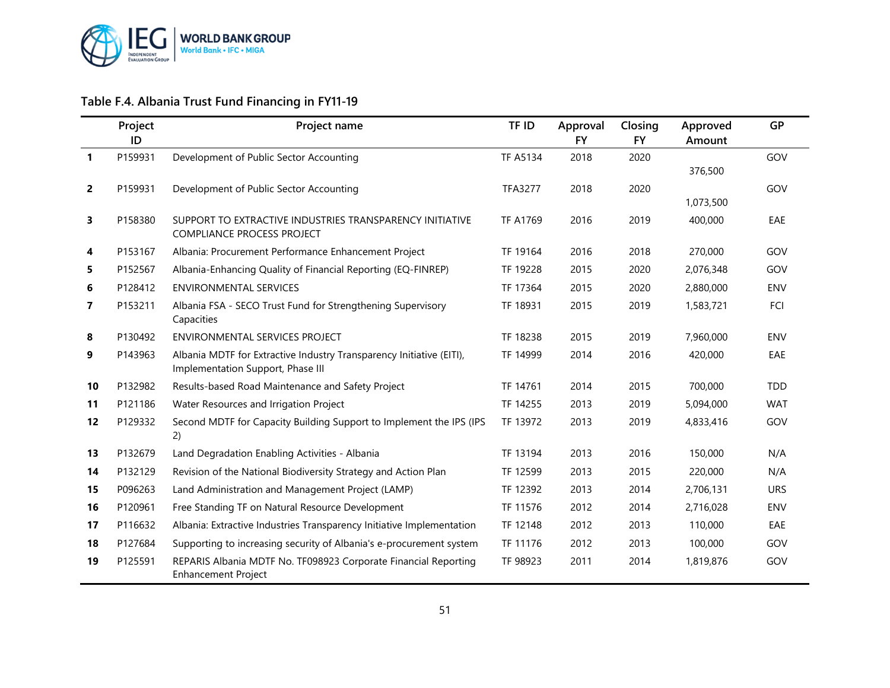

## **Table F.4. Albania Trust Fund Financing in FY11-19**

|              | Project<br>ID | Project name                                                                                              | TF ID           | Approval<br><b>FY</b> | Closing<br><b>FY</b> | Approved<br>Amount | <b>GP</b>  |
|--------------|---------------|-----------------------------------------------------------------------------------------------------------|-----------------|-----------------------|----------------------|--------------------|------------|
| $\mathbf{1}$ | P159931       | Development of Public Sector Accounting                                                                   | <b>TF A5134</b> | 2018                  | 2020                 | 376,500            | GOV        |
| $\mathbf{2}$ | P159931       | Development of Public Sector Accounting                                                                   | <b>TFA3277</b>  | 2018                  | 2020                 | 1,073,500          | GOV        |
| 3            | P158380       | SUPPORT TO EXTRACTIVE INDUSTRIES TRANSPARENCY INITIATIVE<br><b>COMPLIANCE PROCESS PROJECT</b>             | <b>TF A1769</b> | 2016                  | 2019                 | 400,000            | EAE        |
| 4            | P153167       | Albania: Procurement Performance Enhancement Project                                                      | TF 19164        | 2016                  | 2018                 | 270,000            | GOV        |
| 5.           | P152567       | Albania-Enhancing Quality of Financial Reporting (EQ-FINREP)                                              | TF 19228        | 2015                  | 2020                 | 2,076,348          | GOV        |
| 6            | P128412       | <b>ENVIRONMENTAL SERVICES</b>                                                                             | TF 17364        | 2015                  | 2020                 | 2,880,000          | ENV        |
| $\mathbf{7}$ | P153211       | Albania FSA - SECO Trust Fund for Strengthening Supervisory<br>Capacities                                 | TF 18931        | 2015                  | 2019                 | 1,583,721          | FCI        |
| 8            | P130492       | <b>ENVIRONMENTAL SERVICES PROJECT</b>                                                                     | TF 18238        | 2015                  | 2019                 | 7,960,000          | <b>ENV</b> |
| 9            | P143963       | Albania MDTF for Extractive Industry Transparency Initiative (EITI),<br>Implementation Support, Phase III | TF 14999        | 2014                  | 2016                 | 420,000            | EAE        |
| 10           | P132982       | Results-based Road Maintenance and Safety Project                                                         | TF 14761        | 2014                  | 2015                 | 700,000            | <b>TDD</b> |
| 11           | P121186       | Water Resources and Irrigation Project                                                                    | TF 14255        | 2013                  | 2019                 | 5,094,000          | <b>WAT</b> |
| 12           | P129332       | Second MDTF for Capacity Building Support to Implement the IPS (IPS<br>2)                                 | TF 13972        | 2013                  | 2019                 | 4,833,416          | GOV        |
| 13           | P132679       | Land Degradation Enabling Activities - Albania                                                            | TF 13194        | 2013                  | 2016                 | 150,000            | N/A        |
| 14           | P132129       | Revision of the National Biodiversity Strategy and Action Plan                                            | TF 12599        | 2013                  | 2015                 | 220,000            | N/A        |
| 15           | P096263       | Land Administration and Management Project (LAMP)                                                         | TF 12392        | 2013                  | 2014                 | 2,706,131          | <b>URS</b> |
| 16           | P120961       | Free Standing TF on Natural Resource Development                                                          | TF 11576        | 2012                  | 2014                 | 2,716,028          | ENV        |
| 17           | P116632       | Albania: Extractive Industries Transparency Initiative Implementation                                     | TF 12148        | 2012                  | 2013                 | 110,000            | EAE        |
| 18           | P127684       | Supporting to increasing security of Albania's e-procurement system                                       | TF 11176        | 2012                  | 2013                 | 100,000            | GOV        |
| 19           | P125591       | REPARIS Albania MDTF No. TF098923 Corporate Financial Reporting<br><b>Enhancement Project</b>             | TF 98923        | 2011                  | 2014                 | 1,819,876          | GOV        |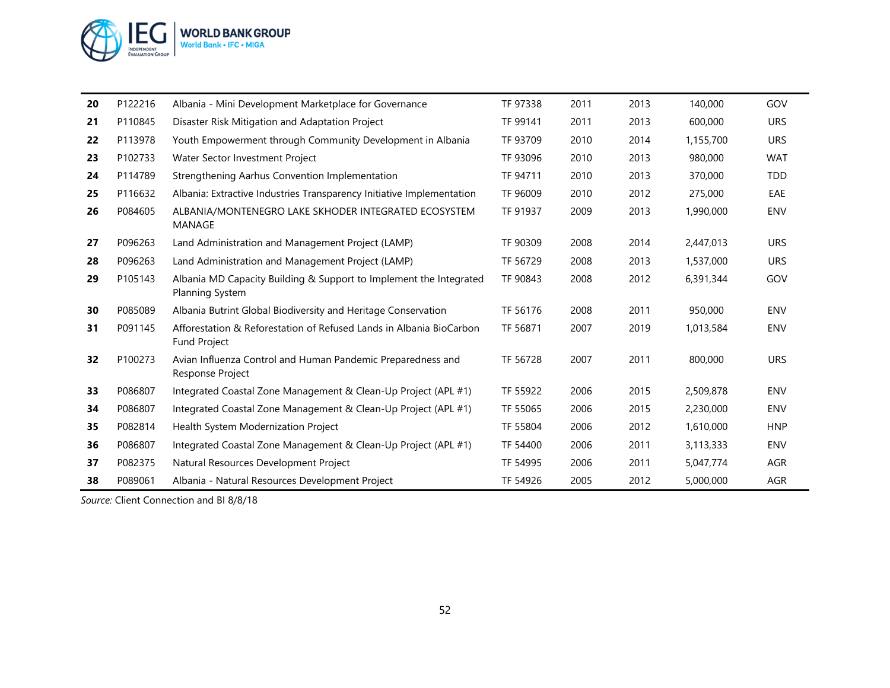

| 20 | P122216 | Albania - Mini Development Marketplace for Governance                                        | TF 97338 | 2011 | 2013 | 140,000   | GOV        |
|----|---------|----------------------------------------------------------------------------------------------|----------|------|------|-----------|------------|
| 21 | P110845 | Disaster Risk Mitigation and Adaptation Project                                              | TF 99141 | 2011 | 2013 | 600,000   | <b>URS</b> |
| 22 | P113978 | Youth Empowerment through Community Development in Albania                                   | TF 93709 | 2010 | 2014 | 1,155,700 | <b>URS</b> |
| 23 | P102733 | Water Sector Investment Project                                                              | TF 93096 | 2010 | 2013 | 980,000   | <b>WAT</b> |
| 24 | P114789 | Strengthening Aarhus Convention Implementation                                               | TF 94711 | 2010 | 2013 | 370,000   | <b>TDD</b> |
| 25 | P116632 | Albania: Extractive Industries Transparency Initiative Implementation                        | TF 96009 | 2010 | 2012 | 275,000   | EAE        |
| 26 | P084605 | ALBANIA/MONTENEGRO LAKE SKHODER INTEGRATED ECOSYSTEM<br>MANAGE                               | TF 91937 | 2009 | 2013 | 1,990,000 | ENV        |
| 27 | P096263 | Land Administration and Management Project (LAMP)                                            | TF 90309 | 2008 | 2014 | 2,447,013 | <b>URS</b> |
| 28 | P096263 | Land Administration and Management Project (LAMP)                                            | TF 56729 | 2008 | 2013 | 1,537,000 | <b>URS</b> |
| 29 | P105143 | Albania MD Capacity Building & Support to Implement the Integrated<br><b>Planning System</b> | TF 90843 | 2008 | 2012 | 6,391,344 | GOV        |
| 30 | P085089 | Albania Butrint Global Biodiversity and Heritage Conservation                                | TF 56176 | 2008 | 2011 | 950,000   | <b>ENV</b> |
| 31 | P091145 | Afforestation & Reforestation of Refused Lands in Albania BioCarbon<br><b>Fund Project</b>   | TF 56871 | 2007 | 2019 | 1,013,584 | ENV        |
| 32 | P100273 | Avian Influenza Control and Human Pandemic Preparedness and<br>Response Project              | TF 56728 | 2007 | 2011 | 800,000   | <b>URS</b> |
| 33 | P086807 | Integrated Coastal Zone Management & Clean-Up Project (APL #1)                               | TF 55922 | 2006 | 2015 | 2,509,878 | <b>ENV</b> |
| 34 | P086807 | Integrated Coastal Zone Management & Clean-Up Project (APL #1)                               | TF 55065 | 2006 | 2015 | 2,230,000 | <b>ENV</b> |
| 35 | P082814 | Health System Modernization Project                                                          | TF 55804 | 2006 | 2012 | 1,610,000 | <b>HNP</b> |
| 36 | P086807 | Integrated Coastal Zone Management & Clean-Up Project (APL #1)                               | TF 54400 | 2006 | 2011 | 3,113,333 | <b>ENV</b> |
| 37 | P082375 | Natural Resources Development Project                                                        | TF 54995 | 2006 | 2011 | 5,047,774 | AGR        |
| 38 | P089061 | Albania - Natural Resources Development Project                                              | TF 54926 | 2005 | 2012 | 5,000,000 | AGR        |

*Source:* Client Connection and BI 8/8/18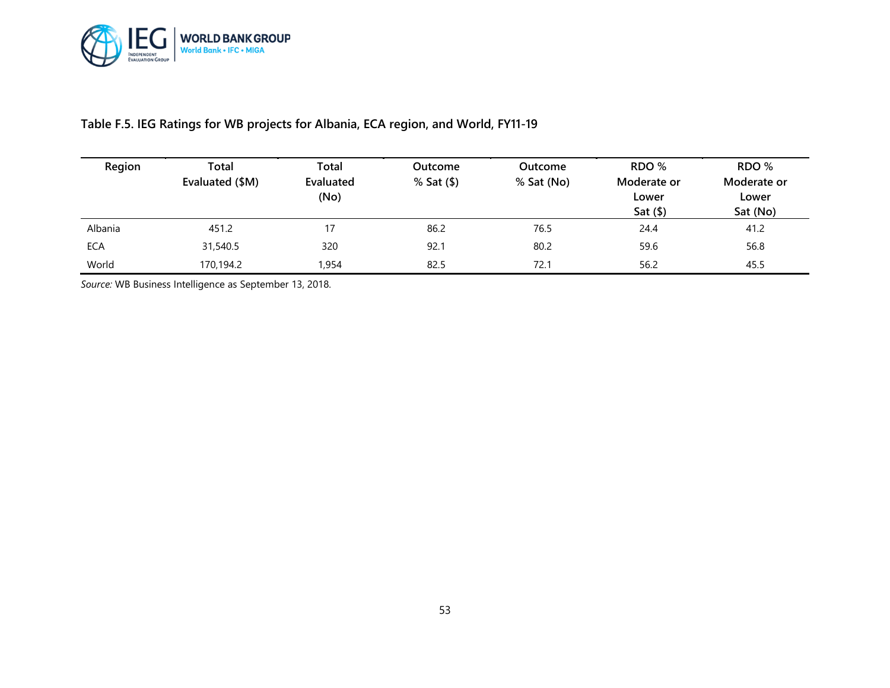

#### **Table F.5. IEG Ratings for WB projects for Albania, ECA region, and World, FY11-19**

| Region     | Total<br>Evaluated (\$M) | Total<br>Evaluated<br>(No) | Outcome<br>$%$ Sat $(\$)$ | <b>Outcome</b><br>% Sat (No) | RDO %<br>Moderate or<br>Lower<br>Sat $($ math) | RDO %<br>Moderate or<br>Lower<br>Sat (No) |
|------------|--------------------------|----------------------------|---------------------------|------------------------------|------------------------------------------------|-------------------------------------------|
| Albania    | 451.2                    | 17                         | 86.2                      | 76.5                         | 24.4                                           | 41.2                                      |
| <b>ECA</b> | 31,540.5                 | 320                        | 92.1                      | 80.2                         | 59.6                                           | 56.8                                      |
| World      | 170,194.2                | ,954                       | 82.5                      | 72.1                         | 56.2                                           | 45.5                                      |

*Source:* WB Business Intelligence as September 13, 2018.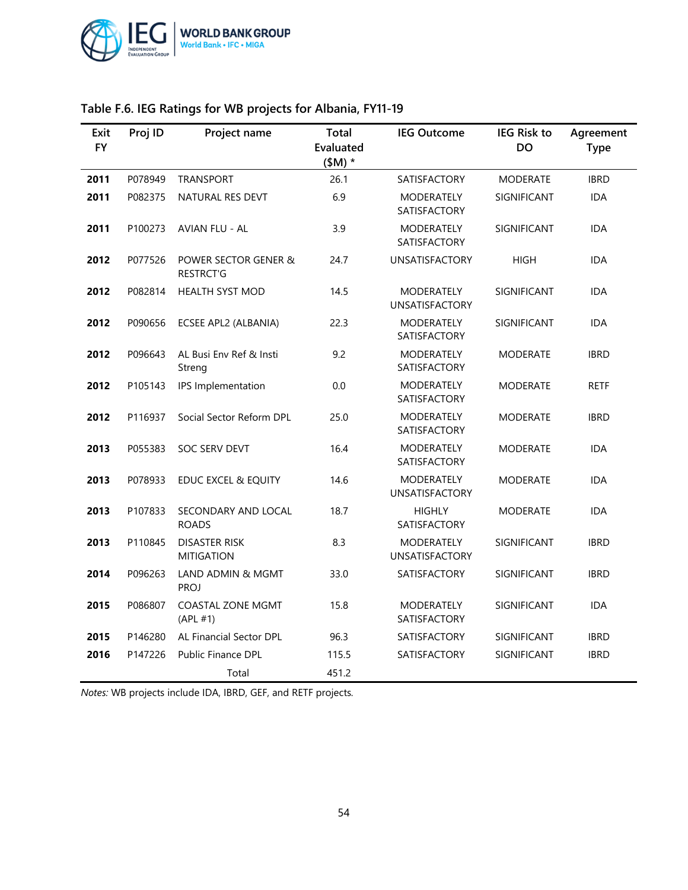

| Exit<br><b>FY</b> | Proj ID                          | Project name                             | Total<br>Evaluated<br>$(SM)$ * | <b>IEG Outcome</b>                         | <b>IEG Risk to</b><br><b>DO</b> | Agreement<br><b>Type</b> |
|-------------------|----------------------------------|------------------------------------------|--------------------------------|--------------------------------------------|---------------------------------|--------------------------|
| 2011              | P078949                          | <b>TRANSPORT</b>                         | 26.1                           | <b>SATISFACTORY</b>                        | <b>MODERATE</b>                 | <b>IBRD</b>              |
| 2011              | P082375                          | NATURAL RES DEVT                         | 6.9                            | <b>MODERATELY</b><br><b>SATISFACTORY</b>   | SIGNIFICANT                     | <b>IDA</b>               |
| 2011              | P100273<br><b>AVIAN FLU - AL</b> |                                          | 3.9                            | MODERATELY<br><b>SATISFACTORY</b>          | SIGNIFICANT                     | <b>IDA</b>               |
| 2012              | P077526                          | POWER SECTOR GENER &<br><b>RESTRCT'G</b> | 24.7                           | <b>UNSATISFACTORY</b>                      | <b>HIGH</b>                     | <b>IDA</b>               |
| 2012              | P082814                          | <b>HEALTH SYST MOD</b>                   | 14.5                           | <b>MODERATELY</b><br><b>UNSATISFACTORY</b> | SIGNIFICANT                     | <b>IDA</b>               |
| 2012              | P090656                          | ECSEE APL2 (ALBANIA)                     | 22.3                           | <b>MODERATELY</b><br><b>SATISFACTORY</b>   | SIGNIFICANT                     | <b>IDA</b>               |
| 2012              | P096643                          | AL Busi Env Ref & Insti<br>Streng        | 9.2                            | <b>MODERATELY</b><br><b>SATISFACTORY</b>   | <b>MODERATE</b>                 | <b>IBRD</b>              |
| 2012              | P105143                          | IPS Implementation                       | 0.0                            | <b>MODERATELY</b><br><b>SATISFACTORY</b>   | <b>MODERATE</b>                 | <b>RETF</b>              |
| 2012              | P116937                          | Social Sector Reform DPL                 | 25.0                           | MODERATELY<br>SATISFACTORY                 | <b>MODERATE</b>                 | <b>IBRD</b>              |
| 2013              | P055383                          | <b>SOC SERV DEVT</b>                     | 16.4                           | <b>MODERATELY</b><br>SATISFACTORY          | <b>MODERATE</b>                 | <b>IDA</b>               |
| 2013              | P078933                          | <b>EDUC EXCEL &amp; EQUITY</b>           | 14.6                           | <b>MODERATELY</b><br><b>UNSATISFACTORY</b> | <b>MODERATE</b>                 | <b>IDA</b>               |
| 2013              | P107833                          | SECONDARY AND LOCAL<br><b>ROADS</b>      | 18.7                           | <b>HIGHLY</b><br><b>SATISFACTORY</b>       | <b>MODERATE</b>                 | <b>IDA</b>               |
| 2013              | P110845                          | DISASTER RISK<br><b>MITIGATION</b>       | 8.3                            | <b>MODERATELY</b><br><b>UNSATISFACTORY</b> | SIGNIFICANT                     | <b>IBRD</b>              |
| 2014              | P096263                          | LAND ADMIN & MGMT<br><b>PROJ</b>         | 33.0                           | <b>SATISFACTORY</b>                        | SIGNIFICANT                     | <b>IBRD</b>              |
| 2015              | P086807                          | <b>COASTAL ZONE MGMT</b><br>(APL #1)     | 15.8                           | MODERATELY<br>SATISFACTORY                 | SIGNIFICANT                     | IDA                      |
| 2015              | P146280                          | AL Financial Sector DPL                  | 96.3                           | <b>SATISFACTORY</b>                        | SIGNIFICANT                     | <b>IBRD</b>              |
| 2016              | P147226                          | <b>Public Finance DPL</b>                | 115.5                          | SATISFACTORY                               | SIGNIFICANT                     | <b>IBRD</b>              |
|                   |                                  | Total                                    | 451.2                          |                                            |                                 |                          |

## **Table F.6. IEG Ratings for WB projects for Albania, FY11-19**

*Notes:* WB projects include IDA, IBRD, GEF, and RETF projects*.*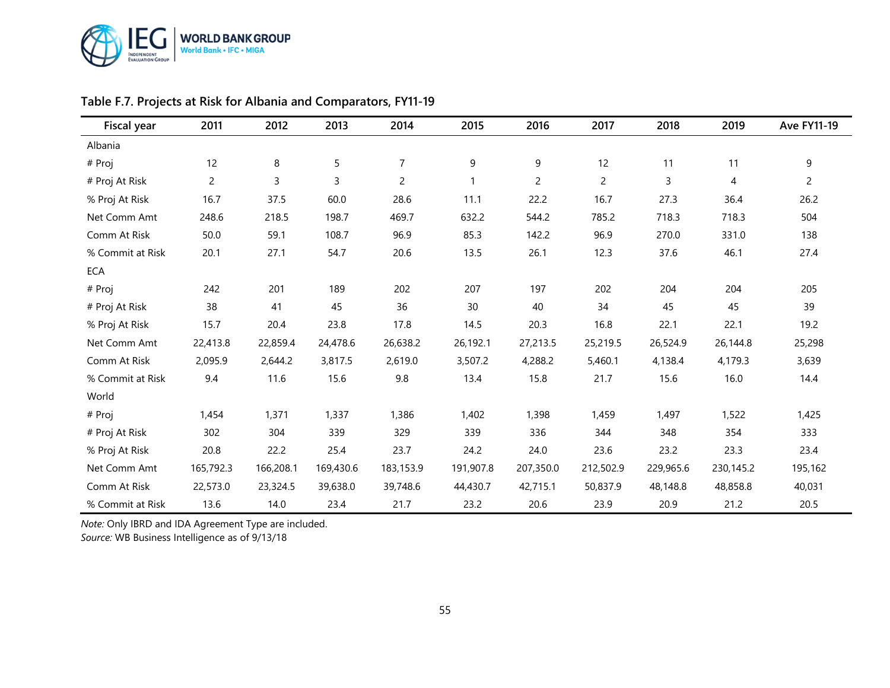

| Fiscal year      | 2011           | 2012      | 2013      | 2014           | 2015      | 2016           | 2017           | 2018      | 2019           | <b>Ave FY11-19</b> |
|------------------|----------------|-----------|-----------|----------------|-----------|----------------|----------------|-----------|----------------|--------------------|
| Albania          |                |           |           |                |           |                |                |           |                |                    |
| # Proj           | 12             | 8         | 5         | $\overline{7}$ | 9         | 9              | 12             | 11        | 11             | 9                  |
| # Proj At Risk   | $\overline{c}$ | 3         | 3         | $\overline{c}$ |           | $\overline{c}$ | $\overline{c}$ | 3         | $\overline{4}$ | $\overline{2}$     |
| % Proj At Risk   | 16.7           | 37.5      | 60.0      | 28.6           | 11.1      | 22.2           | 16.7           | 27.3      | 36.4           | 26.2               |
| Net Comm Amt     | 248.6          | 218.5     | 198.7     | 469.7          | 632.2     | 544.2          | 785.2          | 718.3     | 718.3          | 504                |
| Comm At Risk     | 50.0           | 59.1      | 108.7     | 96.9           | 85.3      | 142.2          | 96.9           | 270.0     | 331.0          | 138                |
| % Commit at Risk | 20.1           | 27.1      | 54.7      | 20.6           | 13.5      | 26.1           | 12.3           | 37.6      | 46.1           | 27.4               |
| ECA              |                |           |           |                |           |                |                |           |                |                    |
| # Proj           | 242            | 201       | 189       | 202            | 207       | 197            | 202            | 204       | 204            | 205                |
| # Proj At Risk   | 38             | 41        | 45        | 36             | 30        | 40             | 34             | 45        | 45             | 39                 |
| % Proj At Risk   | 15.7           | 20.4      | 23.8      | 17.8           | 14.5      | 20.3           | 16.8           | 22.1      | 22.1           | 19.2               |
| Net Comm Amt     | 22,413.8       | 22,859.4  | 24,478.6  | 26,638.2       | 26,192.1  | 27,213.5       | 25,219.5       | 26,524.9  | 26,144.8       | 25,298             |
| Comm At Risk     | 2,095.9        | 2,644.2   | 3,817.5   | 2,619.0        | 3,507.2   | 4,288.2        | 5,460.1        | 4,138.4   | 4,179.3        | 3,639              |
| % Commit at Risk | 9.4            | 11.6      | 15.6      | 9.8            | 13.4      | 15.8           | 21.7           | 15.6      | 16.0           | 14.4               |
| World            |                |           |           |                |           |                |                |           |                |                    |
| # Proj           | 1,454          | 1,371     | 1,337     | 1,386          | 1,402     | 1,398          | 1,459          | 1,497     | 1,522          | 1,425              |
| # Proj At Risk   | 302            | 304       | 339       | 329            | 339       | 336            | 344            | 348       | 354            | 333                |
| % Proj At Risk   | 20.8           | 22.2      | 25.4      | 23.7           | 24.2      | 24.0           | 23.6           | 23.2      | 23.3           | 23.4               |
| Net Comm Amt     | 165,792.3      | 166,208.1 | 169,430.6 | 183,153.9      | 191,907.8 | 207,350.0      | 212,502.9      | 229,965.6 | 230,145.2      | 195,162            |
| Comm At Risk     | 22,573.0       | 23,324.5  | 39,638.0  | 39,748.6       | 44,430.7  | 42,715.1       | 50,837.9       | 48,148.8  | 48,858.8       | 40,031             |
| % Commit at Risk | 13.6           | 14.0      | 23.4      | 21.7           | 23.2      | 20.6           | 23.9           | 20.9      | 21.2           | 20.5               |

## **Table F.7. Projects at Risk for Albania and Comparators, FY11-19**

*Note:* Only IBRD and IDA Agreement Type are included.

*Source:* WB Business Intelligence as of 9/13/18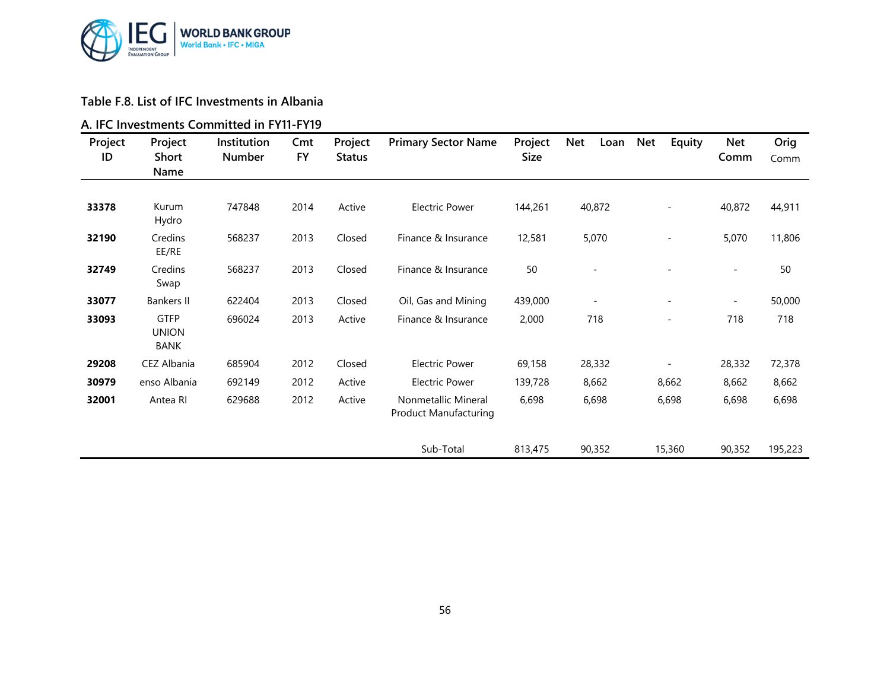

#### **Table F.8. List of IFC Investments in Albania**

#### **A. IFC Investments Committed in FY11-FY19**

| Project<br>ID | Project<br><b>Short</b><br>Name     | Institution<br><b>Number</b> | Cmt<br><b>FY</b> | Project<br><b>Status</b> | <b>Primary Sector Name</b>                          | Project<br>Size | <b>Net</b><br>Loan       | <b>Net</b><br>Equity     | <b>Net</b><br>Comm       | Orig<br>Comm |
|---------------|-------------------------------------|------------------------------|------------------|--------------------------|-----------------------------------------------------|-----------------|--------------------------|--------------------------|--------------------------|--------------|
|               |                                     |                              |                  |                          |                                                     |                 |                          |                          |                          |              |
| 33378         | Kurum<br>Hydro                      | 747848                       | 2014             | Active                   | <b>Electric Power</b>                               | 144,261         | 40,872                   | $\overline{\phantom{a}}$ | 40,872                   | 44,911       |
| 32190         | Credins<br>EE/RE                    | 568237                       | 2013             | Closed                   | Finance & Insurance                                 | 12,581          | 5,070                    | $\overline{\phantom{a}}$ | 5,070                    | 11,806       |
| 32749         | Credins<br>Swap                     | 568237                       | 2013             | Closed                   | Finance & Insurance                                 | 50              |                          |                          | $\sim$                   | 50           |
| 33077         | <b>Bankers II</b>                   | 622404                       | 2013             | Closed                   | Oil, Gas and Mining                                 | 439,000         | $\overline{\phantom{a}}$ |                          | $\overline{\phantom{a}}$ | 50,000       |
| 33093         | <b>GTFP</b><br><b>UNION</b><br>BANK | 696024                       | 2013             | Active                   | Finance & Insurance                                 | 2,000           | 718                      |                          | 718                      | 718          |
| 29208         | CEZ Albania                         | 685904                       | 2012             | Closed                   | <b>Electric Power</b>                               | 69,158          | 28,332                   |                          | 28,332                   | 72,378       |
| 30979         | enso Albania                        | 692149                       | 2012             | Active                   | <b>Electric Power</b>                               | 139,728         | 8,662                    | 8,662                    | 8,662                    | 8,662        |
| 32001         | Antea RI                            | 629688                       | 2012             | Active                   | Nonmetallic Mineral<br><b>Product Manufacturing</b> | 6,698           | 6,698                    | 6,698                    | 6,698                    | 6,698        |
|               |                                     |                              |                  |                          | Sub-Total                                           | 813,475         | 90,352                   | 15,360                   | 90,352                   | 195,223      |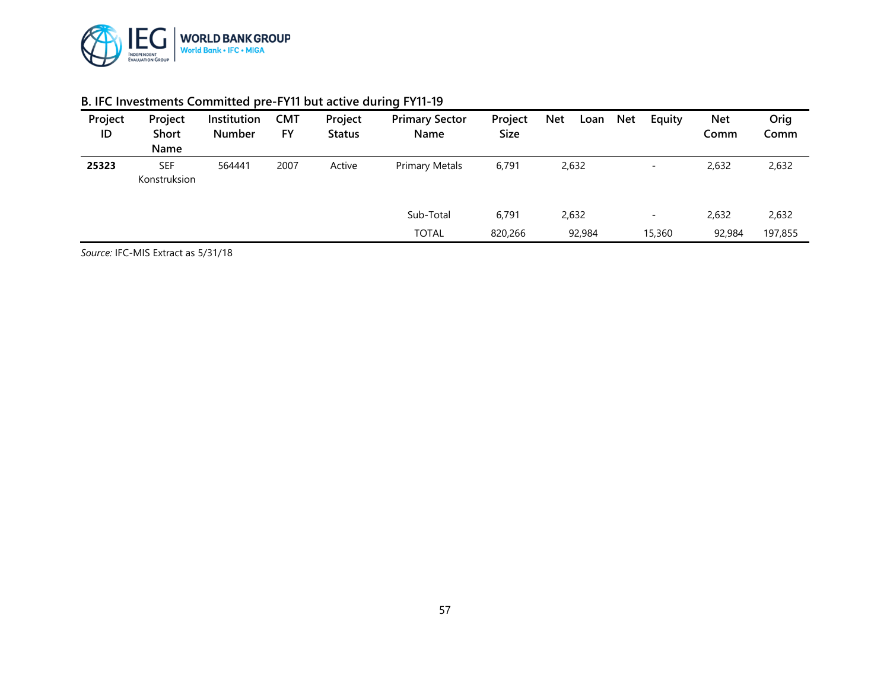

| Project<br>ID | Project<br><b>Short</b><br>Name | Institution<br><b>Number</b> | <b>CMT</b><br><b>FY</b> | Project<br><b>Status</b> | <b>Primary Sector</b><br><b>Name</b> | Project<br>Size | <b>Net</b><br>Loan | Equity<br><b>Net</b>     | <b>Net</b><br>Comm | Orig<br>Comm |
|---------------|---------------------------------|------------------------------|-------------------------|--------------------------|--------------------------------------|-----------------|--------------------|--------------------------|--------------------|--------------|
| 25323         | <b>SEF</b><br>Konstruksion      | 564441                       | 2007                    | Active                   | <b>Primary Metals</b>                | 6,791           | 2,632              | $\overline{\phantom{0}}$ | 2,632              | 2,632        |
|               |                                 |                              |                         |                          | Sub-Total                            | 6,791           | 2,632              | $\overline{\phantom{0}}$ | 2,632              | 2,632        |
|               |                                 |                              |                         |                          | <b>TOTAL</b>                         | 820,266         | 92,984             | 15,360                   | 92,984             | 197,855      |

#### **B. IFC Investments Committed pre-FY11 but active during FY11-19**

*Source:* IFC-MIS Extract as 5/31/18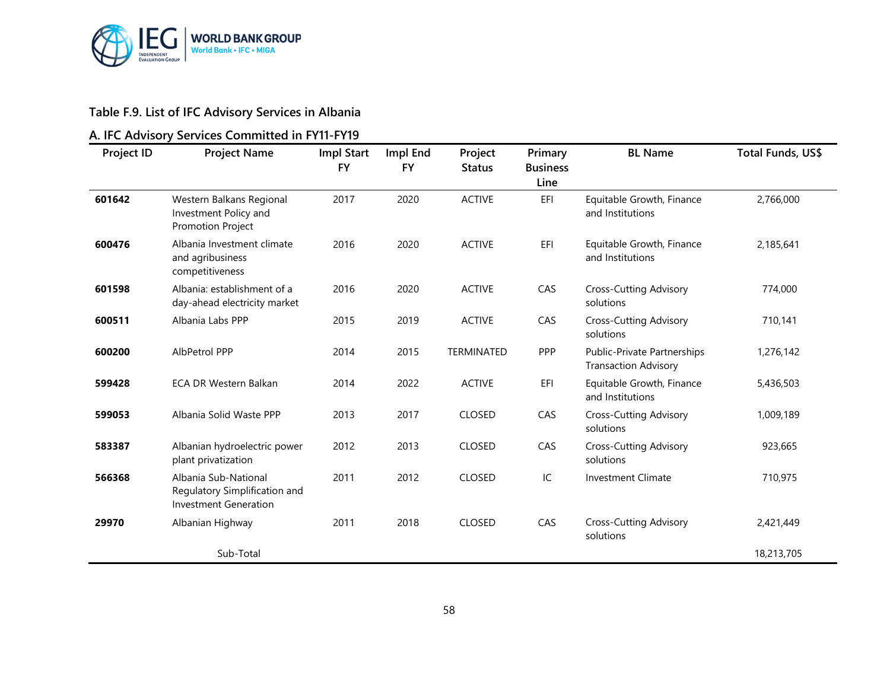

## **Table F.9. List of IFC Advisory Services in Albania**

## **A. IFC Advisory Services Committed in FY11-FY19**

| <b>Project ID</b> | <b>Project Name</b>                                                                   | Impl Start<br><b>FY</b> | Impl End<br><b>FY</b> | Project<br><b>Status</b> | Primary<br><b>Business</b><br>Line | <b>BL Name</b>                                             | Total Funds, US\$ |
|-------------------|---------------------------------------------------------------------------------------|-------------------------|-----------------------|--------------------------|------------------------------------|------------------------------------------------------------|-------------------|
| 601642            | Western Balkans Regional<br>Investment Policy and<br><b>Promotion Project</b>         | 2017                    | 2020                  | <b>ACTIVE</b>            | EFI                                | Equitable Growth, Finance<br>and Institutions              | 2,766,000         |
| 600476            | Albania Investment climate<br>and agribusiness<br>competitiveness                     | 2016                    | 2020                  | <b>ACTIVE</b>            | EFI                                | Equitable Growth, Finance<br>and Institutions              | 2,185,641         |
| 601598            | Albania: establishment of a<br>day-ahead electricity market                           | 2016                    | 2020                  | <b>ACTIVE</b>            | CAS                                | <b>Cross-Cutting Advisory</b><br>solutions                 | 774,000           |
| 600511            | Albania Labs PPP                                                                      | 2015                    | 2019                  | <b>ACTIVE</b>            | CAS                                | <b>Cross-Cutting Advisory</b><br>solutions                 | 710,141           |
| 600200            | AlbPetrol PPP                                                                         | 2014                    | 2015                  | TERMINATED               | PPP                                | Public-Private Partnerships<br><b>Transaction Advisory</b> | 1,276,142         |
| 599428            | <b>ECA DR Western Balkan</b>                                                          | 2014                    | 2022                  | <b>ACTIVE</b>            | EFI                                | Equitable Growth, Finance<br>and Institutions              | 5,436,503         |
| 599053            | Albania Solid Waste PPP                                                               | 2013                    | 2017                  | <b>CLOSED</b>            | CAS                                | <b>Cross-Cutting Advisory</b><br>solutions                 | 1,009,189         |
| 583387            | Albanian hydroelectric power<br>plant privatization                                   | 2012                    | 2013                  | <b>CLOSED</b>            | CAS                                | <b>Cross-Cutting Advisory</b><br>solutions                 | 923,665           |
| 566368            | Albania Sub-National<br>Regulatory Simplification and<br><b>Investment Generation</b> | 2011                    | 2012                  | <b>CLOSED</b>            | IC                                 | <b>Investment Climate</b>                                  | 710,975           |
| 29970             | Albanian Highway                                                                      | 2011                    | 2018                  | <b>CLOSED</b>            | CAS                                | <b>Cross-Cutting Advisory</b><br>solutions                 | 2,421,449         |
|                   | Sub-Total                                                                             |                         |                       |                          |                                    |                                                            | 18,213,705        |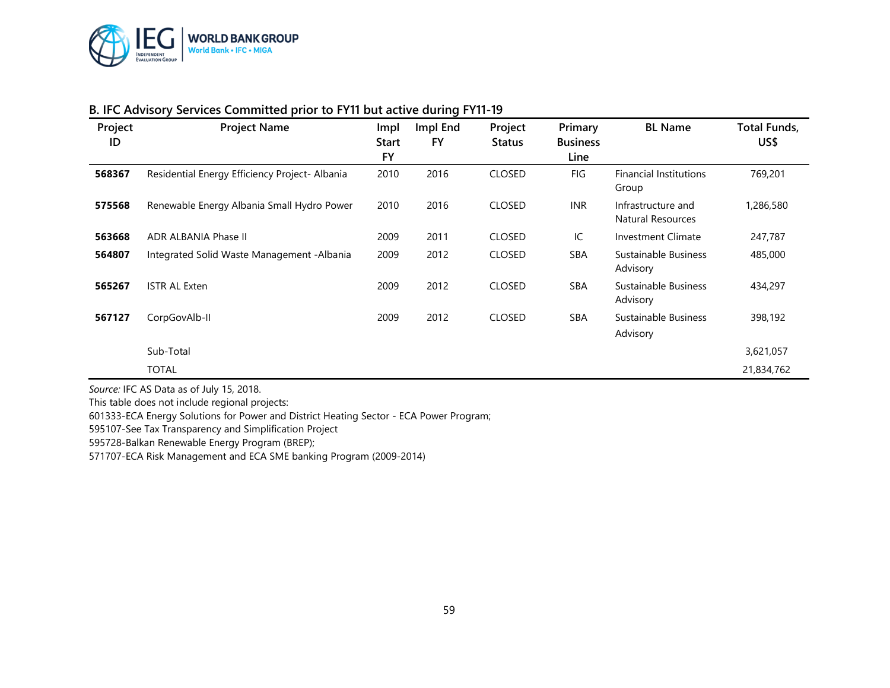

| Project<br>ID | <b>Project Name</b>                            | Impl<br><b>Start</b> | Impl End<br>FY | Project<br><b>Status</b> | Primary<br><b>Business</b> | <b>BL Name</b>                          | <b>Total Funds,</b><br>US\$ |
|---------------|------------------------------------------------|----------------------|----------------|--------------------------|----------------------------|-----------------------------------------|-----------------------------|
|               |                                                | <b>FY</b>            |                |                          | Line                       |                                         |                             |
| 568367        | Residential Energy Efficiency Project- Albania | 2010                 | 2016           | <b>CLOSED</b>            | FIG                        | <b>Financial Institutions</b><br>Group  | 769,201                     |
| 575568        | Renewable Energy Albania Small Hydro Power     | 2010                 | 2016           | <b>CLOSED</b>            | <b>INR</b>                 | Infrastructure and<br>Natural Resources | 1,286,580                   |
| 563668        | ADR ALBANIA Phase II                           | 2009                 | 2011           | <b>CLOSED</b>            | IC                         | <b>Investment Climate</b>               | 247,787                     |
| 564807        | Integrated Solid Waste Management - Albania    | 2009                 | 2012           | <b>CLOSED</b>            | <b>SBA</b>                 | Sustainable Business<br>Advisory        | 485,000                     |
| 565267        | <b>ISTR AL Exten</b>                           | 2009                 | 2012           | <b>CLOSED</b>            | <b>SBA</b>                 | Sustainable Business<br>Advisory        | 434,297                     |
| 567127        | CorpGovAlb-II                                  | 2009                 | 2012           | <b>CLOSED</b>            | <b>SBA</b>                 | Sustainable Business<br>Advisory        | 398,192                     |
|               | Sub-Total                                      |                      |                |                          |                            |                                         | 3,621,057                   |
|               | <b>TOTAL</b>                                   |                      |                |                          |                            |                                         | 21,834,762                  |

#### **B. IFC Advisory Services Committed prior to FY11 but active during FY11-19**

*Source:* IFC AS Data as of July 15, 2018.

This table does not include regional projects:

601333-ECA Energy Solutions for Power and District Heating Sector - ECA Power Program;

595107-See Tax Transparency and Simplification Project

595728-Balkan Renewable Energy Program (BREP);

571707-ECA Risk Management and ECA SME banking Program (2009-2014)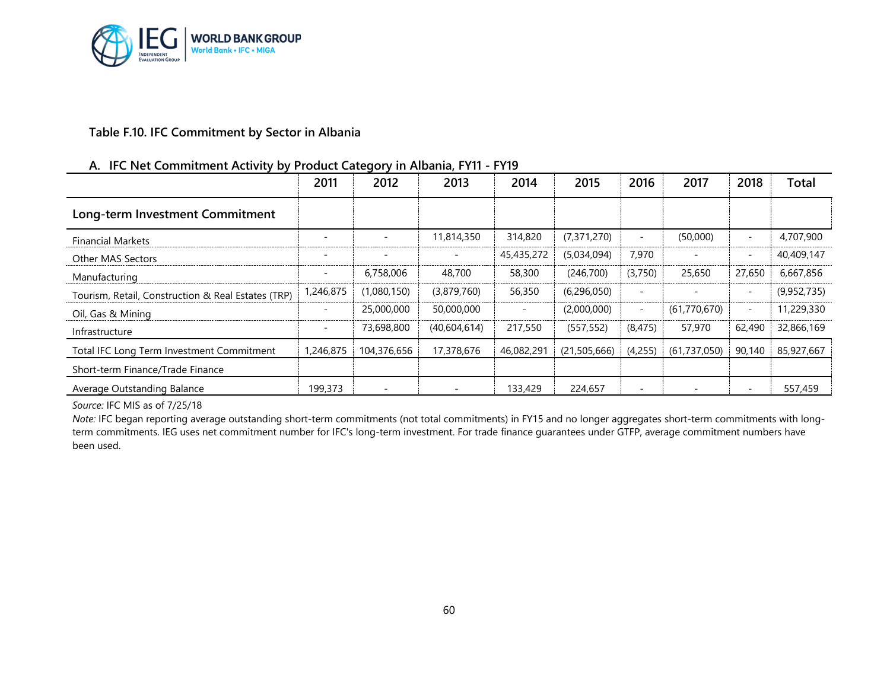

#### **Table F.10. IFC Commitment by Sector in Albania**

#### **A. IFC Net Commitment Activity by Product Category in Albania, FY11 - FY19**

|                                                    | 2011                     | 2012                     | 2013         | 2014                     | 2015         | 2016                     | 2017                     | 2018                     | <b>Total</b> |
|----------------------------------------------------|--------------------------|--------------------------|--------------|--------------------------|--------------|--------------------------|--------------------------|--------------------------|--------------|
| Long-term Investment Commitment                    |                          |                          |              |                          |              |                          |                          |                          |              |
| <b>Financial Markets</b>                           |                          |                          | 11,814,350   | 314,820                  | (7,371,270)  |                          | (50,000)                 | ۰                        | 4,707,900    |
| <b>Other MAS Sectors</b>                           |                          |                          |              | 45,435,272               | (5,034,094)  | 7,970                    |                          | $\overline{\phantom{0}}$ | 40,409,147   |
| Manufacturing                                      |                          | 6,758,006                | 48,700       | 58,300                   | (246,700)    | (3,750)                  | 25,650                   | 27,650                   | 6,667,856    |
| Tourism, Retail, Construction & Real Estates (TRP) | 1,246,875                | (1,080,150)              | (3,879,760)  | 56,350                   | (6,296,050)  | $\overline{\phantom{0}}$ | $\overline{\phantom{a}}$ | $\overline{\phantom{0}}$ | (9,952,735)  |
| Oil, Gas & Mining                                  | $\overline{\phantom{a}}$ | 25,000,000               | 50,000,000   | $\overline{\phantom{a}}$ | (2,000,000)  | $\overline{\phantom{a}}$ | (61,770,670)             | $\overline{a}$           | 11,229,330   |
| Infrastructure                                     | $\overline{\phantom{a}}$ | 73,698,800               | (40,604,614) | 217,550                  | (557, 552)   | (8, 475)                 | 57,970                   | 62,490                   | 32,866,169   |
| Total IFC Long Term Investment Commitment          | ,246,875                 | 104,376,656              | 17,378,676   | 46,082,291               | (21,505,666) | (4,255)                  | (61,737,050)             | 90,140                   | 85,927,667   |
| Short-term Finance/Trade Finance                   |                          |                          |              |                          |              |                          |                          |                          |              |
| Average Outstanding Balance                        | 199,373                  | $\overline{\phantom{a}}$ |              | 133,429                  | 224,657      | $\overline{\phantom{0}}$ |                          |                          | 557,459      |

*Source:* IFC MIS as of 7/25/18

*Note:* IFC began reporting average outstanding short-term commitments (not total commitments) in FY15 and no longer aggregates short-term commitments with longterm commitments. IEG uses net commitment number for IFC's long-term investment. For trade finance guarantees under GTFP, average commitment numbers have been used.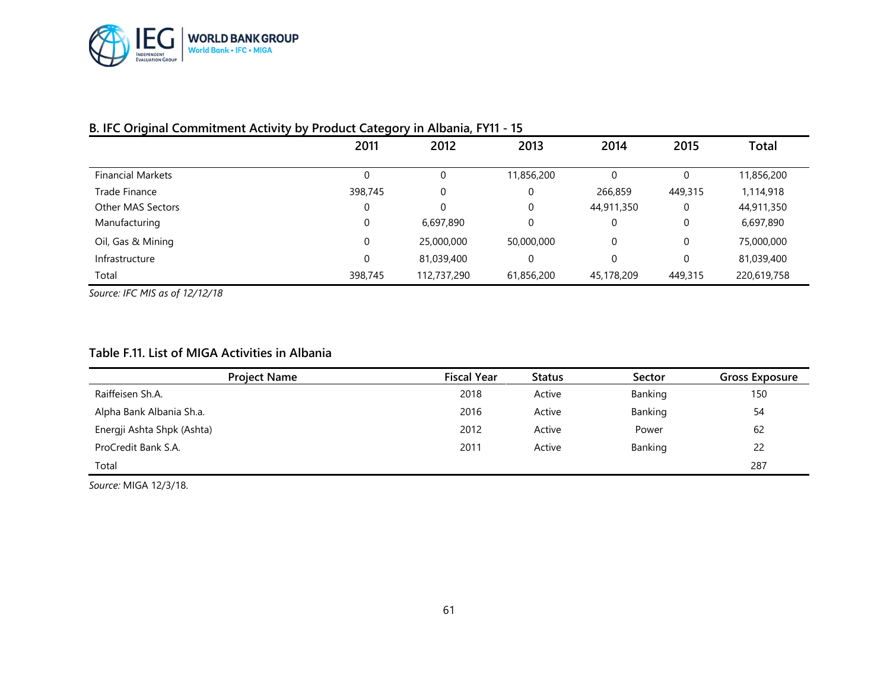

|                          | 2011        | 2012        | 2013        | 2014       | 2015        | Total       |
|--------------------------|-------------|-------------|-------------|------------|-------------|-------------|
| <b>Financial Markets</b> | 0           | 0           | 11,856,200  | $\Omega$   | 0           | 11,856,200  |
| Trade Finance            | 398,745     | 0           | 0           | 266,859    | 449,315     | 1,114,918   |
| Other MAS Sectors        | 0           | 0           | $\mathbf 0$ | 44,911,350 | 0           | 44,911,350  |
| Manufacturing            | 0           | 6,697,890   | 0           | 0          | 0           | 6,697,890   |
| Oil, Gas & Mining        | 0           | 25,000,000  | 50,000,000  | 0          | 0           | 75,000,000  |
| Infrastructure           | $\mathbf 0$ | 81,039,400  | 0           | 0          | $\mathbf 0$ | 81,039,400  |
| Total                    | 398,745     | 112,737,290 | 61,856,200  | 45,178,209 | 449,315     | 220,619,758 |

#### **B. IFC Original Commitment Activity by Product Category in Albania, FY11 - 15**

*Source: IFC MIS as of 12/12/18*

#### **Table F.11. List of MIGA Activities in Albania**

| <b>Project Name</b>        | <b>Fiscal Year</b> | Status | Sector  | <b>Gross Exposure</b> |
|----------------------------|--------------------|--------|---------|-----------------------|
| Raiffeisen Sh.A.           | 2018               | Active | Banking | 150                   |
| Alpha Bank Albania Sh.a.   | 2016               | Active | Banking | 54                    |
| Energji Ashta Shpk (Ashta) | 2012               | Active | Power   | 62                    |
| ProCredit Bank S.A.        | 2011               | Active | Banking | 22                    |
| Total                      |                    |        |         | 287                   |

*Source:* MIGA 12/3/18.